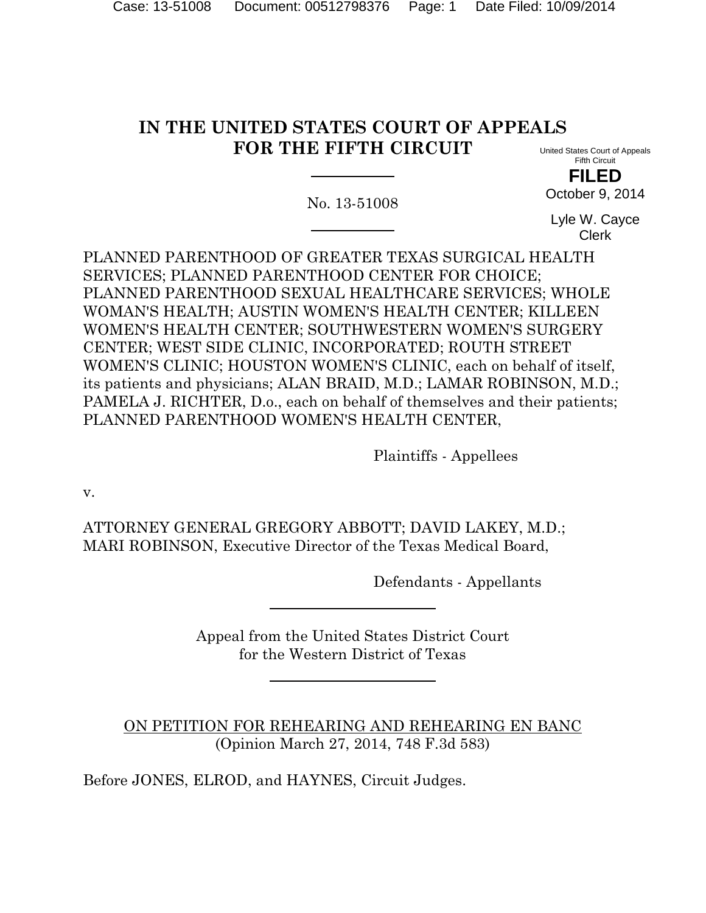#### **IN THE UNITED STATES COURT OF APPEALS FOR THE FIFTH CIRCUIT** United States Court of Appeals

No. 13-51008

Fifth Circuit **FILED** October 9, 2014

Lyle W. Cayce Clerk

PLANNED PARENTHOOD OF GREATER TEXAS SURGICAL HEALTH SERVICES; PLANNED PARENTHOOD CENTER FOR CHOICE; PLANNED PARENTHOOD SEXUAL HEALTHCARE SERVICES; WHOLE WOMAN'S HEALTH; AUSTIN WOMEN'S HEALTH CENTER; KILLEEN WOMEN'S HEALTH CENTER; SOUTHWESTERN WOMEN'S SURGERY CENTER; WEST SIDE CLINIC, INCORPORATED; ROUTH STREET WOMEN'S CLINIC; HOUSTON WOMEN'S CLINIC, each on behalf of itself, its patients and physicians; ALAN BRAID, M.D.; LAMAR ROBINSON, M.D.; PAMELA J. RICHTER, D.o., each on behalf of themselves and their patients; PLANNED PARENTHOOD WOMEN'S HEALTH CENTER,

Plaintiffs - Appellees

v.

ATTORNEY GENERAL GREGORY ABBOTT; DAVID LAKEY, M.D.; MARI ROBINSON, Executive Director of the Texas Medical Board,

Defendants - Appellants

Appeal from the United States District Court for the Western District of Texas

ON PETITION FOR REHEARING AND REHEARING EN BANC (Opinion March 27, 2014, 748 F.3d 583)

Before JONES, ELROD, and HAYNES, Circuit Judges.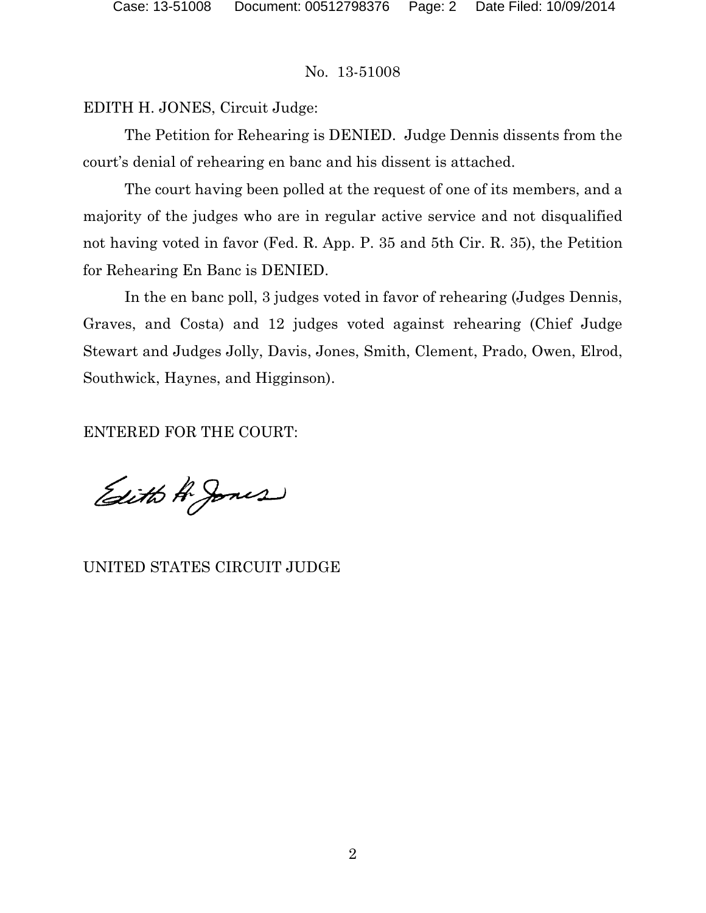EDITH H. JONES, Circuit Judge:

The Petition for Rehearing is DENIED. Judge Dennis dissents from the court's denial of rehearing en banc and his dissent is attached.

The court having been polled at the request of one of its members, and a majority of the judges who are in regular active service and not disqualified not having voted in favor (Fed. R. App. P. 35 and 5th Cir. R. 35), the Petition for Rehearing En Banc is DENIED.

In the en banc poll, 3 judges voted in favor of rehearing (Judges Dennis, Graves, and Costa) and 12 judges voted against rehearing (Chief Judge Stewart and Judges Jolly, Davis, Jones, Smith, Clement, Prado, Owen, Elrod, Southwick, Haynes, and Higginson).

ENTERED FOR THE COURT:

Edith A. Jones

UNITED STATES CIRCUIT JUDGE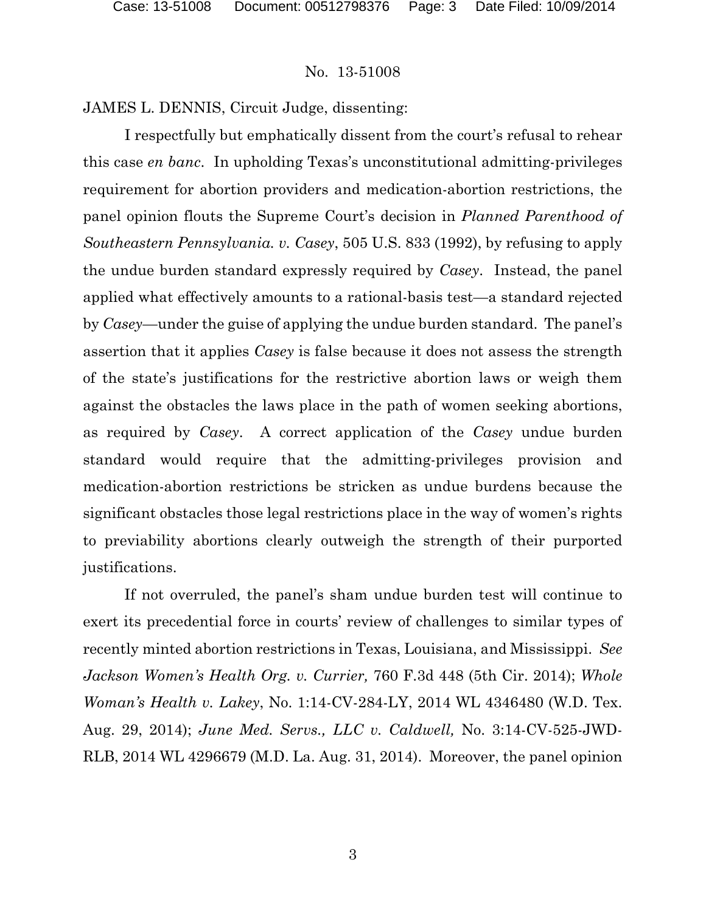JAMES L. DENNIS, Circuit Judge, dissenting:

I respectfully but emphatically dissent from the court's refusal to rehear this case *en banc*. In upholding Texas's unconstitutional admitting-privileges requirement for abortion providers and medication-abortion restrictions, the panel opinion flouts the Supreme Court's decision in *Planned Parenthood of Southeastern Pennsylvania. v. Casey*, 505 U.S. 833 (1992), by refusing to apply the undue burden standard expressly required by *Casey*. Instead, the panel applied what effectively amounts to a rational-basis test—a standard rejected by *Casey*—under the guise of applying the undue burden standard. The panel's assertion that it applies *Casey* is false because it does not assess the strength of the state's justifications for the restrictive abortion laws or weigh them against the obstacles the laws place in the path of women seeking abortions, as required by *Casey*. A correct application of the *Casey* undue burden standard would require that the admitting-privileges provision and medication-abortion restrictions be stricken as undue burdens because the significant obstacles those legal restrictions place in the way of women's rights to previability abortions clearly outweigh the strength of their purported justifications.

If not overruled, the panel's sham undue burden test will continue to exert its precedential force in courts' review of challenges to similar types of recently minted abortion restrictions in Texas, Louisiana, and Mississippi. *See Jackson Women's Health Org. v. Currier,* 760 F.3d 448 (5th Cir. 2014); *Whole Woman's Health v. Lakey*, No. 1:14-CV-284-LY, 2014 WL 4346480 (W.D. Tex. Aug. 29, 2014); *June Med. Servs., LLC v. Caldwell,* No. 3:14-CV-525-JWD-RLB, 2014 WL 4296679 (M.D. La. Aug. 31, 2014). Moreover, the panel opinion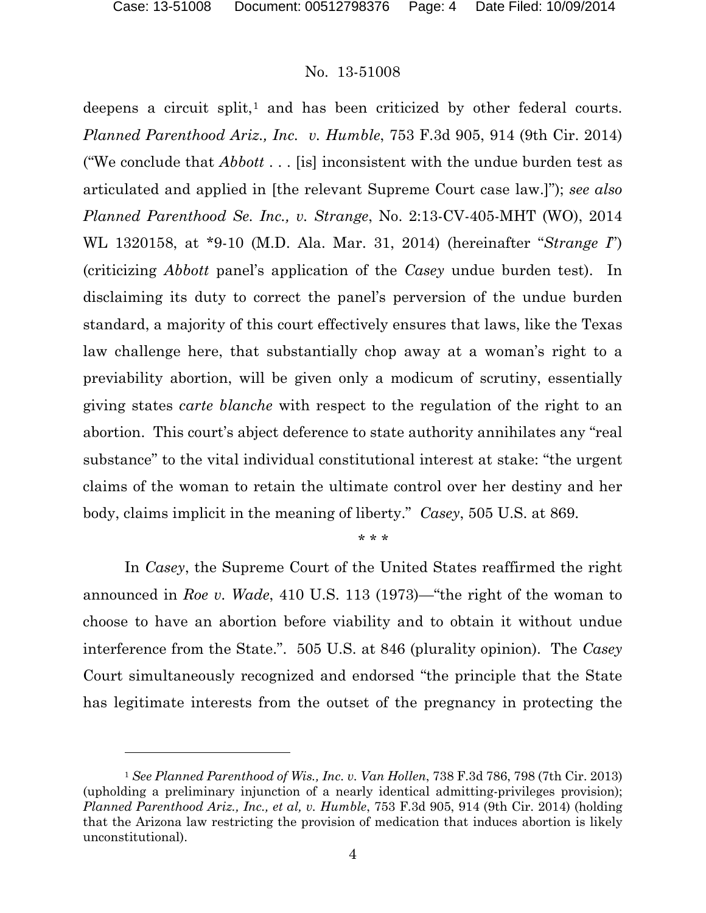l

## No. 13-51008

deepens a circuit split, $\frac{1}{1}$  $\frac{1}{1}$  $\frac{1}{1}$  and has been criticized by other federal courts. *Planned Parenthood Ariz., Inc. v. Humble*, 753 F.3d 905, 914 (9th Cir. 2014) ("We conclude that *Abbott* . . . [is] inconsistent with the undue burden test as articulated and applied in [the relevant Supreme Court case law.]"); *see also Planned Parenthood Se. Inc., v. Strange*, No. 2:13-CV-405-MHT (WO), 2014 WL 1320158, at \*9-10 (M.D. Ala. Mar. 31, 2014) (hereinafter "*Strange I*") (criticizing *Abbott* panel's application of the *Casey* undue burden test). In disclaiming its duty to correct the panel's perversion of the undue burden standard, a majority of this court effectively ensures that laws, like the Texas law challenge here, that substantially chop away at a woman's right to a previability abortion, will be given only a modicum of scrutiny, essentially giving states *carte blanche* with respect to the regulation of the right to an abortion. This court's abject deference to state authority annihilates any "real substance" to the vital individual constitutional interest at stake: "the urgent claims of the woman to retain the ultimate control over her destiny and her body, claims implicit in the meaning of liberty." *Casey*, 505 U.S. at 869.

#### \* \* \*

In *Casey*, the Supreme Court of the United States reaffirmed the right announced in *Roe v. Wade*, 410 U.S. 113 (1973)—"the right of the woman to choose to have an abortion before viability and to obtain it without undue interference from the State.". 505 U.S. at 846 (plurality opinion). The *Casey* Court simultaneously recognized and endorsed "the principle that the State has legitimate interests from the outset of the pregnancy in protecting the

<span id="page-3-0"></span><sup>1</sup> *See Planned Parenthood of Wis., Inc. v. Van Hollen*, 738 F.3d 786, 798 (7th Cir. 2013) (upholding a preliminary injunction of a nearly identical admitting-privileges provision); *Planned Parenthood Ariz., Inc., et al, v. Humble*, 753 F.3d 905, 914 (9th Cir. 2014) (holding that the Arizona law restricting the provision of medication that induces abortion is likely unconstitutional).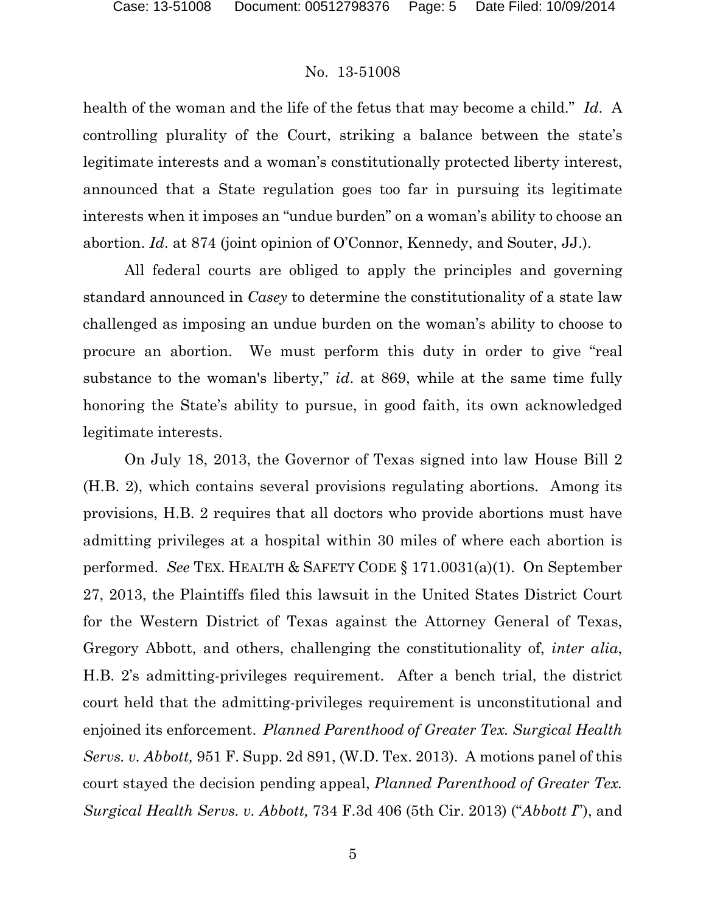health of the woman and the life of the fetus that may become a child." *Id*. A controlling plurality of the Court, striking a balance between the state's legitimate interests and a woman's constitutionally protected liberty interest, announced that a State regulation goes too far in pursuing its legitimate interests when it imposes an "undue burden" on a woman's ability to choose an abortion. *Id*. at 874 (joint opinion of O'Connor, Kennedy, and Souter, JJ.).

All federal courts are obliged to apply the principles and governing standard announced in *Casey* to determine the constitutionality of a state law challenged as imposing an undue burden on the woman's ability to choose to procure an abortion. We must perform this duty in order to give "real substance to the woman's liberty," *id*. at 869, while at the same time fully honoring the State's ability to pursue, in good faith, its own acknowledged legitimate interests.

On July 18, 2013, the Governor of Texas signed into law House Bill 2 (H.B. 2), which contains several provisions regulating abortions. Among its provisions, H.B. 2 requires that all doctors who provide abortions must have admitting privileges at a hospital within 30 miles of where each abortion is performed. *See* TEX. HEALTH & SAFETY CODE § 171.0031(a)(1). On September 27, 2013, the Plaintiffs filed this lawsuit in the United States District Court for the Western District of Texas against the Attorney General of Texas, Gregory Abbott, and others, challenging the constitutionality of, *inter alia*, H.B. 2's admitting-privileges requirement. After a bench trial, the district court held that the admitting-privileges requirement is unconstitutional and enjoined its enforcement. *Planned Parenthood of Greater Tex. Surgical Health Servs. v. Abbott,* 951 F. Supp. 2d 891, (W.D. Tex. 2013). A motions panel of this court stayed the decision pending appeal, *Planned Parenthood of Greater Tex. Surgical Health Servs. v. Abbott,* 734 F.3d 406 (5th Cir. 2013) ("*Abbott I*"), and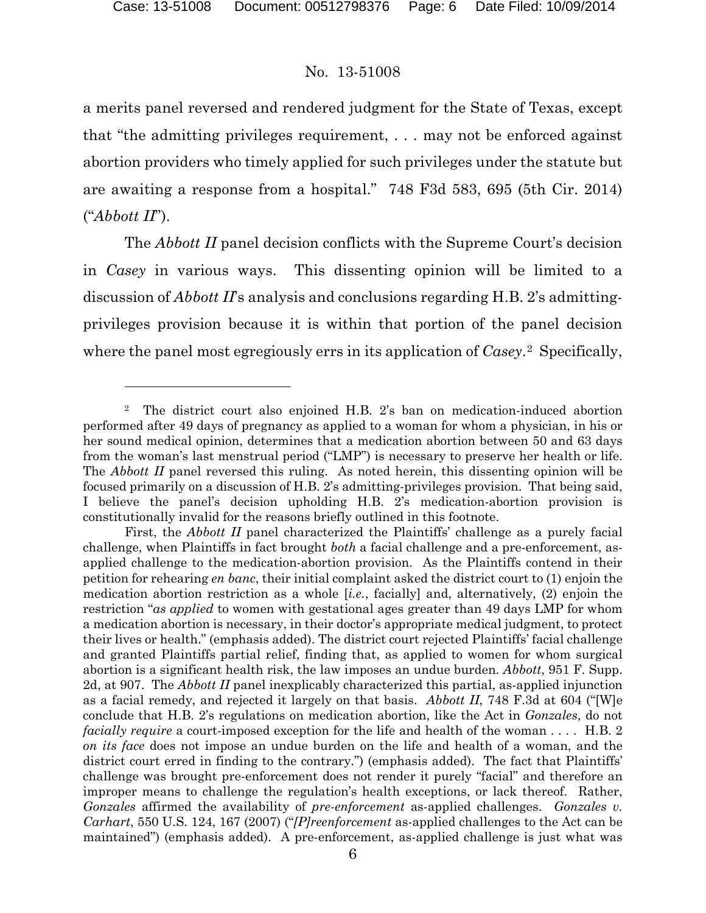### No. 13-51008

a merits panel reversed and rendered judgment for the State of Texas, except that "the admitting privileges requirement, . . . may not be enforced against abortion providers who timely applied for such privileges under the statute but are awaiting a response from a hospital." 748 F3d 583, 695 (5th Cir. 2014) ("*Abbott II*").

The *Abbott II* panel decision conflicts with the Supreme Court's decision in *Casey* in various ways. This dissenting opinion will be limited to a discussion of *Abbott II*'s analysis and conclusions regarding H.B. 2's admittingprivileges provision because it is within that portion of the panel decision where the panel most egregiously errs in its application of *Casey*.[2](#page-5-0)Specifically,

<span id="page-5-0"></span><sup>2</sup> The district court also enjoined H.B. 2's ban on medication-induced abortion performed after 49 days of pregnancy as applied to a woman for whom a physician, in his or her sound medical opinion, determines that a medication abortion between 50 and 63 days from the woman's last menstrual period ("LMP") is necessary to preserve her health or life. The *Abbott II* panel reversed this ruling. As noted herein, this dissenting opinion will be focused primarily on a discussion of H.B. 2's admitting-privileges provision. That being said, I believe the panel's decision upholding H.B. 2's medication-abortion provision is constitutionally invalid for the reasons briefly outlined in this footnote.

First, the *Abbott II* panel characterized the Plaintiffs' challenge as a purely facial challenge, when Plaintiffs in fact brought *both* a facial challenge and a pre-enforcement, asapplied challenge to the medication-abortion provision. As the Plaintiffs contend in their petition for rehearing *en banc*, their initial complaint asked the district court to (1) enjoin the medication abortion restriction as a whole [*i.e.*, facially] and, alternatively, (2) enjoin the restriction "*as applied* to women with gestational ages greater than 49 days LMP for whom a medication abortion is necessary, in their doctor's appropriate medical judgment, to protect their lives or health." (emphasis added). The district court rejected Plaintiffs' facial challenge and granted Plaintiffs partial relief, finding that, as applied to women for whom surgical abortion is a significant health risk, the law imposes an undue burden. *Abbott*, 951 F. Supp. 2d, at 907. The *Abbott II* panel inexplicably characterized this partial, as-applied injunction as a facial remedy, and rejected it largely on that basis. *Abbott II*, 748 F.3d at 604 ("[W]e conclude that H.B. 2's regulations on medication abortion, like the Act in *Gonzales*, do not *facially require* a court-imposed exception for the life and health of the woman . . . . H.B. 2 *on its face* does not impose an undue burden on the life and health of a woman, and the district court erred in finding to the contrary.") (emphasis added). The fact that Plaintiffs' challenge was brought pre-enforcement does not render it purely "facial" and therefore an improper means to challenge the regulation's health exceptions, or lack thereof. Rather, *Gonzales* affirmed the availability of *pre-enforcement* as-applied challenges. *Gonzales v. Carhart*, 550 U.S. 124, 167 (2007) ("*[P]reenforcement* as-applied challenges to the Act can be maintained") (emphasis added). A pre-enforcement, as-applied challenge is just what was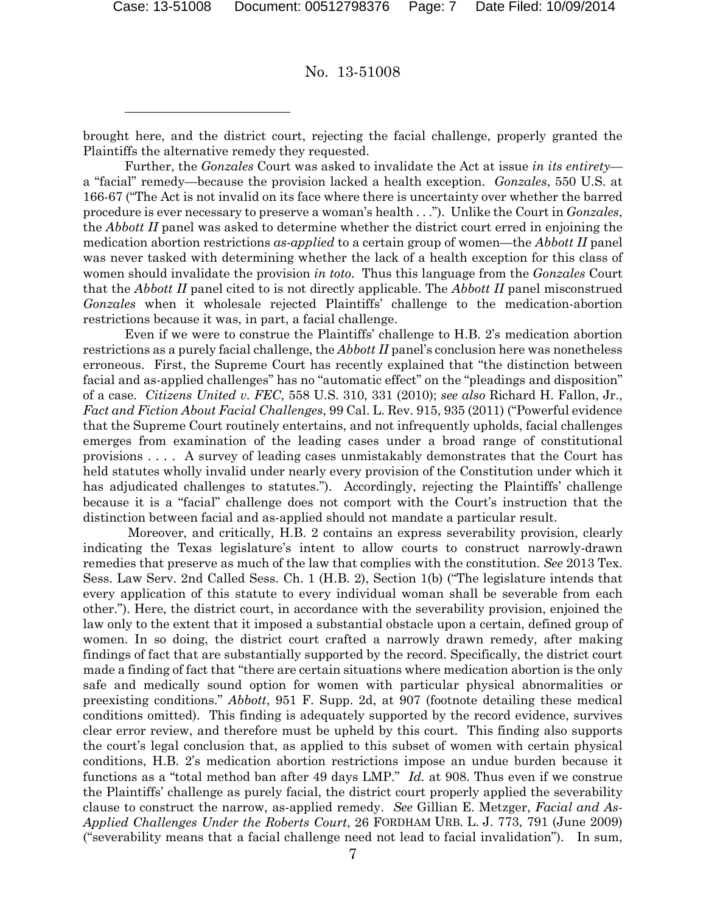No. 13-51008

brought here, and the district court, rejecting the facial challenge, properly granted the Plaintiffs the alternative remedy they requested.

Further, the *Gonzales* Court was asked to invalidate the Act at issue *in its entirety* a "facial" remedy—because the provision lacked a health exception. *Gonzales*, 550 U.S. at 166-67 ("The Act is not invalid on its face where there is uncertainty over whether the barred procedure is ever necessary to preserve a woman's health . . ."). Unlike the Court in *Gonzales*, the *Abbott II* panel was asked to determine whether the district court erred in enjoining the medication abortion restrictions *as-applied* to a certain group of women—the *Abbott II* panel was never tasked with determining whether the lack of a health exception for this class of women should invalidate the provision *in toto*. Thus this language from the *Gonzales* Court that the *Abbott II* panel cited to is not directly applicable. The *Abbott II* panel misconstrued *Gonzales* when it wholesale rejected Plaintiffs' challenge to the medication-abortion restrictions because it was, in part, a facial challenge.

Even if we were to construe the Plaintiffs' challenge to H.B. 2's medication abortion restrictions as a purely facial challenge, the *Abbott II* panel's conclusion here was nonetheless erroneous. First, the Supreme Court has recently explained that "the distinction between facial and as-applied challenges" has no "automatic effect" on the "pleadings and disposition" of a case. *Citizens United v. FEC*, 558 U.S. 310, 331 (2010); *see also* Richard H. Fallon, Jr., *Fact and Fiction About Facial Challenges*, 99 Cal. L. Rev. 915, 935 (2011) ("Powerful evidence that the Supreme Court routinely entertains, and not infrequently upholds, facial challenges emerges from examination of the leading cases under a broad range of constitutional provisions . . . . A survey of leading cases unmistakably demonstrates that the Court has held statutes wholly invalid under nearly every provision of the Constitution under which it has adjudicated challenges to statutes.").Accordingly, rejecting the Plaintiffs' challenge because it is a "facial" challenge does not comport with the Court's instruction that the distinction between facial and as-applied should not mandate a particular result.

Moreover, and critically, H.B. 2 contains an express severability provision, clearly indicating the Texas legislature's intent to allow courts to construct narrowly-drawn remedies that preserve as much of the law that complies with the constitution. *See* 2013 Tex. Sess. Law Serv. 2nd Called Sess. Ch. 1 (H.B. 2), Section 1(b) ("The legislature intends that every application of this statute to every individual woman shall be severable from each other."). Here, the district court, in accordance with the severability provision, enjoined the law only to the extent that it imposed a substantial obstacle upon a certain, defined group of women. In so doing, the district court crafted a narrowly drawn remedy, after making findings of fact that are substantially supported by the record. Specifically, the district court made a finding of fact that "there are certain situations where medication abortion is the only safe and medically sound option for women with particular physical abnormalities or preexisting conditions." *Abbott*, 951 F. Supp. 2d, at 907 (footnote detailing these medical conditions omitted). This finding is adequately supported by the record evidence, survives clear error review, and therefore must be upheld by this court. This finding also supports the court's legal conclusion that, as applied to this subset of women with certain physical conditions, H.B. 2's medication abortion restrictions impose an undue burden because it functions as a "total method ban after 49 days LMP." *Id.* at 908. Thus even if we construe the Plaintiffs' challenge as purely facial, the district court properly applied the severability clause to construct the narrow, as-applied remedy. *See* Gillian E. Metzger, *Facial and As-Applied Challenges Under the Roberts Court*, 26 FORDHAM URB. L. J. 773, 791 (June 2009) ("severability means that a facial challenge need not lead to facial invalidation"). In sum,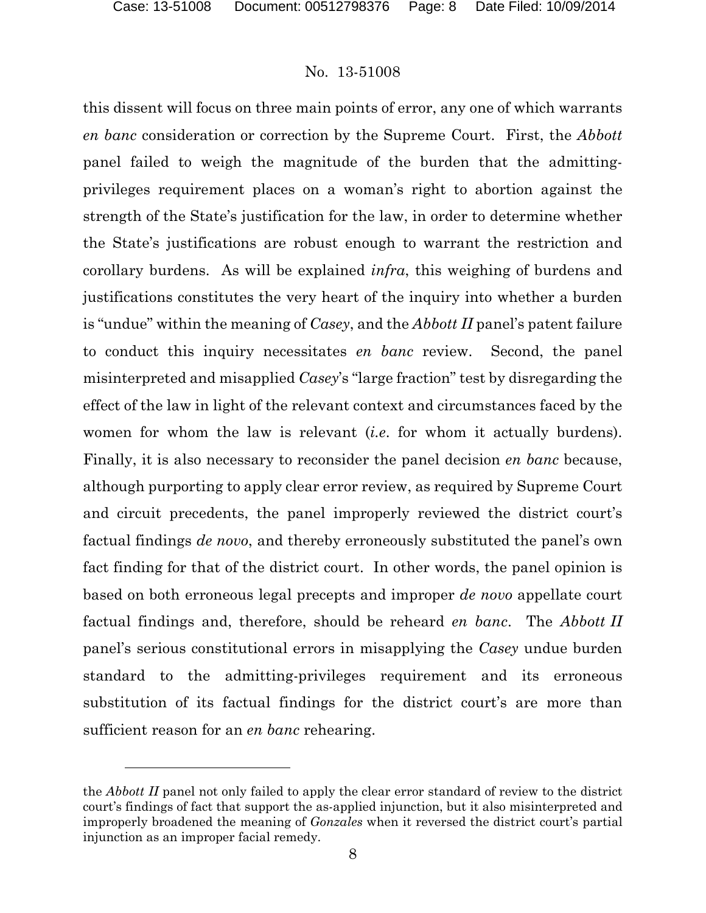### No. 13-51008

this dissent will focus on three main points of error, any one of which warrants *en banc* consideration or correction by the Supreme Court. First, the *Abbott*  panel failed to weigh the magnitude of the burden that the admittingprivileges requirement places on a woman's right to abortion against the strength of the State's justification for the law, in order to determine whether the State's justifications are robust enough to warrant the restriction and corollary burdens. As will be explained *infra*, this weighing of burdens and justifications constitutes the very heart of the inquiry into whether a burden is "undue" within the meaning of *Casey*, and the *Abbott II* panel's patent failure to conduct this inquiry necessitates *en banc* review. Second, the panel misinterpreted and misapplied *Casey*'s "large fraction" test by disregarding the effect of the law in light of the relevant context and circumstances faced by the women for whom the law is relevant (*i.e*. for whom it actually burdens). Finally, it is also necessary to reconsider the panel decision *en banc* because, although purporting to apply clear error review, as required by Supreme Court and circuit precedents, the panel improperly reviewed the district court's factual findings *de novo*, and thereby erroneously substituted the panel's own fact finding for that of the district court. In other words, the panel opinion is based on both erroneous legal precepts and improper *de novo* appellate court factual findings and, therefore, should be reheard *en banc*. The *Abbott II* panel's serious constitutional errors in misapplying the *Casey* undue burden standard to the admitting-privileges requirement and its erroneous substitution of its factual findings for the district court's are more than sufficient reason for an *en banc* rehearing.

the *Abbott II* panel not only failed to apply the clear error standard of review to the district court's findings of fact that support the as-applied injunction, but it also misinterpreted and improperly broadened the meaning of *Gonzales* when it reversed the district court's partial injunction as an improper facial remedy.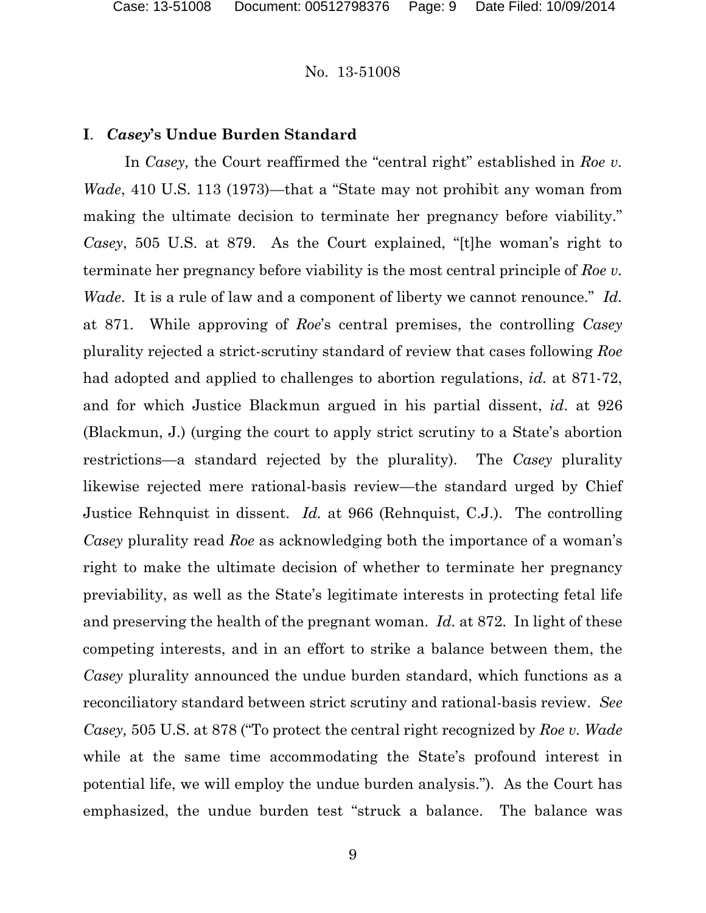### **I**. *Casey***'s Undue Burden Standard**

In *Casey*, the Court reaffirmed the "central right" established in *Roe v*. *Wade*, 410 U.S. 113 (1973)—that a "State may not prohibit any woman from making the ultimate decision to terminate her pregnancy before viability." *Casey*, 505 U.S. at 879. As the Court explained, "[t]he woman's right to terminate her pregnancy before viability is the most central principle of *Roe v. Wade*. It is a rule of law and a component of liberty we cannot renounce." *Id.*  at 871. While approving of *Roe*'s central premises, the controlling *Casey*  plurality rejected a strict-scrutiny standard of review that cases following *Roe*  had adopted and applied to challenges to abortion regulations, *id.* at 871-72, and for which Justice Blackmun argued in his partial dissent, *id*. at 926 (Blackmun, J.) (urging the court to apply strict scrutiny to a State's abortion restrictions—a standard rejected by the plurality). The *Casey* plurality likewise rejected mere rational-basis review—the standard urged by Chief Justice Rehnquist in dissent. *Id.* at 966 (Rehnquist, C.J.). The controlling *Casey* plurality read *Roe* as acknowledging both the importance of a woman's right to make the ultimate decision of whether to terminate her pregnancy previability, as well as the State's legitimate interests in protecting fetal life and preserving the health of the pregnant woman. *Id.* at 872. In light of these competing interests, and in an effort to strike a balance between them, the *Casey* plurality announced the undue burden standard, which functions as a reconciliatory standard between strict scrutiny and rational-basis review. *See Casey,* 505 U.S. at 878 ("To protect the central right recognized by *Roe v. Wade*  while at the same time accommodating the State's profound interest in potential life, we will employ the undue burden analysis."). As the Court has emphasized, the undue burden test "struck a balance. The balance was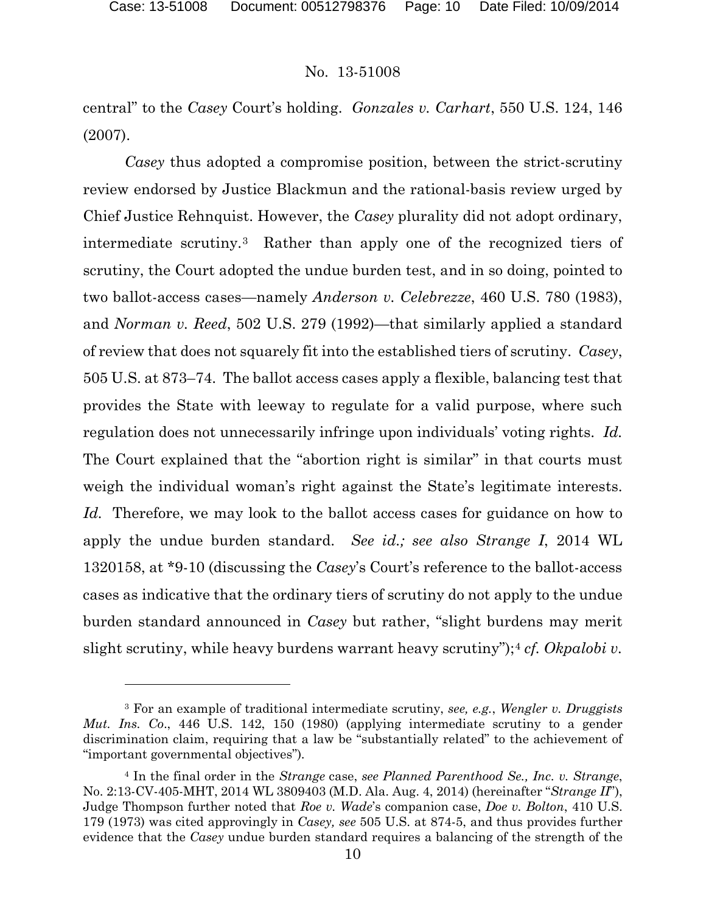l

### No. 13-51008

central" to the *Casey* Court's holding. *Gonzales v. Carhart*, 550 U.S. 124, 146 (2007).

*Casey* thus adopted a compromise position, between the strict-scrutiny review endorsed by Justice Blackmun and the rational-basis review urged by Chief Justice Rehnquist. However, the *Casey* plurality did not adopt ordinary, intermediate scrutiny.[3](#page-9-0)Rather than apply one of the recognized tiers of scrutiny, the Court adopted the undue burden test, and in so doing, pointed to two ballot-access cases—namely *Anderson v. Celebrezze*, 460 U.S. 780 (1983), and *Norman v. Reed*, 502 U.S. 279 (1992)—that similarly applied a standard of review that does not squarely fit into the established tiers of scrutiny. *Casey*, 505 U.S. at 873–74. The ballot access cases apply a flexible, balancing test that provides the State with leeway to regulate for a valid purpose, where such regulation does not unnecessarily infringe upon individuals' voting rights. *Id.* The Court explained that the "abortion right is similar" in that courts must weigh the individual woman's right against the State's legitimate interests. *Id.* Therefore, we may look to the ballot access cases for guidance on how to apply the undue burden standard. *See id.; see also Strange I*, 2014 WL 1320158, at \*9-10 (discussing the *Casey*'s Court's reference to the ballot-access cases as indicative that the ordinary tiers of scrutiny do not apply to the undue burden standard announced in *Casey* but rather, "slight burdens may merit slight scrutiny, while heavy burdens warrant heavy scrutiny");<sup>[4](#page-9-1)</sup> *cf. Okpalobi v.* 

<span id="page-9-0"></span><sup>3</sup> For an example of traditional intermediate scrutiny, *see, e.g.*, *Wengler v. Druggists Mut. Ins. Co*., 446 U.S. 142, 150 (1980) (applying intermediate scrutiny to a gender discrimination claim, requiring that a law be "substantially related" to the achievement of "important governmental objectives")*.*

<span id="page-9-1"></span><sup>4</sup> In the final order in the *Strange* case, *see Planned Parenthood Se., Inc. v. Strange*, No. 2:13-CV-405-MHT, 2014 WL 3809403 (M.D. Ala. Aug. 4, 2014) (hereinafter "*Strange II*"), Judge Thompson further noted that *Roe v. Wade*'s companion case, *Doe v. Bolton*, 410 U.S. 179 (1973) was cited approvingly in *Casey, see* 505 U.S. at 874-5, and thus provides further evidence that the *Casey* undue burden standard requires a balancing of the strength of the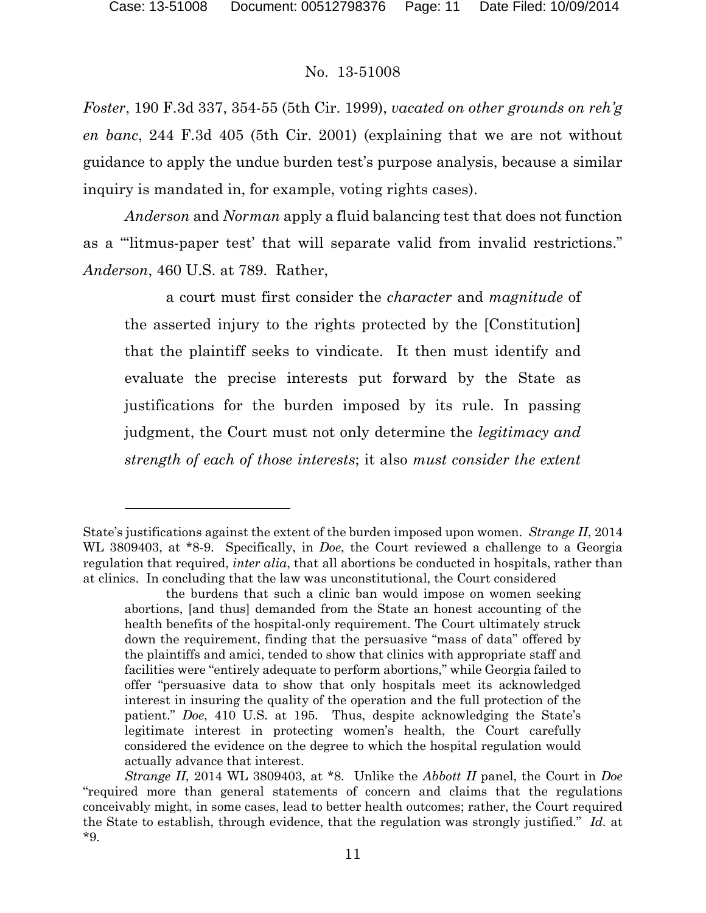### No. 13-51008

*Foster*, 190 F.3d 337, 354-55 (5th Cir. 1999), *vacated on other grounds on reh'g en banc*, 244 F.3d 405 (5th Cir. 2001) (explaining that we are not without guidance to apply the undue burden test's purpose analysis, because a similar inquiry is mandated in, for example, voting rights cases).

*Anderson* and *Norman* apply a fluid balancing test that does not function as a "'litmus-paper test' that will separate valid from invalid restrictions." *Anderson*, 460 U.S. at 789. Rather,

a court must first consider the *character* and *magnitude* of the asserted injury to the rights protected by the [Constitution] that the plaintiff seeks to vindicate. It then must identify and evaluate the precise interests put forward by the State as justifications for the burden imposed by its rule. In passing judgment, the Court must not only determine the *legitimacy and strength of each of those interests*; it also *must consider the extent* 

State's justifications against the extent of the burden imposed upon women. *Strange II*, 2014 WL 3809403, at \*8-9. Specifically, in *Doe*, the Court reviewed a challenge to a Georgia regulation that required, *inter alia*, that all abortions be conducted in hospitals, rather than at clinics. In concluding that the law was unconstitutional, the Court considered

the burdens that such a clinic ban would impose on women seeking abortions, [and thus] demanded from the State an honest accounting of the health benefits of the hospital-only requirement. The Court ultimately struck down the requirement, finding that the persuasive "mass of data" offered by the plaintiffs and amici, tended to show that clinics with appropriate staff and facilities were "entirely adequate to perform abortions," while Georgia failed to offer "persuasive data to show that only hospitals meet its acknowledged interest in insuring the quality of the operation and the full protection of the patient." *Doe*, 410 U.S. at 195. Thus, despite acknowledging the State's legitimate interest in protecting women's health, the Court carefully considered the evidence on the degree to which the hospital regulation would actually advance that interest.

*Strange II*, 2014 WL 3809403, at \*8. Unlike the *Abbott II* panel, the Court in *Doe* "required more than general statements of concern and claims that the regulations conceivably might, in some cases, lead to better health outcomes; rather, the Court required the State to establish, through evidence, that the regulation was strongly justified." *Id.* at \*9.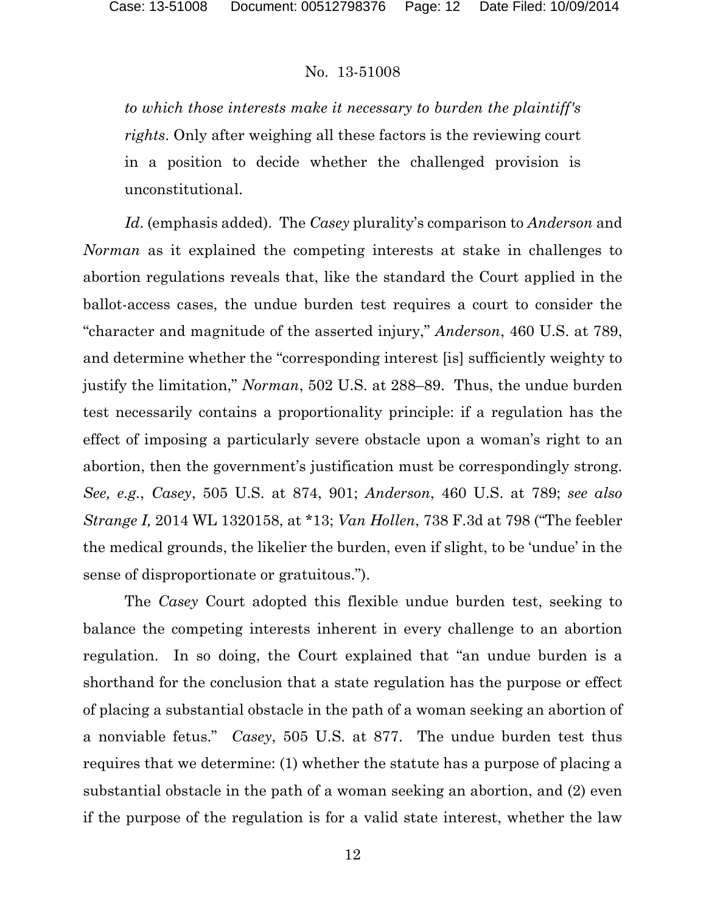*to which those interests make it necessary to burden the plaintiff's rights*. Only after weighing all these factors is the reviewing court in a position to decide whether the challenged provision is unconstitutional.

*Id*. (emphasis added). The *Casey* plurality's comparison to *Anderson* and *Norman* as it explained the competing interests at stake in challenges to abortion regulations reveals that, like the standard the Court applied in the ballot-access cases, the undue burden test requires a court to consider the "character and magnitude of the asserted injury," *Anderson*, 460 U.S. at 789, and determine whether the "corresponding interest [is] sufficiently weighty to justify the limitation," *Norman*, 502 U.S. at 288–89. Thus, the undue burden test necessarily contains a proportionality principle: if a regulation has the effect of imposing a particularly severe obstacle upon a woman's right to an abortion, then the government's justification must be correspondingly strong. *See, e.g.*, *Casey*, 505 U.S. at 874, 901; *Anderson*, 460 U.S. at 789; *see also Strange I,* 2014 WL 1320158, at \*13; *Van Hollen*, 738 F.3d at 798 ("The feebler the medical grounds, the likelier the burden, even if slight, to be 'undue' in the sense of disproportionate or gratuitous.").

The *Casey* Court adopted this flexible undue burden test, seeking to balance the competing interests inherent in every challenge to an abortion regulation. In so doing, the Court explained that "an undue burden is a shorthand for the conclusion that a state regulation has the purpose or effect of placing a substantial obstacle in the path of a woman seeking an abortion of a nonviable fetus." *Casey*, 505 U.S. at 877. The undue burden test thus requires that we determine: (1) whether the statute has a purpose of placing a substantial obstacle in the path of a woman seeking an abortion, and (2) even if the purpose of the regulation is for a valid state interest, whether the law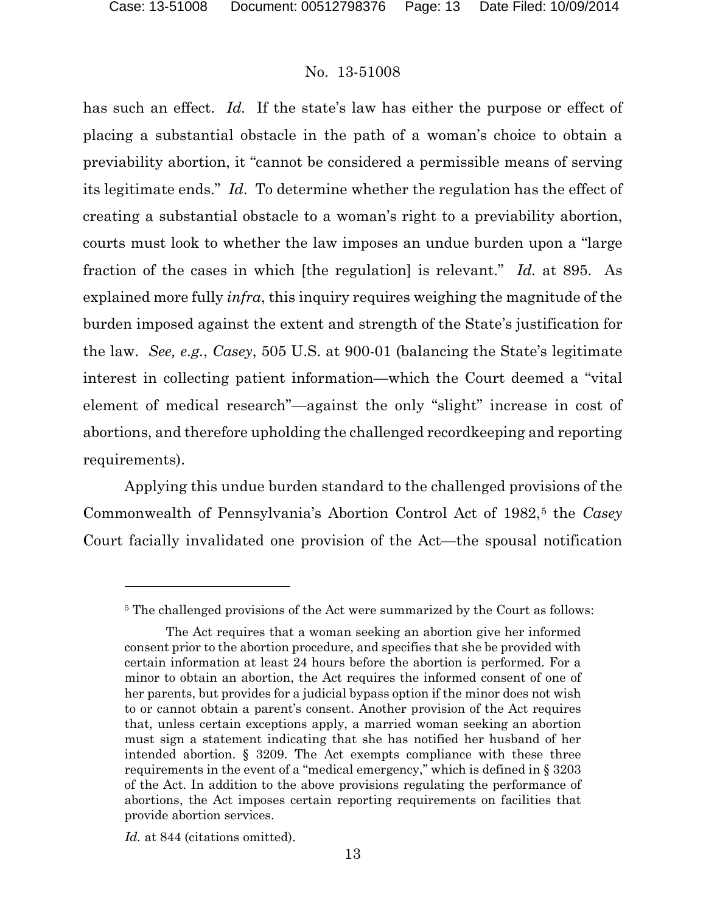has such an effect. *Id.* If the state's law has either the purpose or effect of placing a substantial obstacle in the path of a woman's choice to obtain a previability abortion, it "cannot be considered a permissible means of serving its legitimate ends." *Id*. To determine whether the regulation has the effect of creating a substantial obstacle to a woman's right to a previability abortion, courts must look to whether the law imposes an undue burden upon a "large fraction of the cases in which [the regulation] is relevant." *Id.* at 895. As explained more fully *infra*, this inquiry requires weighing the magnitude of the burden imposed against the extent and strength of the State's justification for the law. *See, e.g.*, *Casey*, 505 U.S. at 900-01 (balancing the State's legitimate interest in collecting patient information—which the Court deemed a "vital element of medical research"—against the only "slight" increase in cost of abortions, and therefore upholding the challenged recordkeeping and reporting requirements).

Applying this undue burden standard to the challenged provisions of the Commonwealth of Pennsylvania's Abortion Control Act of 1982,<sup>[5](#page-12-0)</sup> the *Casey* Court facially invalidated one provision of the Act—the spousal notification

 $\overline{a}$ 

<span id="page-12-0"></span><sup>&</sup>lt;sup>5</sup> The challenged provisions of the Act were summarized by the Court as follows:

The Act requires that a woman seeking an abortion give her informed consent prior to the abortion procedure, and specifies that she be provided with certain information at least 24 hours before the abortion is performed. For a minor to obtain an abortion, the Act requires the informed consent of one of her parents, but provides for a judicial bypass option if the minor does not wish to or cannot obtain a parent's consent. Another provision of the Act requires that, unless certain exceptions apply, a married woman seeking an abortion must sign a statement indicating that she has notified her husband of her intended abortion. § 3209. The Act exempts compliance with these three requirements in the event of a "medical emergency," which is defined in § 3203 of the Act. In addition to the above provisions regulating the performance of abortions, the Act imposes certain reporting requirements on facilities that provide abortion services.

*Id.* at 844 (citations omitted).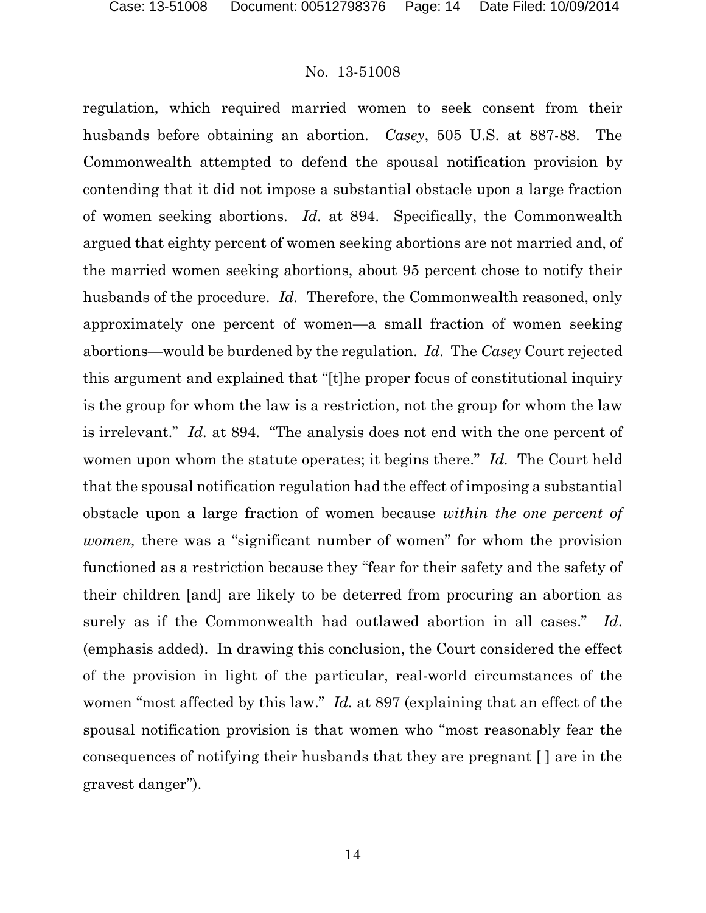regulation, which required married women to seek consent from their husbands before obtaining an abortion. *Casey*, 505 U.S. at 887-88. The Commonwealth attempted to defend the spousal notification provision by contending that it did not impose a substantial obstacle upon a large fraction of women seeking abortions. *Id.* at 894. Specifically, the Commonwealth argued that eighty percent of women seeking abortions are not married and, of the married women seeking abortions, about 95 percent chose to notify their husbands of the procedure. *Id.* Therefore, the Commonwealth reasoned, only approximately one percent of women—a small fraction of women seeking abortions—would be burdened by the regulation. *Id*. The *Casey* Court rejected this argument and explained that "[t]he proper focus of constitutional inquiry is the group for whom the law is a restriction, not the group for whom the law is irrelevant." *Id.* at 894. "The analysis does not end with the one percent of women upon whom the statute operates; it begins there." *Id.* The Court held that the spousal notification regulation had the effect of imposing a substantial obstacle upon a large fraction of women because *within the one percent of women,* there was a "significant number of women" for whom the provision functioned as a restriction because they "fear for their safety and the safety of their children [and] are likely to be deterred from procuring an abortion as surely as if the Commonwealth had outlawed abortion in all cases." *Id*. (emphasis added). In drawing this conclusion, the Court considered the effect of the provision in light of the particular, real-world circumstances of the women "most affected by this law." *Id.* at 897 (explaining that an effect of the spousal notification provision is that women who "most reasonably fear the consequences of notifying their husbands that they are pregnant [ ] are in the gravest danger").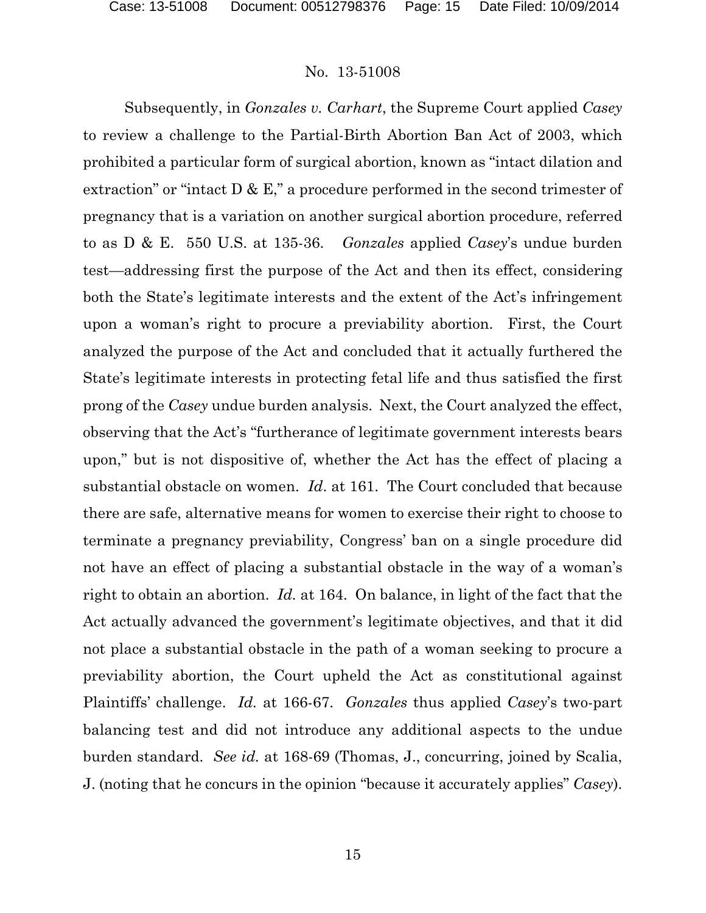Subsequently, in *Gonzales v. Carhart*, the Supreme Court applied *Casey*  to review a challenge to the Partial-Birth Abortion Ban Act of 2003, which prohibited a particular form of surgical abortion, known as "intact dilation and extraction" or "intact D & E," a procedure performed in the second trimester of pregnancy that is a variation on another surgical abortion procedure, referred to as D & E. 550 U.S. at 135-36. *Gonzales* applied *Casey*'s undue burden test—addressing first the purpose of the Act and then its effect, considering both the State's legitimate interests and the extent of the Act's infringement upon a woman's right to procure a previability abortion. First, the Court analyzed the purpose of the Act and concluded that it actually furthered the State's legitimate interests in protecting fetal life and thus satisfied the first prong of the *Casey* undue burden analysis. Next, the Court analyzed the effect, observing that the Act's "furtherance of legitimate government interests bears upon," but is not dispositive of, whether the Act has the effect of placing a substantial obstacle on women. *Id*. at 161. The Court concluded that because there are safe, alternative means for women to exercise their right to choose to terminate a pregnancy previability, Congress' ban on a single procedure did not have an effect of placing a substantial obstacle in the way of a woman's right to obtain an abortion. *Id.* at 164. On balance, in light of the fact that the Act actually advanced the government's legitimate objectives, and that it did not place a substantial obstacle in the path of a woman seeking to procure a previability abortion, the Court upheld the Act as constitutional against Plaintiffs' challenge. *Id.* at 166-67. *Gonzales* thus applied *Casey*'s two-part balancing test and did not introduce any additional aspects to the undue burden standard. *See id.* at 168-69 (Thomas, J., concurring, joined by Scalia, J. (noting that he concurs in the opinion "because it accurately applies" *Casey*).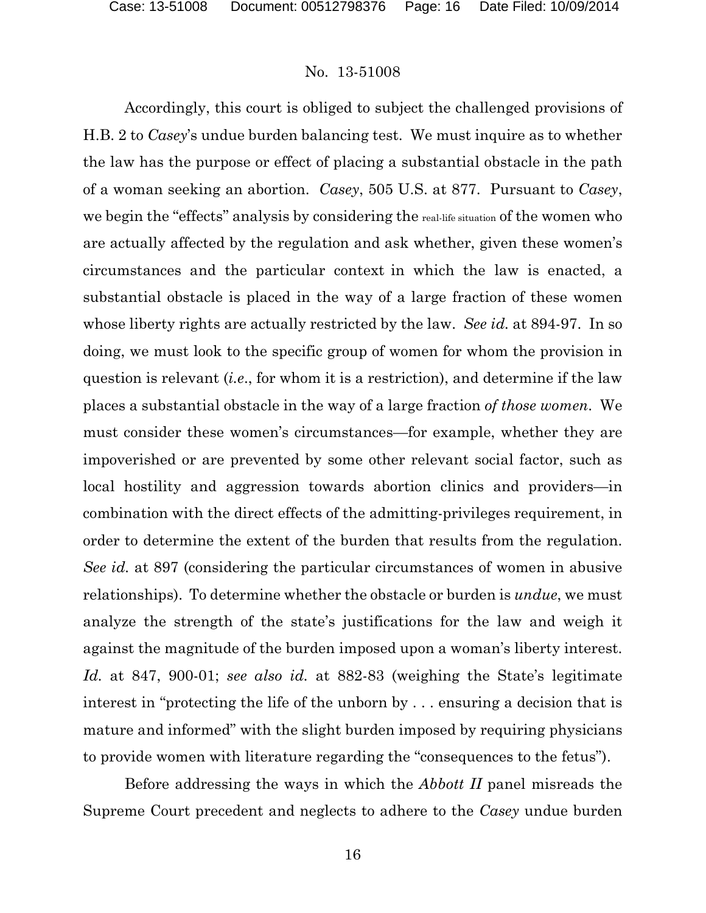Accordingly, this court is obliged to subject the challenged provisions of H.B. 2 to *Casey*'s undue burden balancing test. We must inquire as to whether the law has the purpose or effect of placing a substantial obstacle in the path of a woman seeking an abortion. *Casey*, 505 U.S. at 877. Pursuant to *Casey*, we begin the "effects" analysis by considering the real-life situation of the women who are actually affected by the regulation and ask whether, given these women's circumstances and the particular context in which the law is enacted, a substantial obstacle is placed in the way of a large fraction of these women whose liberty rights are actually restricted by the law. *See id.* at 894-97. In so doing, we must look to the specific group of women for whom the provision in question is relevant (*i.e*., for whom it is a restriction), and determine if the law places a substantial obstacle in the way of a large fraction *of those women*. We must consider these women's circumstances—for example, whether they are impoverished or are prevented by some other relevant social factor, such as local hostility and aggression towards abortion clinics and providers—in combination with the direct effects of the admitting-privileges requirement, in order to determine the extent of the burden that results from the regulation. *See id.* at 897 (considering the particular circumstances of women in abusive relationships). To determine whether the obstacle or burden is *undue*, we must analyze the strength of the state's justifications for the law and weigh it against the magnitude of the burden imposed upon a woman's liberty interest. *Id.* at 847, 900-01; *see also id.* at 882-83 (weighing the State's legitimate interest in "protecting the life of the unborn by . . . ensuring a decision that is mature and informed" with the slight burden imposed by requiring physicians to provide women with literature regarding the "consequences to the fetus").

Before addressing the ways in which the *Abbott II* panel misreads the Supreme Court precedent and neglects to adhere to the *Casey* undue burden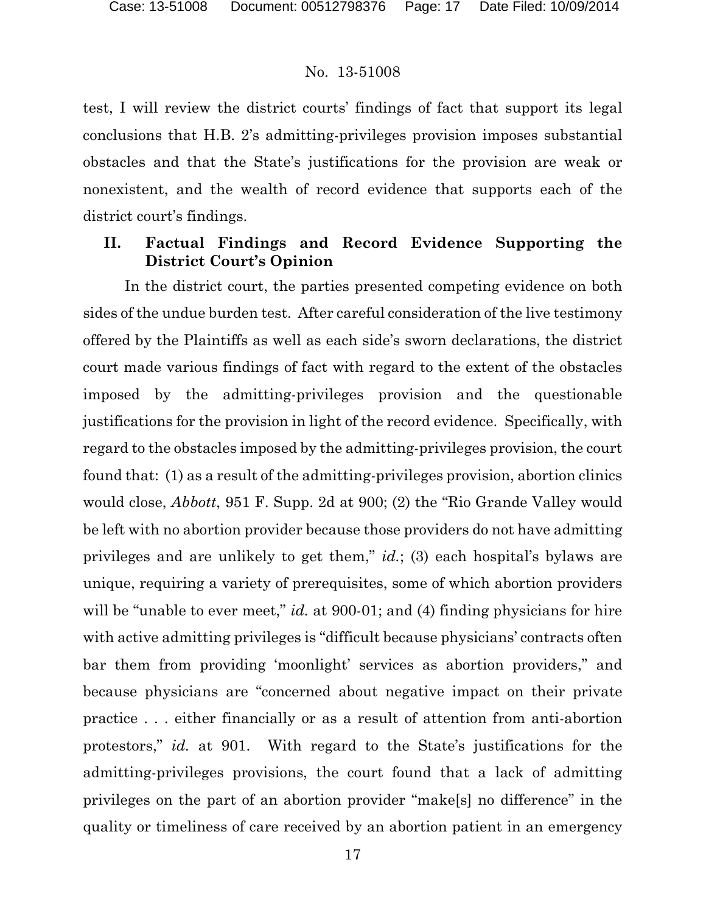test, I will review the district courts' findings of fact that support its legal conclusions that H.B. 2's admitting-privileges provision imposes substantial obstacles and that the State's justifications for the provision are weak or nonexistent, and the wealth of record evidence that supports each of the district court's findings.

## **II. Factual Findings and Record Evidence Supporting the District Court's Opinion**

In the district court, the parties presented competing evidence on both sides of the undue burden test. After careful consideration of the live testimony offered by the Plaintiffs as well as each side's sworn declarations, the district court made various findings of fact with regard to the extent of the obstacles imposed by the admitting-privileges provision and the questionable justifications for the provision in light of the record evidence. Specifically, with regard to the obstacles imposed by the admitting-privileges provision, the court found that: (1) as a result of the admitting-privileges provision, abortion clinics would close, *Abbott*, 951 F. Supp. 2d at 900; (2) the "Rio Grande Valley would be left with no abortion provider because those providers do not have admitting privileges and are unlikely to get them," *id.*; (3) each hospital's bylaws are unique, requiring a variety of prerequisites, some of which abortion providers will be "unable to ever meet," *id.* at 900-01; and (4) finding physicians for hire with active admitting privileges is "difficult because physicians' contracts often bar them from providing 'moonlight' services as abortion providers," and because physicians are "concerned about negative impact on their private practice . . . either financially or as a result of attention from anti-abortion protestors," *id.* at 901. With regard to the State's justifications for the admitting-privileges provisions, the court found that a lack of admitting privileges on the part of an abortion provider "make[s] no difference" in the quality or timeliness of care received by an abortion patient in an emergency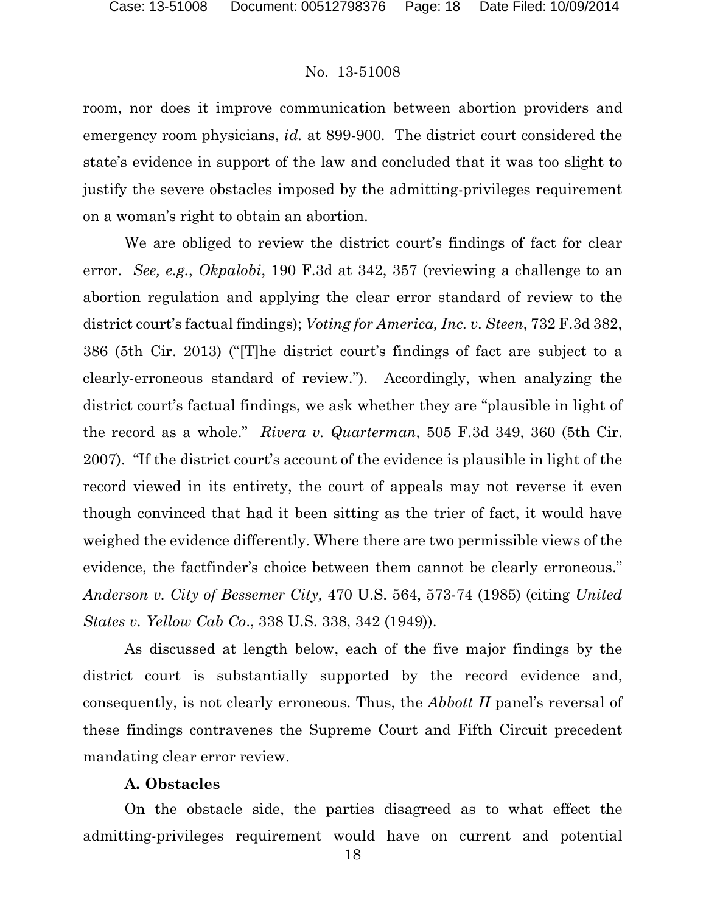room, nor does it improve communication between abortion providers and emergency room physicians, *id.* at 899-900. The district court considered the state's evidence in support of the law and concluded that it was too slight to justify the severe obstacles imposed by the admitting-privileges requirement on a woman's right to obtain an abortion.

We are obliged to review the district court's findings of fact for clear error. *See, e.g.*, *Okpalobi*, 190 F.3d at 342, 357 (reviewing a challenge to an abortion regulation and applying the clear error standard of review to the district court's factual findings); *Voting for America, Inc. v. Steen*, 732 F.3d 382, 386 (5th Cir. 2013) ("[T]he district court's findings of fact are subject to a clearly-erroneous standard of review."). Accordingly, when analyzing the district court's factual findings, we ask whether they are "plausible in light of the record as a whole." *Rivera v. Quarterman*, 505 F.3d 349, 360 (5th Cir. 2007). "If the district court's account of the evidence is plausible in light of the record viewed in its entirety, the court of appeals may not reverse it even though convinced that had it been sitting as the trier of fact, it would have weighed the evidence differently. Where there are two permissible views of the evidence, the factfinder's choice between them cannot be clearly erroneous." *Anderson v. City of Bessemer City,* 470 U.S. 564, 573-74 (1985) (citing *United States v. Yellow Cab Co*., 338 U.S. 338, 342 (1949)).

As discussed at length below, each of the five major findings by the district court is substantially supported by the record evidence and, consequently, is not clearly erroneous. Thus, the *Abbott II* panel's reversal of these findings contravenes the Supreme Court and Fifth Circuit precedent mandating clear error review.

### **A. Obstacles**

On the obstacle side, the parties disagreed as to what effect the admitting-privileges requirement would have on current and potential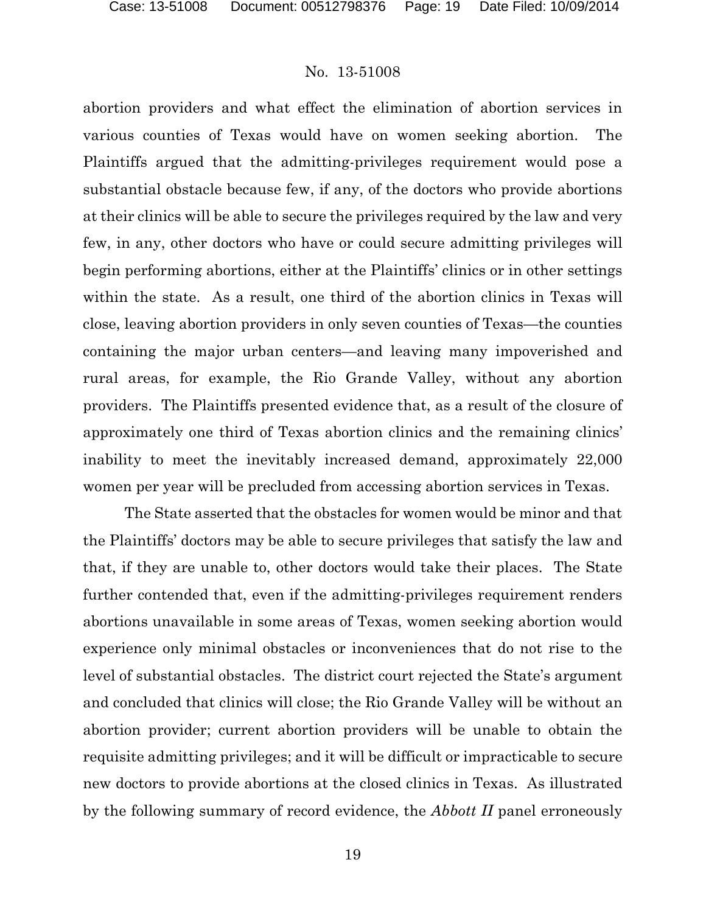abortion providers and what effect the elimination of abortion services in various counties of Texas would have on women seeking abortion. The Plaintiffs argued that the admitting-privileges requirement would pose a substantial obstacle because few, if any, of the doctors who provide abortions at their clinics will be able to secure the privileges required by the law and very few, in any, other doctors who have or could secure admitting privileges will begin performing abortions, either at the Plaintiffs' clinics or in other settings within the state. As a result, one third of the abortion clinics in Texas will close, leaving abortion providers in only seven counties of Texas—the counties containing the major urban centers—and leaving many impoverished and rural areas, for example, the Rio Grande Valley, without any abortion providers. The Plaintiffs presented evidence that, as a result of the closure of approximately one third of Texas abortion clinics and the remaining clinics' inability to meet the inevitably increased demand, approximately 22,000 women per year will be precluded from accessing abortion services in Texas.

The State asserted that the obstacles for women would be minor and that the Plaintiffs' doctors may be able to secure privileges that satisfy the law and that, if they are unable to, other doctors would take their places. The State further contended that, even if the admitting-privileges requirement renders abortions unavailable in some areas of Texas, women seeking abortion would experience only minimal obstacles or inconveniences that do not rise to the level of substantial obstacles. The district court rejected the State's argument and concluded that clinics will close; the Rio Grande Valley will be without an abortion provider; current abortion providers will be unable to obtain the requisite admitting privileges; and it will be difficult or impracticable to secure new doctors to provide abortions at the closed clinics in Texas. As illustrated by the following summary of record evidence, the *Abbott II* panel erroneously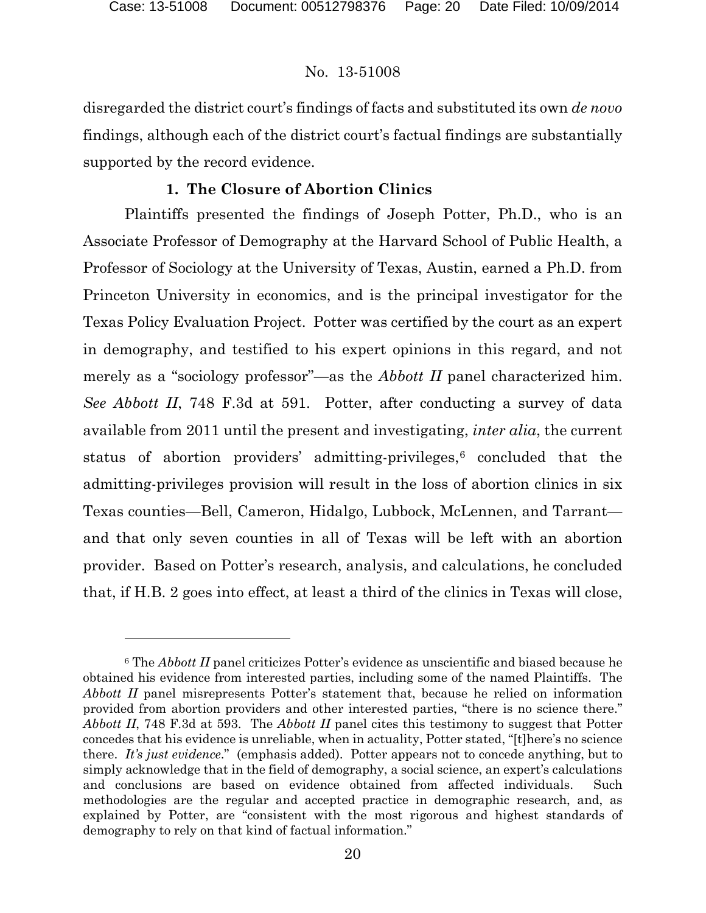### No. 13-51008

disregarded the district court's findings of facts and substituted its own *de novo* findings, although each of the district court's factual findings are substantially supported by the record evidence.

## **1. The Closure of Abortion Clinics**

Plaintiffs presented the findings of Joseph Potter, Ph.D., who is an Associate Professor of Demography at the Harvard School of Public Health, a Professor of Sociology at the University of Texas, Austin, earned a Ph.D. from Princeton University in economics, and is the principal investigator for the Texas Policy Evaluation Project. Potter was certified by the court as an expert in demography, and testified to his expert opinions in this regard, and not merely as a "sociology professor"—as the *Abbott II* panel characterized him. *See Abbott II*, 748 F.3d at 591. Potter, after conducting a survey of data available from 2011 until the present and investigating, *inter alia*, the current status of abortion providers' admitting-privileges,<sup>[6](#page-19-0)</sup> concluded that the admitting-privileges provision will result in the loss of abortion clinics in six Texas counties—Bell, Cameron, Hidalgo, Lubbock, McLennen, and Tarrant and that only seven counties in all of Texas will be left with an abortion provider. Based on Potter's research, analysis, and calculations, he concluded that, if H.B. 2 goes into effect, at least a third of the clinics in Texas will close,

<span id="page-19-0"></span><sup>6</sup> The *Abbott II* panel criticizes Potter's evidence as unscientific and biased because he obtained his evidence from interested parties, including some of the named Plaintiffs. The *Abbott II* panel misrepresents Potter's statement that, because he relied on information provided from abortion providers and other interested parties, "there is no science there." *Abbott II*, 748 F.3d at 593. The *Abbott II* panel cites this testimony to suggest that Potter concedes that his evidence is unreliable, when in actuality, Potter stated, "[t]here's no science there. *It's just evidence*." (emphasis added). Potter appears not to concede anything, but to simply acknowledge that in the field of demography, a social science, an expert's calculations and conclusions are based on evidence obtained from affected individuals. Such methodologies are the regular and accepted practice in demographic research, and, as explained by Potter, are "consistent with the most rigorous and highest standards of demography to rely on that kind of factual information."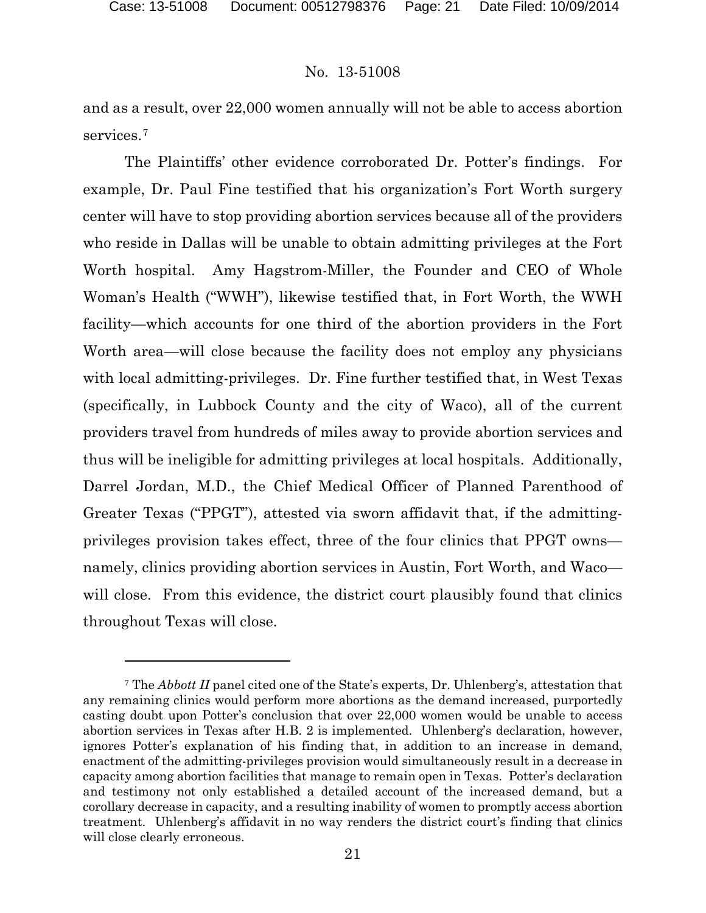### No. 13-51008

and as a result, over 22,000 women annually will not be able to access abortion services.[7](#page-20-0)

The Plaintiffs' other evidence corroborated Dr. Potter's findings. For example, Dr. Paul Fine testified that his organization's Fort Worth surgery center will have to stop providing abortion services because all of the providers who reside in Dallas will be unable to obtain admitting privileges at the Fort Worth hospital. Amy Hagstrom-Miller, the Founder and CEO of Whole Woman's Health ("WWH"), likewise testified that, in Fort Worth, the WWH facility—which accounts for one third of the abortion providers in the Fort Worth area—will close because the facility does not employ any physicians with local admitting-privileges. Dr. Fine further testified that, in West Texas (specifically, in Lubbock County and the city of Waco), all of the current providers travel from hundreds of miles away to provide abortion services and thus will be ineligible for admitting privileges at local hospitals. Additionally, Darrel Jordan, M.D., the Chief Medical Officer of Planned Parenthood of Greater Texas ("PPGT"), attested via sworn affidavit that, if the admittingprivileges provision takes effect, three of the four clinics that PPGT owns namely, clinics providing abortion services in Austin, Fort Worth, and Waco will close. From this evidence, the district court plausibly found that clinics throughout Texas will close.

<span id="page-20-0"></span><sup>7</sup> The *Abbott II* panel cited one of the State's experts, Dr. Uhlenberg's, attestation that any remaining clinics would perform more abortions as the demand increased, purportedly casting doubt upon Potter's conclusion that over 22,000 women would be unable to access abortion services in Texas after H.B. 2 is implemented. Uhlenberg's declaration, however, ignores Potter's explanation of his finding that, in addition to an increase in demand, enactment of the admitting-privileges provision would simultaneously result in a decrease in capacity among abortion facilities that manage to remain open in Texas. Potter's declaration and testimony not only established a detailed account of the increased demand, but a corollary decrease in capacity, and a resulting inability of women to promptly access abortion treatment. Uhlenberg's affidavit in no way renders the district court's finding that clinics will close clearly erroneous.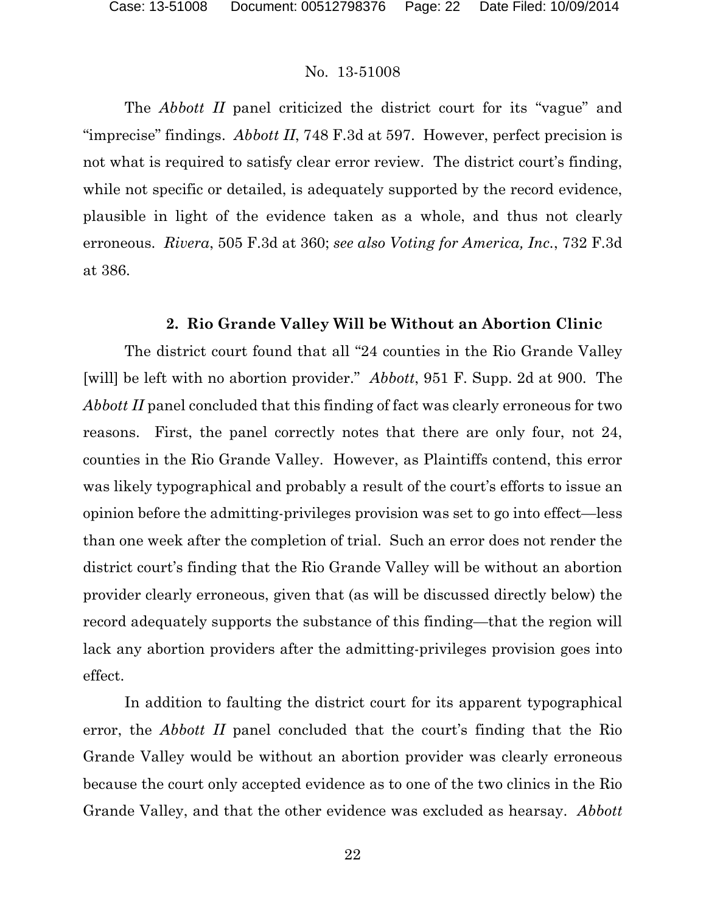The *Abbott II* panel criticized the district court for its "vague" and "imprecise" findings. *Abbott II*, 748 F.3d at 597. However, perfect precision is not what is required to satisfy clear error review. The district court's finding, while not specific or detailed, is adequately supported by the record evidence, plausible in light of the evidence taken as a whole, and thus not clearly erroneous. *Rivera*, 505 F.3d at 360; *see also Voting for America, Inc.*, 732 F.3d at 386.

### **2. Rio Grande Valley Will be Without an Abortion Clinic**

The district court found that all "24 counties in the Rio Grande Valley [will] be left with no abortion provider." *Abbott*, 951 F. Supp. 2d at 900. The *Abbott II* panel concluded that this finding of fact was clearly erroneous for two reasons. First, the panel correctly notes that there are only four, not 24, counties in the Rio Grande Valley. However, as Plaintiffs contend, this error was likely typographical and probably a result of the court's efforts to issue an opinion before the admitting-privileges provision was set to go into effect—less than one week after the completion of trial. Such an error does not render the district court's finding that the Rio Grande Valley will be without an abortion provider clearly erroneous, given that (as will be discussed directly below) the record adequately supports the substance of this finding—that the region will lack any abortion providers after the admitting-privileges provision goes into effect.

In addition to faulting the district court for its apparent typographical error, the *Abbott II* panel concluded that the court's finding that the Rio Grande Valley would be without an abortion provider was clearly erroneous because the court only accepted evidence as to one of the two clinics in the Rio Grande Valley, and that the other evidence was excluded as hearsay. *Abbott*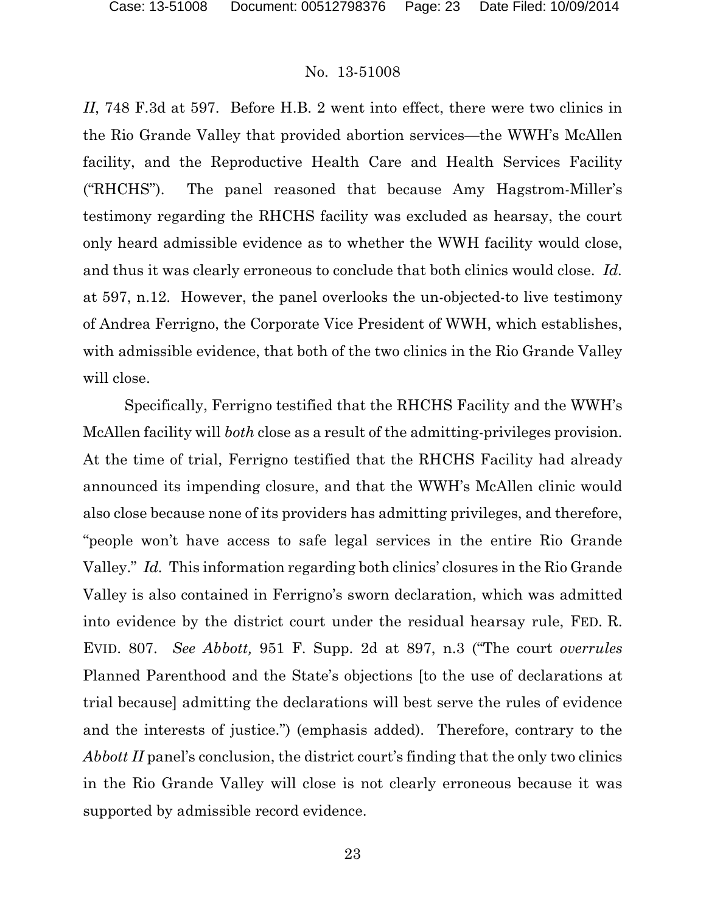*II*, 748 F.3d at 597. Before H.B. 2 went into effect, there were two clinics in the Rio Grande Valley that provided abortion services—the WWH's McAllen facility, and the Reproductive Health Care and Health Services Facility ("RHCHS"). The panel reasoned that because Amy Hagstrom-Miller's testimony regarding the RHCHS facility was excluded as hearsay, the court only heard admissible evidence as to whether the WWH facility would close, and thus it was clearly erroneous to conclude that both clinics would close. *Id.*  at 597, n.12. However, the panel overlooks the un-objected-to live testimony of Andrea Ferrigno, the Corporate Vice President of WWH, which establishes, with admissible evidence, that both of the two clinics in the Rio Grande Valley will close.

Specifically, Ferrigno testified that the RHCHS Facility and the WWH's McAllen facility will *both* close as a result of the admitting-privileges provision. At the time of trial, Ferrigno testified that the RHCHS Facility had already announced its impending closure, and that the WWH's McAllen clinic would also close because none of its providers has admitting privileges, and therefore, "people won't have access to safe legal services in the entire Rio Grande Valley." *Id.* This information regarding both clinics' closures in the Rio Grande Valley is also contained in Ferrigno's sworn declaration, which was admitted into evidence by the district court under the residual hearsay rule, FED. R. EVID. 807. *See Abbott,* 951 F. Supp. 2d at 897, n.3 ("The court *overrules* Planned Parenthood and the State's objections [to the use of declarations at trial because] admitting the declarations will best serve the rules of evidence and the interests of justice.") (emphasis added). Therefore, contrary to the *Abbott II* panel's conclusion, the district court's finding that the only two clinics in the Rio Grande Valley will close is not clearly erroneous because it was supported by admissible record evidence.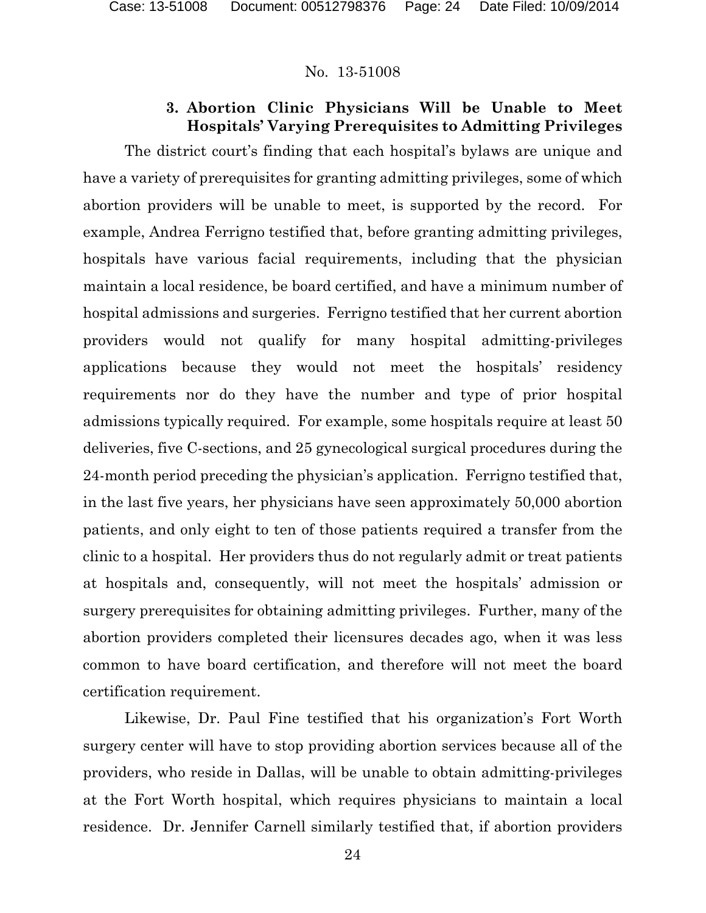## **3. Abortion Clinic Physicians Will be Unable to Meet Hospitals' Varying Prerequisites to Admitting Privileges**

The district court's finding that each hospital's bylaws are unique and have a variety of prerequisites for granting admitting privileges, some of which abortion providers will be unable to meet, is supported by the record. For example, Andrea Ferrigno testified that, before granting admitting privileges, hospitals have various facial requirements, including that the physician maintain a local residence, be board certified, and have a minimum number of hospital admissions and surgeries. Ferrigno testified that her current abortion providers would not qualify for many hospital admitting-privileges applications because they would not meet the hospitals' residency requirements nor do they have the number and type of prior hospital admissions typically required. For example, some hospitals require at least 50 deliveries, five C-sections, and 25 gynecological surgical procedures during the 24-month period preceding the physician's application. Ferrigno testified that, in the last five years, her physicians have seen approximately 50,000 abortion patients, and only eight to ten of those patients required a transfer from the clinic to a hospital. Her providers thus do not regularly admit or treat patients at hospitals and, consequently, will not meet the hospitals' admission or surgery prerequisites for obtaining admitting privileges. Further, many of the abortion providers completed their licensures decades ago, when it was less common to have board certification, and therefore will not meet the board certification requirement.

Likewise, Dr. Paul Fine testified that his organization's Fort Worth surgery center will have to stop providing abortion services because all of the providers, who reside in Dallas, will be unable to obtain admitting-privileges at the Fort Worth hospital, which requires physicians to maintain a local residence. Dr. Jennifer Carnell similarly testified that, if abortion providers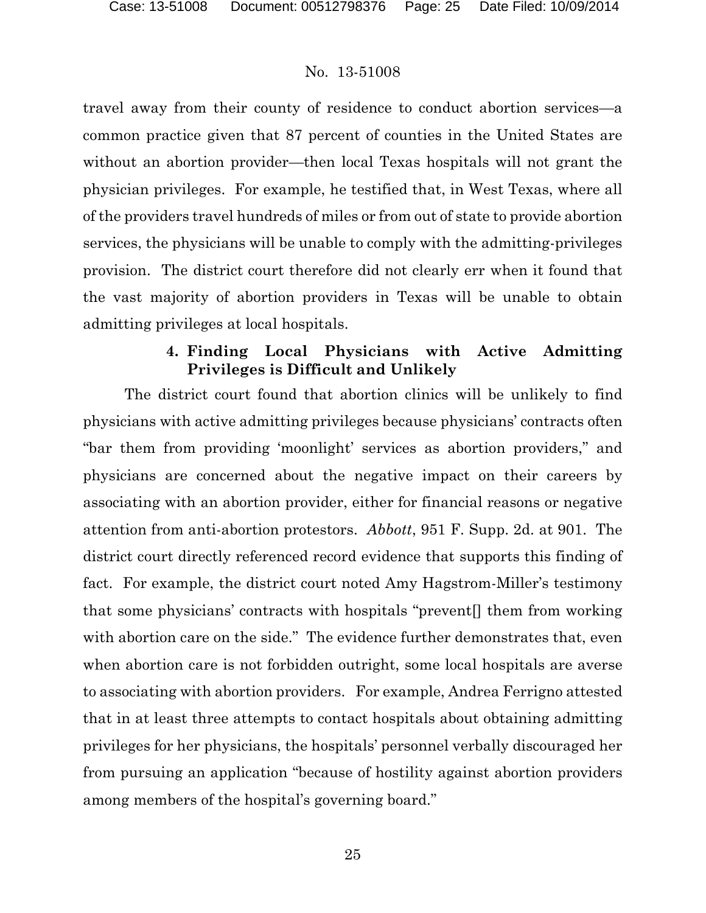travel away from their county of residence to conduct abortion services—a common practice given that 87 percent of counties in the United States are without an abortion provider—then local Texas hospitals will not grant the physician privileges. For example, he testified that, in West Texas, where all of the providers travel hundreds of miles or from out of state to provide abortion services, the physicians will be unable to comply with the admitting-privileges provision. The district court therefore did not clearly err when it found that the vast majority of abortion providers in Texas will be unable to obtain admitting privileges at local hospitals.

## **4. Finding Local Physicians with Active Admitting Privileges is Difficult and Unlikely**

The district court found that abortion clinics will be unlikely to find physicians with active admitting privileges because physicians' contracts often "bar them from providing 'moonlight' services as abortion providers," and physicians are concerned about the negative impact on their careers by associating with an abortion provider, either for financial reasons or negative attention from anti-abortion protestors. *Abbott*, 951 F. Supp. 2d. at 901. The district court directly referenced record evidence that supports this finding of fact. For example, the district court noted Amy Hagstrom-Miller's testimony that some physicians' contracts with hospitals "prevent[] them from working with abortion care on the side." The evidence further demonstrates that, even when abortion care is not forbidden outright, some local hospitals are averse to associating with abortion providers. For example, Andrea Ferrigno attested that in at least three attempts to contact hospitals about obtaining admitting privileges for her physicians, the hospitals' personnel verbally discouraged her from pursuing an application "because of hostility against abortion providers among members of the hospital's governing board."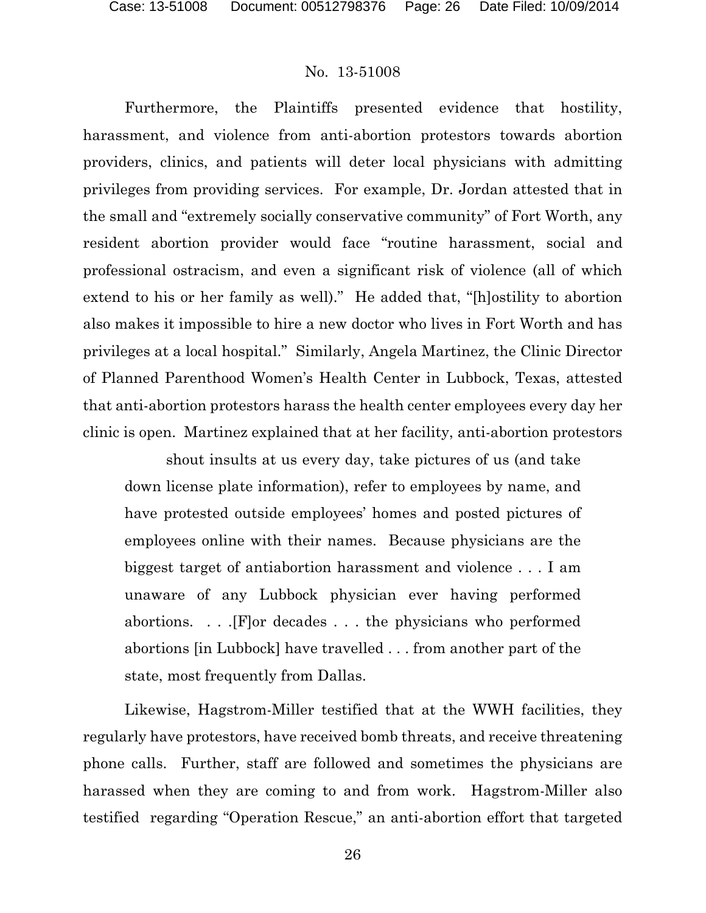Furthermore, the Plaintiffs presented evidence that hostility, harassment, and violence from anti-abortion protestors towards abortion providers, clinics, and patients will deter local physicians with admitting privileges from providing services. For example, Dr. Jordan attested that in the small and "extremely socially conservative community" of Fort Worth, any resident abortion provider would face "routine harassment, social and professional ostracism, and even a significant risk of violence (all of which extend to his or her family as well)." He added that, "[h]ostility to abortion also makes it impossible to hire a new doctor who lives in Fort Worth and has privileges at a local hospital." Similarly, Angela Martinez, the Clinic Director of Planned Parenthood Women's Health Center in Lubbock, Texas, attested that anti-abortion protestors harass the health center employees every day her clinic is open. Martinez explained that at her facility, anti-abortion protestors

shout insults at us every day, take pictures of us (and take down license plate information), refer to employees by name, and have protested outside employees' homes and posted pictures of employees online with their names. Because physicians are the biggest target of antiabortion harassment and violence . . . I am unaware of any Lubbock physician ever having performed abortions. . . .[F]or decades . . . the physicians who performed abortions [in Lubbock] have travelled . . . from another part of the state, most frequently from Dallas.

Likewise, Hagstrom-Miller testified that at the WWH facilities, they regularly have protestors, have received bomb threats, and receive threatening phone calls. Further, staff are followed and sometimes the physicians are harassed when they are coming to and from work. Hagstrom-Miller also testified regarding "Operation Rescue," an anti-abortion effort that targeted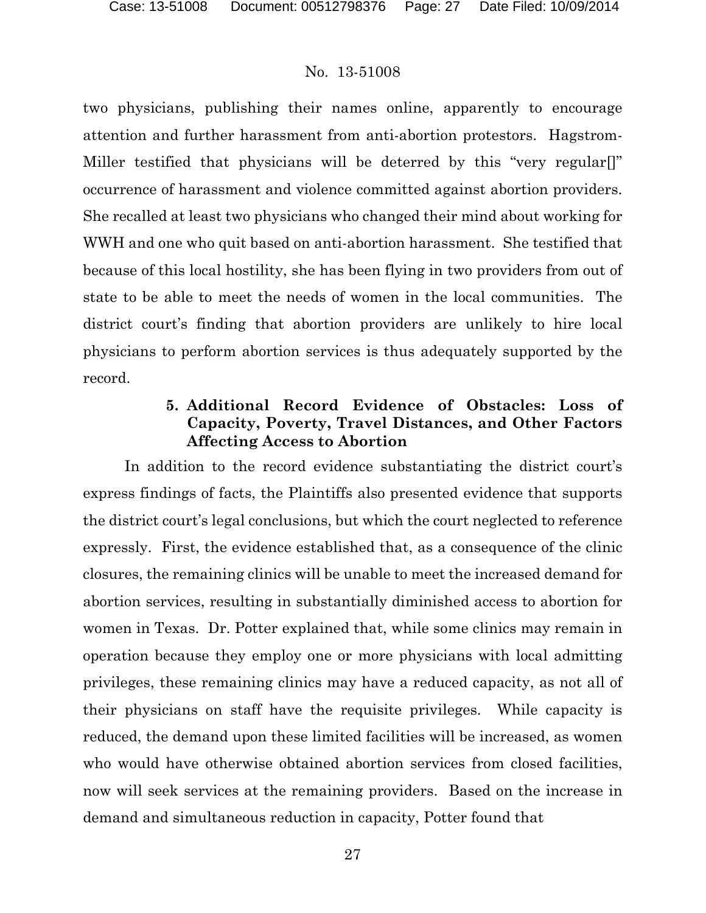two physicians, publishing their names online, apparently to encourage attention and further harassment from anti-abortion protestors. Hagstrom-Miller testified that physicians will be deterred by this "very regular[]" occurrence of harassment and violence committed against abortion providers. She recalled at least two physicians who changed their mind about working for WWH and one who quit based on anti-abortion harassment. She testified that because of this local hostility, she has been flying in two providers from out of state to be able to meet the needs of women in the local communities. The district court's finding that abortion providers are unlikely to hire local physicians to perform abortion services is thus adequately supported by the record.

## **5. Additional Record Evidence of Obstacles: Loss of Capacity, Poverty, Travel Distances, and Other Factors Affecting Access to Abortion**

In addition to the record evidence substantiating the district court's express findings of facts, the Plaintiffs also presented evidence that supports the district court's legal conclusions, but which the court neglected to reference expressly. First, the evidence established that, as a consequence of the clinic closures, the remaining clinics will be unable to meet the increased demand for abortion services, resulting in substantially diminished access to abortion for women in Texas. Dr. Potter explained that, while some clinics may remain in operation because they employ one or more physicians with local admitting privileges, these remaining clinics may have a reduced capacity, as not all of their physicians on staff have the requisite privileges. While capacity is reduced, the demand upon these limited facilities will be increased, as women who would have otherwise obtained abortion services from closed facilities, now will seek services at the remaining providers. Based on the increase in demand and simultaneous reduction in capacity, Potter found that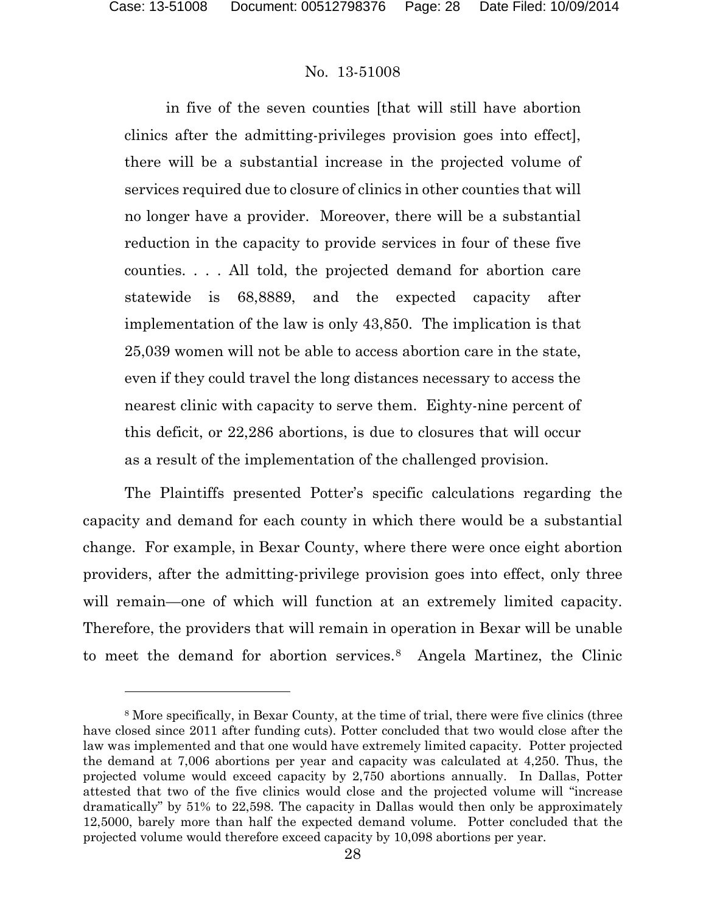### No. 13-51008

in five of the seven counties [that will still have abortion clinics after the admitting-privileges provision goes into effect], there will be a substantial increase in the projected volume of services required due to closure of clinics in other counties that will no longer have a provider. Moreover, there will be a substantial reduction in the capacity to provide services in four of these five counties. . . . All told, the projected demand for abortion care statewide is 68,8889, and the expected capacity after implementation of the law is only 43,850. The implication is that 25,039 women will not be able to access abortion care in the state, even if they could travel the long distances necessary to access the nearest clinic with capacity to serve them. Eighty-nine percent of this deficit, or 22,286 abortions, is due to closures that will occur as a result of the implementation of the challenged provision.

The Plaintiffs presented Potter's specific calculations regarding the capacity and demand for each county in which there would be a substantial change. For example, in Bexar County, where there were once eight abortion providers, after the admitting-privilege provision goes into effect, only three will remain—one of which will function at an extremely limited capacity. Therefore, the providers that will remain in operation in Bexar will be unable to meet the demand for abortion services.<sup>8</sup> Angela Martinez, the Clinic

<span id="page-27-0"></span><sup>8</sup> More specifically, in Bexar County, at the time of trial, there were five clinics (three have closed since 2011 after funding cuts). Potter concluded that two would close after the law was implemented and that one would have extremely limited capacity. Potter projected the demand at 7,006 abortions per year and capacity was calculated at 4,250. Thus, the projected volume would exceed capacity by 2,750 abortions annually. In Dallas, Potter attested that two of the five clinics would close and the projected volume will "increase dramatically" by 51% to 22,598. The capacity in Dallas would then only be approximately 12,5000, barely more than half the expected demand volume. Potter concluded that the projected volume would therefore exceed capacity by 10,098 abortions per year.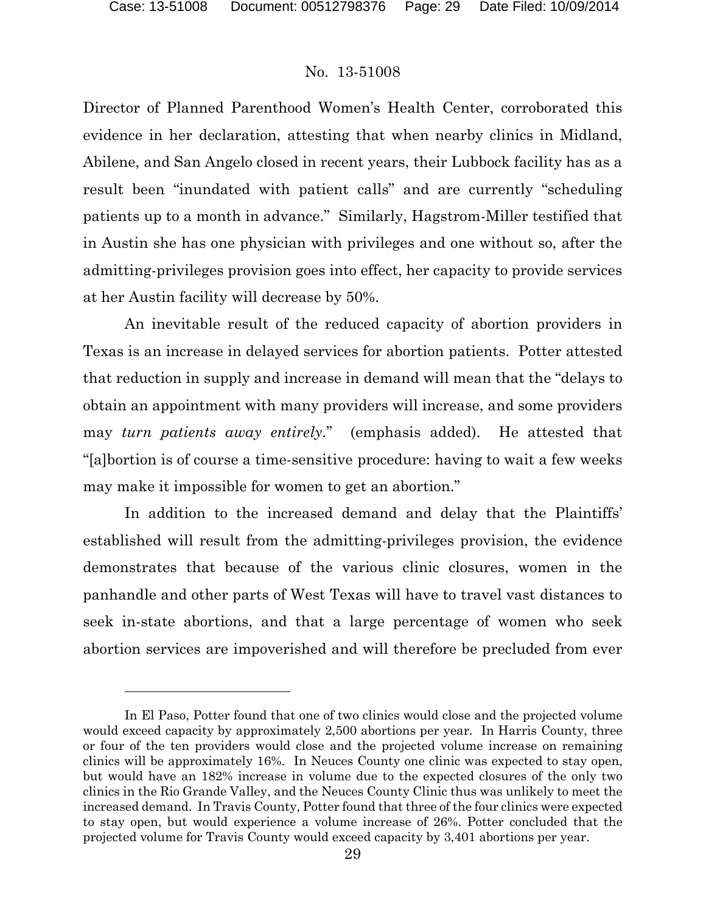### No. 13-51008

Director of Planned Parenthood Women's Health Center, corroborated this evidence in her declaration, attesting that when nearby clinics in Midland, Abilene, and San Angelo closed in recent years, their Lubbock facility has as a result been "inundated with patient calls" and are currently "scheduling patients up to a month in advance." Similarly, Hagstrom-Miller testified that in Austin she has one physician with privileges and one without so, after the admitting-privileges provision goes into effect, her capacity to provide services at her Austin facility will decrease by 50%.

An inevitable result of the reduced capacity of abortion providers in Texas is an increase in delayed services for abortion patients. Potter attested that reduction in supply and increase in demand will mean that the "delays to obtain an appointment with many providers will increase, and some providers may *turn patients away entirely*." (emphasis added). He attested that "[a]bortion is of course a time-sensitive procedure: having to wait a few weeks may make it impossible for women to get an abortion."

In addition to the increased demand and delay that the Plaintiffs' established will result from the admitting-privileges provision, the evidence demonstrates that because of the various clinic closures, women in the panhandle and other parts of West Texas will have to travel vast distances to seek in-state abortions, and that a large percentage of women who seek abortion services are impoverished and will therefore be precluded from ever

In El Paso, Potter found that one of two clinics would close and the projected volume would exceed capacity by approximately 2,500 abortions per year. In Harris County, three or four of the ten providers would close and the projected volume increase on remaining clinics will be approximately 16%. In Neuces County one clinic was expected to stay open, but would have an 182% increase in volume due to the expected closures of the only two clinics in the Rio Grande Valley, and the Neuces County Clinic thus was unlikely to meet the increased demand. In Travis County, Potter found that three of the four clinics were expected to stay open, but would experience a volume increase of 26%. Potter concluded that the projected volume for Travis County would exceed capacity by 3,401 abortions per year.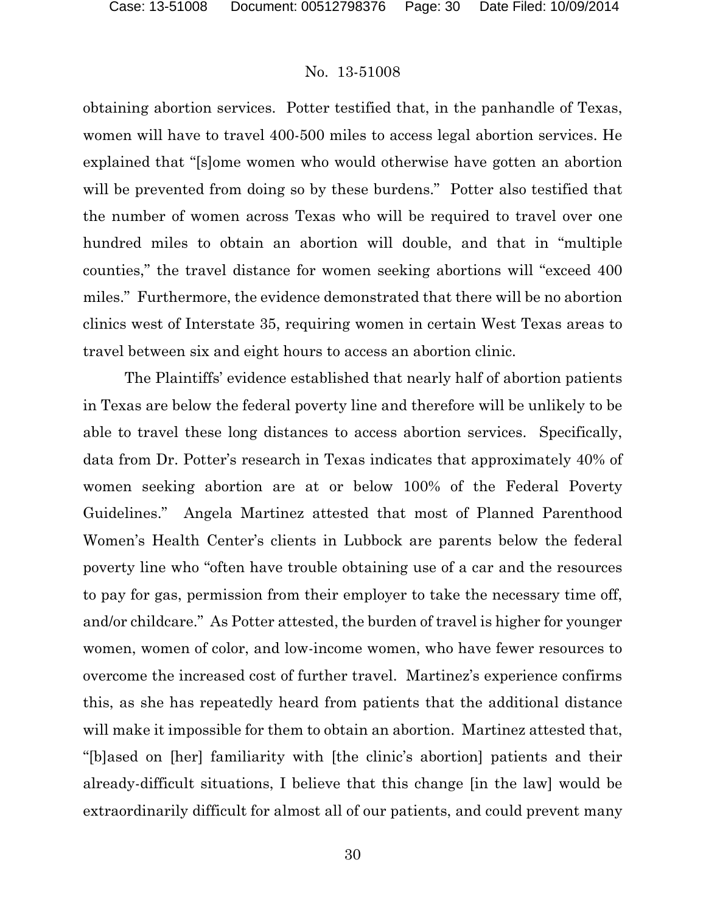obtaining abortion services. Potter testified that, in the panhandle of Texas, women will have to travel 400-500 miles to access legal abortion services. He explained that "[s]ome women who would otherwise have gotten an abortion will be prevented from doing so by these burdens." Potter also testified that the number of women across Texas who will be required to travel over one hundred miles to obtain an abortion will double, and that in "multiple counties," the travel distance for women seeking abortions will "exceed 400 miles." Furthermore, the evidence demonstrated that there will be no abortion clinics west of Interstate 35, requiring women in certain West Texas areas to travel between six and eight hours to access an abortion clinic.

The Plaintiffs' evidence established that nearly half of abortion patients in Texas are below the federal poverty line and therefore will be unlikely to be able to travel these long distances to access abortion services. Specifically, data from Dr. Potter's research in Texas indicates that approximately 40% of women seeking abortion are at or below 100% of the Federal Poverty Guidelines." Angela Martinez attested that most of Planned Parenthood Women's Health Center's clients in Lubbock are parents below the federal poverty line who "often have trouble obtaining use of a car and the resources to pay for gas, permission from their employer to take the necessary time off, and/or childcare." As Potter attested, the burden of travel is higher for younger women, women of color, and low-income women, who have fewer resources to overcome the increased cost of further travel. Martinez's experience confirms this, as she has repeatedly heard from patients that the additional distance will make it impossible for them to obtain an abortion. Martinez attested that, "[b]ased on [her] familiarity with [the clinic's abortion] patients and their already-difficult situations, I believe that this change [in the law] would be extraordinarily difficult for almost all of our patients, and could prevent many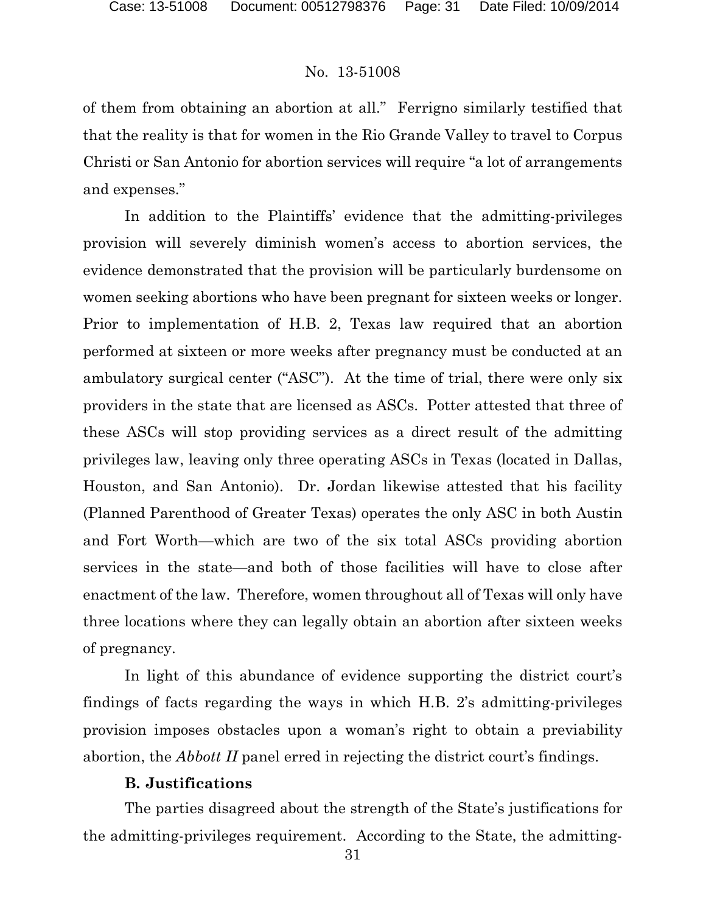of them from obtaining an abortion at all." Ferrigno similarly testified that that the reality is that for women in the Rio Grande Valley to travel to Corpus Christi or San Antonio for abortion services will require "a lot of arrangements and expenses."

In addition to the Plaintiffs' evidence that the admitting-privileges provision will severely diminish women's access to abortion services, the evidence demonstrated that the provision will be particularly burdensome on women seeking abortions who have been pregnant for sixteen weeks or longer. Prior to implementation of H.B. 2, Texas law required that an abortion performed at sixteen or more weeks after pregnancy must be conducted at an ambulatory surgical center ("ASC"). At the time of trial, there were only six providers in the state that are licensed as ASCs. Potter attested that three of these ASCs will stop providing services as a direct result of the admitting privileges law, leaving only three operating ASCs in Texas (located in Dallas, Houston, and San Antonio). Dr. Jordan likewise attested that his facility (Planned Parenthood of Greater Texas) operates the only ASC in both Austin and Fort Worth—which are two of the six total ASCs providing abortion services in the state—and both of those facilities will have to close after enactment of the law. Therefore, women throughout all of Texas will only have three locations where they can legally obtain an abortion after sixteen weeks of pregnancy.

In light of this abundance of evidence supporting the district court's findings of facts regarding the ways in which H.B. 2's admitting-privileges provision imposes obstacles upon a woman's right to obtain a previability abortion, the *Abbott II* panel erred in rejecting the district court's findings.

### **B. Justifications**

The parties disagreed about the strength of the State's justifications for the admitting-privileges requirement. According to the State, the admitting-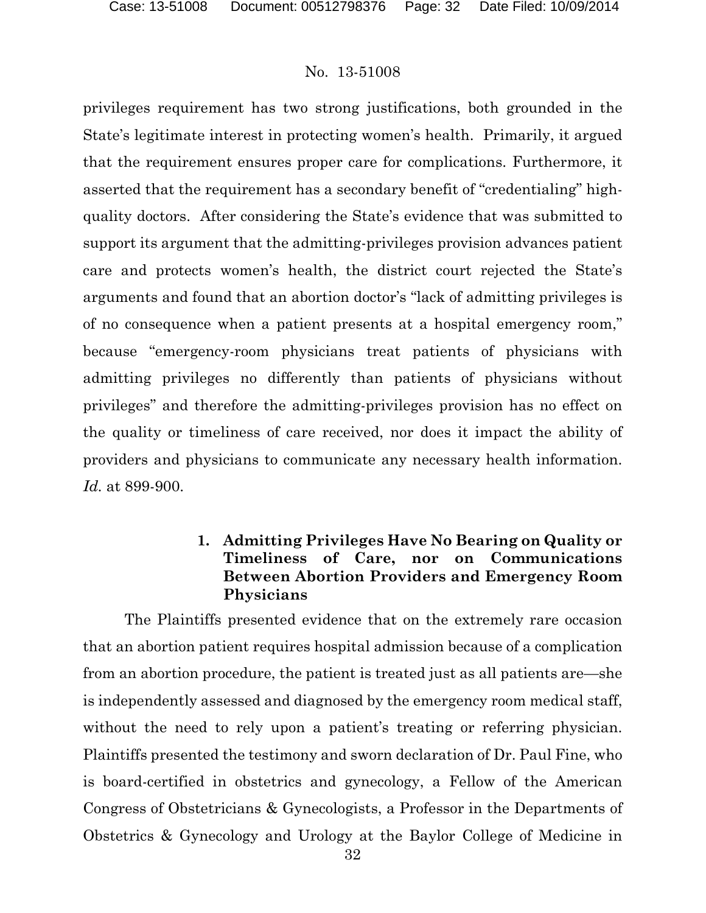privileges requirement has two strong justifications, both grounded in the State's legitimate interest in protecting women's health. Primarily, it argued that the requirement ensures proper care for complications. Furthermore, it asserted that the requirement has a secondary benefit of "credentialing" highquality doctors. After considering the State's evidence that was submitted to support its argument that the admitting-privileges provision advances patient care and protects women's health, the district court rejected the State's arguments and found that an abortion doctor's "lack of admitting privileges is of no consequence when a patient presents at a hospital emergency room," because "emergency-room physicians treat patients of physicians with admitting privileges no differently than patients of physicians without privileges" and therefore the admitting-privileges provision has no effect on the quality or timeliness of care received, nor does it impact the ability of providers and physicians to communicate any necessary health information. *Id.* at 899-900.

## **1. Admitting Privileges Have No Bearing on Quality or Timeliness of Care, nor on Communications Between Abortion Providers and Emergency Room Physicians**

The Plaintiffs presented evidence that on the extremely rare occasion that an abortion patient requires hospital admission because of a complication from an abortion procedure, the patient is treated just as all patients are—she is independently assessed and diagnosed by the emergency room medical staff, without the need to rely upon a patient's treating or referring physician. Plaintiffs presented the testimony and sworn declaration of Dr. Paul Fine, who is board-certified in obstetrics and gynecology, a Fellow of the American Congress of Obstetricians & Gynecologists, a Professor in the Departments of Obstetrics & Gynecology and Urology at the Baylor College of Medicine in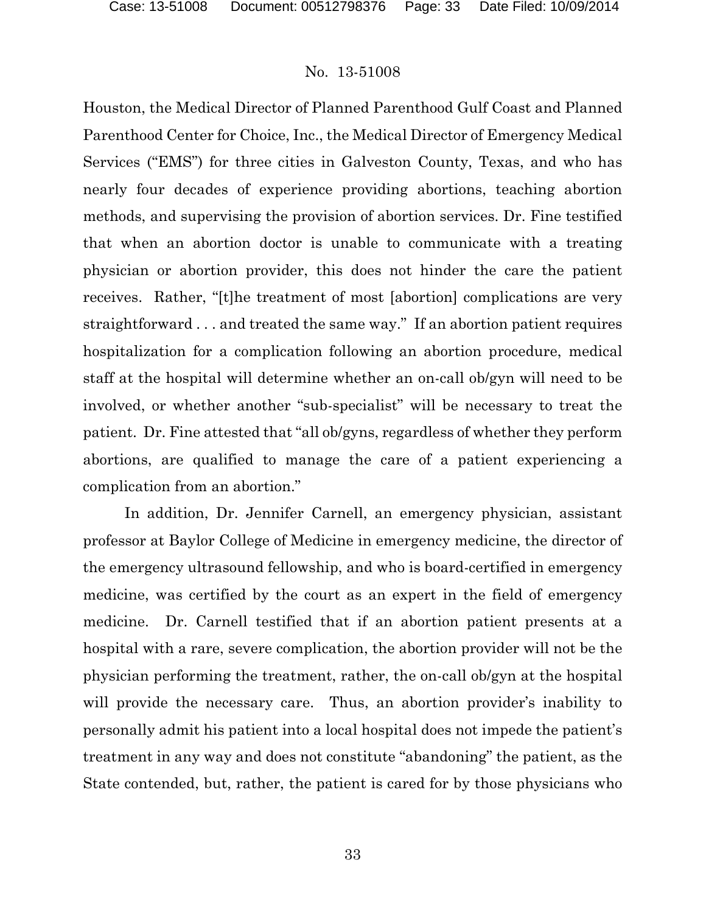Houston, the Medical Director of Planned Parenthood Gulf Coast and Planned Parenthood Center for Choice, Inc., the Medical Director of Emergency Medical Services ("EMS") for three cities in Galveston County, Texas, and who has nearly four decades of experience providing abortions, teaching abortion methods, and supervising the provision of abortion services. Dr. Fine testified that when an abortion doctor is unable to communicate with a treating physician or abortion provider, this does not hinder the care the patient receives. Rather, "[t]he treatment of most [abortion] complications are very straightforward . . . and treated the same way." If an abortion patient requires hospitalization for a complication following an abortion procedure, medical staff at the hospital will determine whether an on-call ob/gyn will need to be involved, or whether another "sub-specialist" will be necessary to treat the patient. Dr. Fine attested that "all ob/gyns, regardless of whether they perform abortions, are qualified to manage the care of a patient experiencing a complication from an abortion."

In addition, Dr. Jennifer Carnell, an emergency physician, assistant professor at Baylor College of Medicine in emergency medicine, the director of the emergency ultrasound fellowship, and who is board-certified in emergency medicine, was certified by the court as an expert in the field of emergency medicine. Dr. Carnell testified that if an abortion patient presents at a hospital with a rare, severe complication, the abortion provider will not be the physician performing the treatment, rather, the on-call ob/gyn at the hospital will provide the necessary care. Thus, an abortion provider's inability to personally admit his patient into a local hospital does not impede the patient's treatment in any way and does not constitute "abandoning" the patient, as the State contended, but, rather, the patient is cared for by those physicians who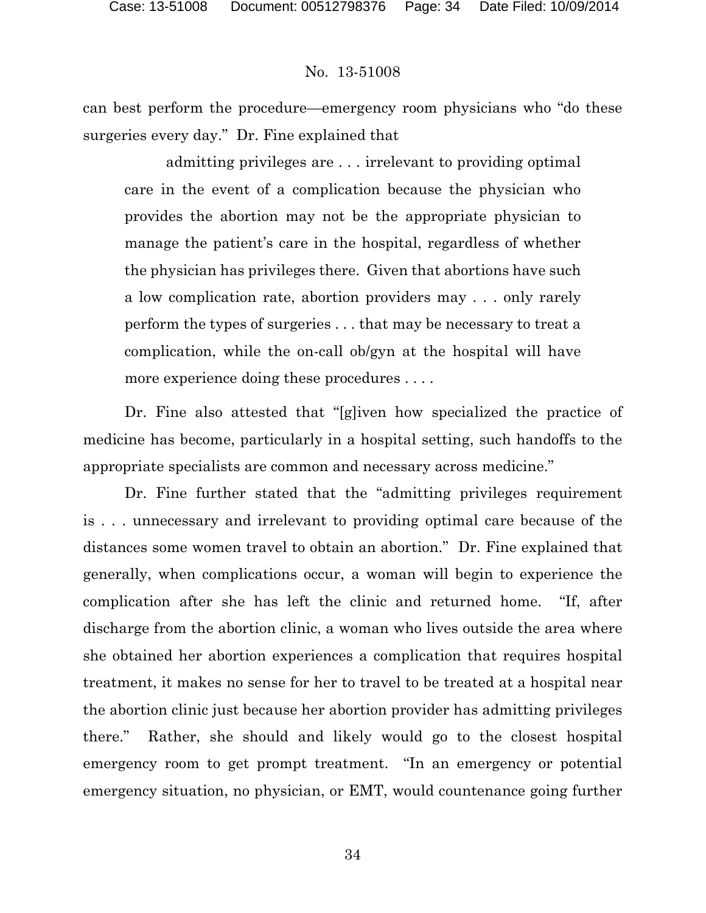can best perform the procedure—emergency room physicians who "do these surgeries every day." Dr. Fine explained that

admitting privileges are . . . irrelevant to providing optimal care in the event of a complication because the physician who provides the abortion may not be the appropriate physician to manage the patient's care in the hospital, regardless of whether the physician has privileges there. Given that abortions have such a low complication rate, abortion providers may . . . only rarely perform the types of surgeries . . . that may be necessary to treat a complication, while the on-call ob/gyn at the hospital will have more experience doing these procedures . . . .

Dr. Fine also attested that "[g]iven how specialized the practice of medicine has become, particularly in a hospital setting, such handoffs to the appropriate specialists are common and necessary across medicine."

Dr. Fine further stated that the "admitting privileges requirement is . . . unnecessary and irrelevant to providing optimal care because of the distances some women travel to obtain an abortion." Dr. Fine explained that generally, when complications occur, a woman will begin to experience the complication after she has left the clinic and returned home. "If, after discharge from the abortion clinic, a woman who lives outside the area where she obtained her abortion experiences a complication that requires hospital treatment, it makes no sense for her to travel to be treated at a hospital near the abortion clinic just because her abortion provider has admitting privileges there." Rather, she should and likely would go to the closest hospital emergency room to get prompt treatment. "In an emergency or potential emergency situation, no physician, or EMT, would countenance going further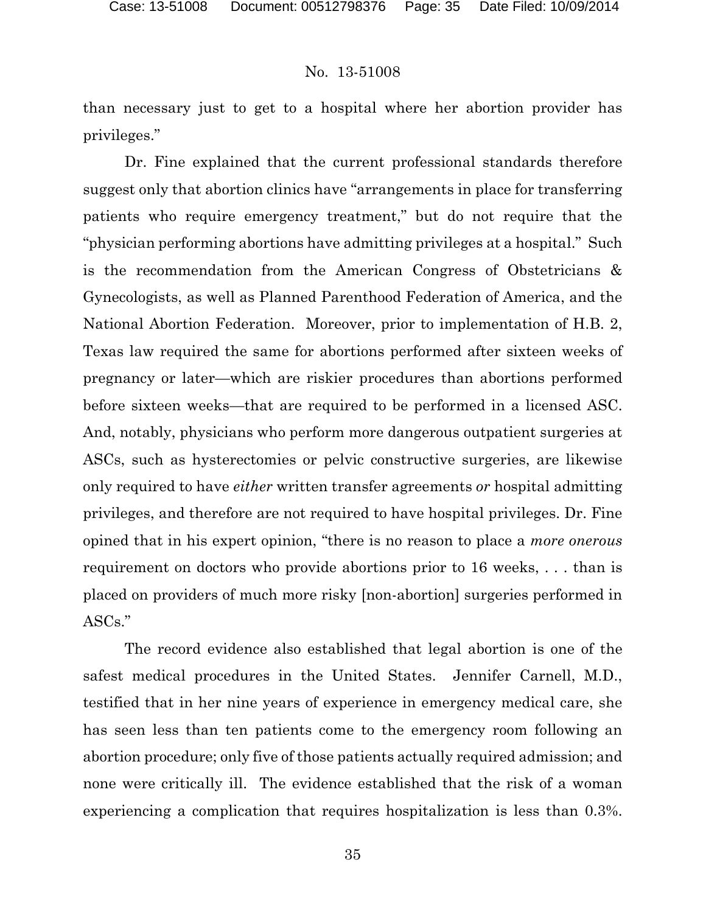than necessary just to get to a hospital where her abortion provider has privileges."

Dr. Fine explained that the current professional standards therefore suggest only that abortion clinics have "arrangements in place for transferring patients who require emergency treatment," but do not require that the "physician performing abortions have admitting privileges at a hospital." Such is the recommendation from the American Congress of Obstetricians & Gynecologists, as well as Planned Parenthood Federation of America, and the National Abortion Federation. Moreover, prior to implementation of H.B. 2, Texas law required the same for abortions performed after sixteen weeks of pregnancy or later—which are riskier procedures than abortions performed before sixteen weeks—that are required to be performed in a licensed ASC. And, notably, physicians who perform more dangerous outpatient surgeries at ASCs, such as hysterectomies or pelvic constructive surgeries, are likewise only required to have *either* written transfer agreements *or* hospital admitting privileges, and therefore are not required to have hospital privileges. Dr. Fine opined that in his expert opinion, "there is no reason to place a *more onerous*  requirement on doctors who provide abortions prior to 16 weeks, . . . than is placed on providers of much more risky [non-abortion] surgeries performed in ASCs."

The record evidence also established that legal abortion is one of the safest medical procedures in the United States. Jennifer Carnell, M.D., testified that in her nine years of experience in emergency medical care, she has seen less than ten patients come to the emergency room following an abortion procedure; only five of those patients actually required admission; and none were critically ill. The evidence established that the risk of a woman experiencing a complication that requires hospitalization is less than 0.3%.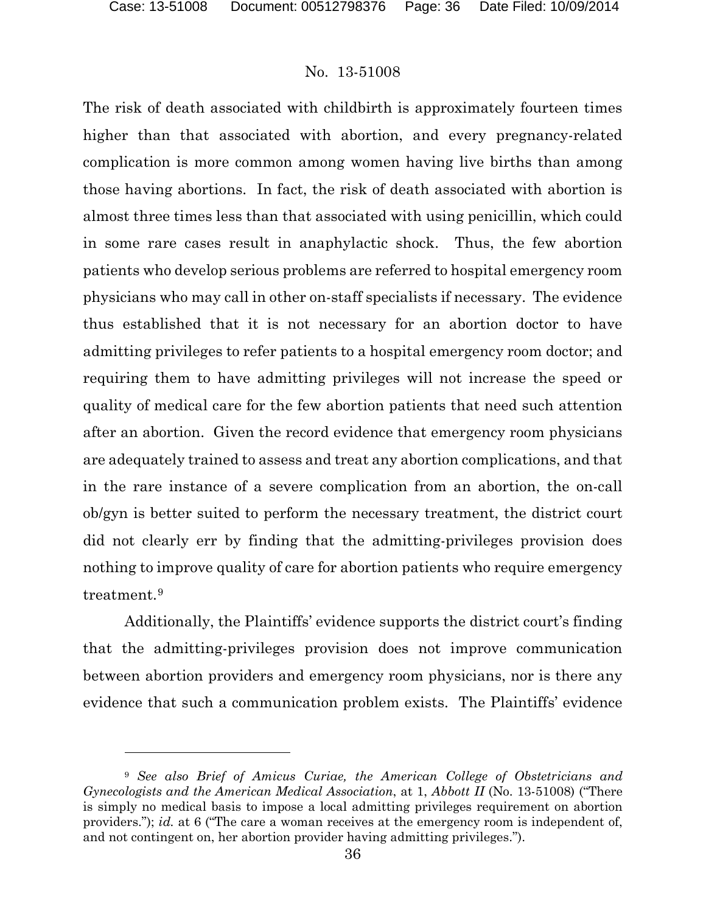l

### No. 13-51008

The risk of death associated with childbirth is approximately fourteen times higher than that associated with abortion, and every pregnancy-related complication is more common among women having live births than among those having abortions. In fact, the risk of death associated with abortion is almost three times less than that associated with using penicillin, which could in some rare cases result in anaphylactic shock. Thus, the few abortion patients who develop serious problems are referred to hospital emergency room physicians who may call in other on-staff specialists if necessary. The evidence thus established that it is not necessary for an abortion doctor to have admitting privileges to refer patients to a hospital emergency room doctor; and requiring them to have admitting privileges will not increase the speed or quality of medical care for the few abortion patients that need such attention after an abortion. Given the record evidence that emergency room physicians are adequately trained to assess and treat any abortion complications, and that in the rare instance of a severe complication from an abortion, the on-call ob/gyn is better suited to perform the necessary treatment, the district court did not clearly err by finding that the admitting-privileges provision does nothing to improve quality of care for abortion patients who require emergency treatment.[9](#page-35-0) 

Additionally, the Plaintiffs' evidence supports the district court's finding that the admitting-privileges provision does not improve communication between abortion providers and emergency room physicians, nor is there any evidence that such a communication problem exists. The Plaintiffs' evidence

<span id="page-35-0"></span><sup>9</sup> *See also Brief of Amicus Curiae, the American College of Obstetricians and Gynecologists and the American Medical Association*, at 1, *Abbott II* (No. 13-51008) ("There is simply no medical basis to impose a local admitting privileges requirement on abortion providers."); *id.* at 6 ("The care a woman receives at the emergency room is independent of, and not contingent on, her abortion provider having admitting privileges.").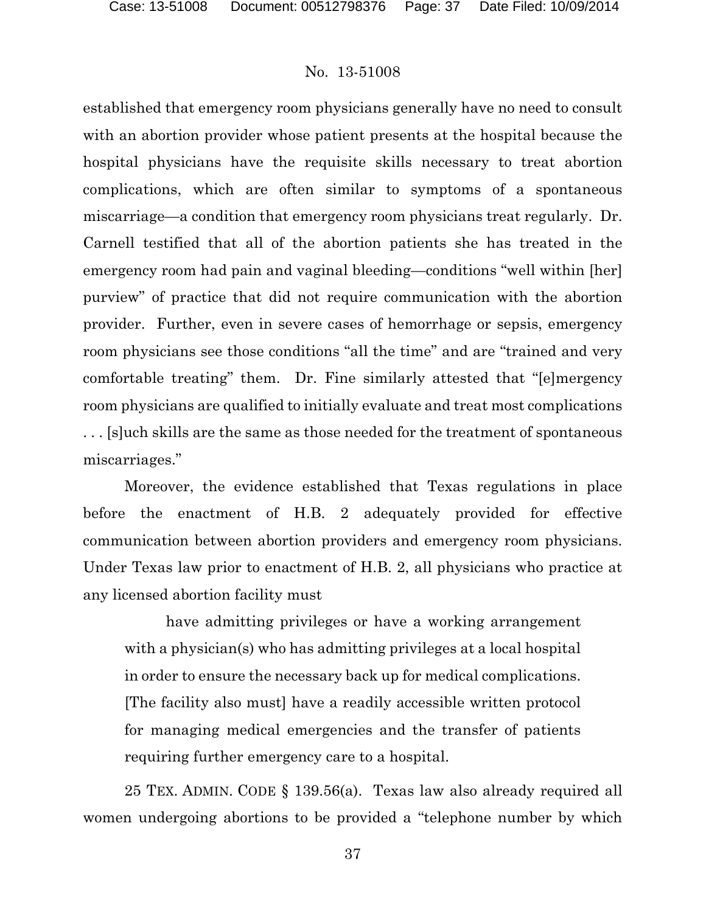established that emergency room physicians generally have no need to consult with an abortion provider whose patient presents at the hospital because the hospital physicians have the requisite skills necessary to treat abortion complications, which are often similar to symptoms of a spontaneous miscarriage—a condition that emergency room physicians treat regularly. Dr. Carnell testified that all of the abortion patients she has treated in the emergency room had pain and vaginal bleeding—conditions "well within [her] purview" of practice that did not require communication with the abortion provider. Further, even in severe cases of hemorrhage or sepsis, emergency room physicians see those conditions "all the time" and are "trained and very comfortable treating" them. Dr. Fine similarly attested that "[e]mergency room physicians are qualified to initially evaluate and treat most complications . . . [s]uch skills are the same as those needed for the treatment of spontaneous miscarriages."

Moreover, the evidence established that Texas regulations in place before the enactment of H.B. 2 adequately provided for effective communication between abortion providers and emergency room physicians. Under Texas law prior to enactment of H.B. 2, all physicians who practice at any licensed abortion facility must

have admitting privileges or have a working arrangement with a physician(s) who has admitting privileges at a local hospital in order to ensure the necessary back up for medical complications. [The facility also must] have a readily accessible written protocol for managing medical emergencies and the transfer of patients requiring further emergency care to a hospital.

25 TEX. ADMIN. CODE § 139.56(a). Texas law also already required all women undergoing abortions to be provided a "telephone number by which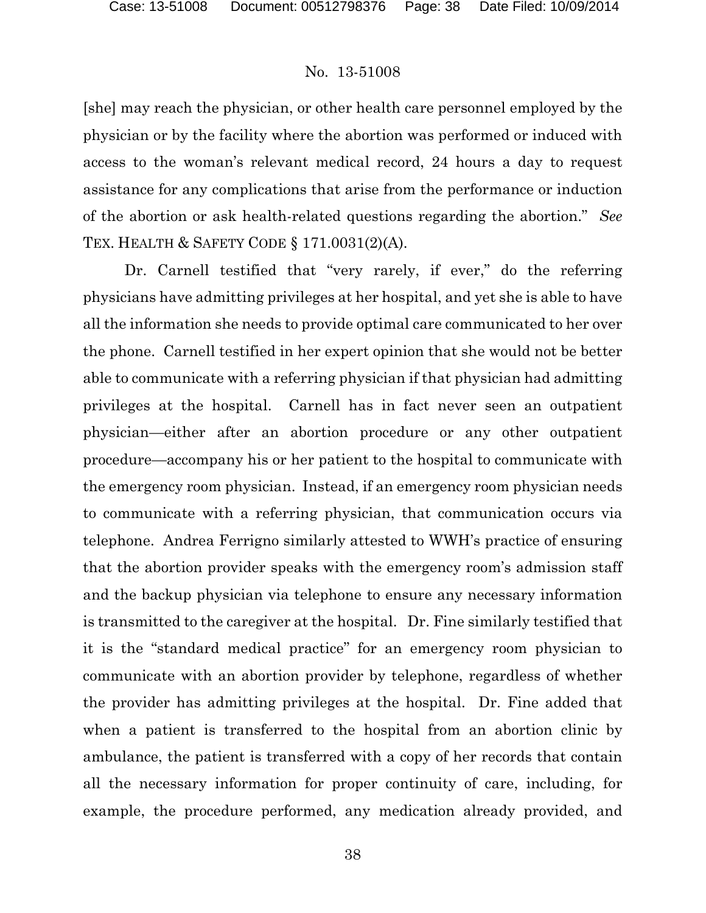[she] may reach the physician, or other health care personnel employed by the physician or by the facility where the abortion was performed or induced with access to the woman's relevant medical record, 24 hours a day to request assistance for any complications that arise from the performance or induction of the abortion or ask health-related questions regarding the abortion." *See*  TEX. HEALTH & SAFETY CODE § 171.0031(2)(A).

Dr. Carnell testified that "very rarely, if ever," do the referring physicians have admitting privileges at her hospital, and yet she is able to have all the information she needs to provide optimal care communicated to her over the phone. Carnell testified in her expert opinion that she would not be better able to communicate with a referring physician if that physician had admitting privileges at the hospital. Carnell has in fact never seen an outpatient physician—either after an abortion procedure or any other outpatient procedure—accompany his or her patient to the hospital to communicate with the emergency room physician. Instead, if an emergency room physician needs to communicate with a referring physician, that communication occurs via telephone. Andrea Ferrigno similarly attested to WWH's practice of ensuring that the abortion provider speaks with the emergency room's admission staff and the backup physician via telephone to ensure any necessary information is transmitted to the caregiver at the hospital. Dr. Fine similarly testified that it is the "standard medical practice" for an emergency room physician to communicate with an abortion provider by telephone, regardless of whether the provider has admitting privileges at the hospital. Dr. Fine added that when a patient is transferred to the hospital from an abortion clinic by ambulance, the patient is transferred with a copy of her records that contain all the necessary information for proper continuity of care, including, for example, the procedure performed, any medication already provided, and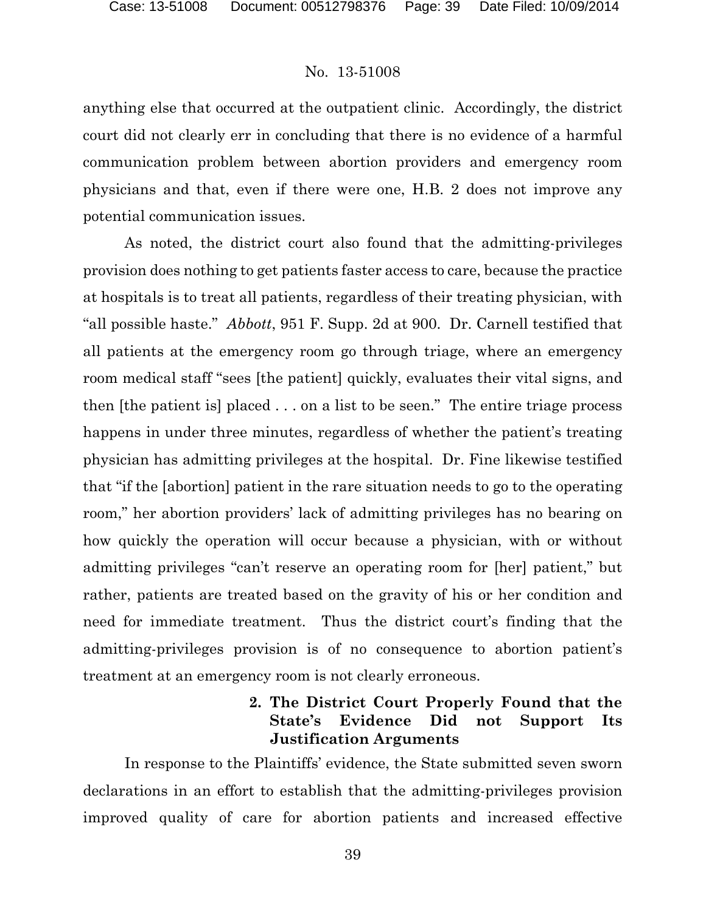anything else that occurred at the outpatient clinic. Accordingly, the district court did not clearly err in concluding that there is no evidence of a harmful communication problem between abortion providers and emergency room physicians and that, even if there were one, H.B. 2 does not improve any potential communication issues.

As noted, the district court also found that the admitting-privileges provision does nothing to get patients faster access to care, because the practice at hospitals is to treat all patients, regardless of their treating physician, with "all possible haste." *Abbott*, 951 F. Supp. 2d at 900. Dr. Carnell testified that all patients at the emergency room go through triage, where an emergency room medical staff "sees [the patient] quickly, evaluates their vital signs, and then [the patient is] placed . . . on a list to be seen." The entire triage process happens in under three minutes, regardless of whether the patient's treating physician has admitting privileges at the hospital. Dr. Fine likewise testified that "if the [abortion] patient in the rare situation needs to go to the operating room," her abortion providers' lack of admitting privileges has no bearing on how quickly the operation will occur because a physician, with or without admitting privileges "can't reserve an operating room for [her] patient," but rather, patients are treated based on the gravity of his or her condition and need for immediate treatment. Thus the district court's finding that the admitting-privileges provision is of no consequence to abortion patient's treatment at an emergency room is not clearly erroneous.

## **2. The District Court Properly Found that the State's Evidence Did not Support Its Justification Arguments**

In response to the Plaintiffs' evidence, the State submitted seven sworn declarations in an effort to establish that the admitting-privileges provision improved quality of care for abortion patients and increased effective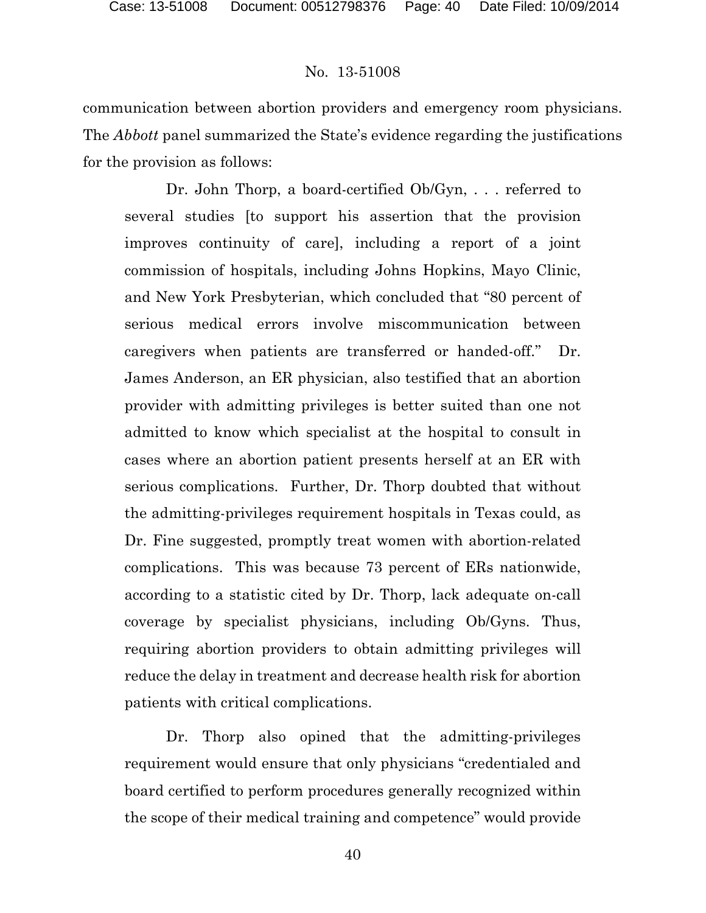communication between abortion providers and emergency room physicians. The *Abbott* panel summarized the State's evidence regarding the justifications for the provision as follows:

Dr. John Thorp, a board-certified Ob/Gyn, . . . referred to several studies [to support his assertion that the provision improves continuity of care], including a report of a joint commission of hospitals, including Johns Hopkins, Mayo Clinic, and New York Presbyterian, which concluded that "80 percent of serious medical errors involve miscommunication between caregivers when patients are transferred or handed-off." Dr. James Anderson, an ER physician, also testified that an abortion provider with admitting privileges is better suited than one not admitted to know which specialist at the hospital to consult in cases where an abortion patient presents herself at an ER with serious complications. Further, Dr. Thorp doubted that without the admitting-privileges requirement hospitals in Texas could, as Dr. Fine suggested, promptly treat women with abortion-related complications. This was because 73 percent of ERs nationwide, according to a statistic cited by Dr. Thorp, lack adequate on-call coverage by specialist physicians, including Ob/Gyns. Thus, requiring abortion providers to obtain admitting privileges will reduce the delay in treatment and decrease health risk for abortion patients with critical complications.

Dr. Thorp also opined that the admitting-privileges requirement would ensure that only physicians "credentialed and board certified to perform procedures generally recognized within the scope of their medical training and competence" would provide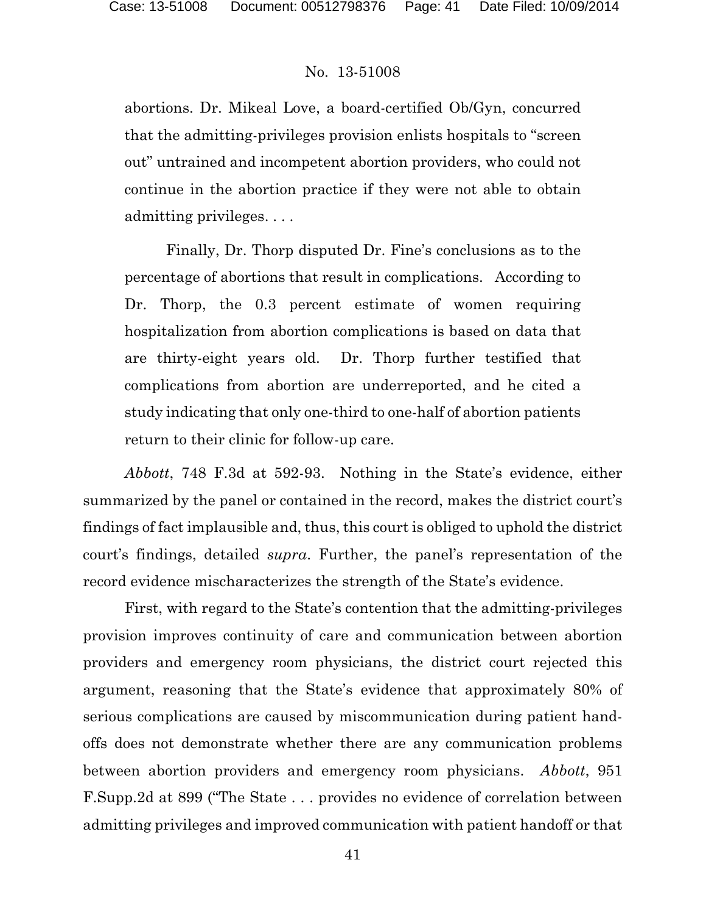abortions. Dr. Mikeal Love, a board-certified Ob/Gyn, concurred that the admitting-privileges provision enlists hospitals to "screen out" untrained and incompetent abortion providers, who could not continue in the abortion practice if they were not able to obtain admitting privileges. . . .

Finally, Dr. Thorp disputed Dr. Fine's conclusions as to the percentage of abortions that result in complications. According to Dr. Thorp, the 0.3 percent estimate of women requiring hospitalization from abortion complications is based on data that are thirty-eight years old. Dr. Thorp further testified that complications from abortion are underreported, and he cited a study indicating that only one-third to one-half of abortion patients return to their clinic for follow-up care.

*Abbott*, 748 F.3d at 592-93. Nothing in the State's evidence, either summarized by the panel or contained in the record, makes the district court's findings of fact implausible and, thus, this court is obliged to uphold the district court's findings, detailed *supra*. Further, the panel's representation of the record evidence mischaracterizes the strength of the State's evidence.

First, with regard to the State's contention that the admitting-privileges provision improves continuity of care and communication between abortion providers and emergency room physicians, the district court rejected this argument, reasoning that the State's evidence that approximately 80% of serious complications are caused by miscommunication during patient handoffs does not demonstrate whether there are any communication problems between abortion providers and emergency room physicians. *Abbott*, 951 F.Supp.2d at 899 ("The State . . . provides no evidence of correlation between admitting privileges and improved communication with patient handoff or that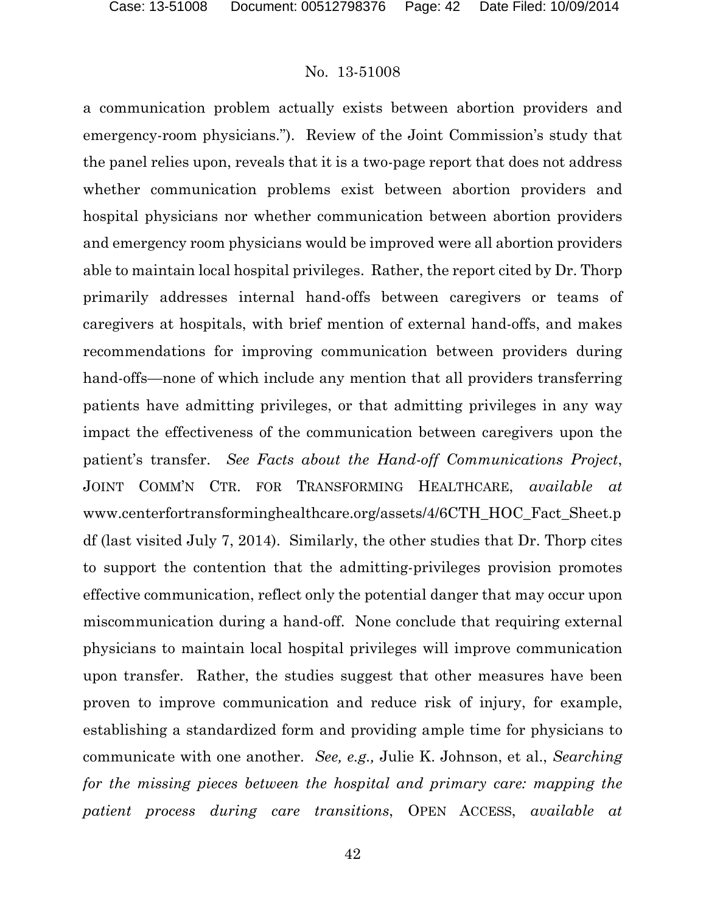a communication problem actually exists between abortion providers and emergency-room physicians."). Review of the Joint Commission's study that the panel relies upon, reveals that it is a two-page report that does not address whether communication problems exist between abortion providers and hospital physicians nor whether communication between abortion providers and emergency room physicians would be improved were all abortion providers able to maintain local hospital privileges. Rather, the report cited by Dr. Thorp primarily addresses internal hand-offs between caregivers or teams of caregivers at hospitals, with brief mention of external hand-offs, and makes recommendations for improving communication between providers during hand-offs—none of which include any mention that all providers transferring patients have admitting privileges, or that admitting privileges in any way impact the effectiveness of the communication between caregivers upon the patient's transfer. *See Facts about the Hand-off Communications Project*, JOINT COMM'N CTR. FOR TRANSFORMING HEALTHCARE, *available at*  www.centerfortransforminghealthcare.org/assets/4/6CTH\_HOC\_Fact\_Sheet.p df (last visited July 7, 2014). Similarly, the other studies that Dr. Thorp cites to support the contention that the admitting-privileges provision promotes effective communication, reflect only the potential danger that may occur upon miscommunication during a hand-off. None conclude that requiring external physicians to maintain local hospital privileges will improve communication upon transfer. Rather, the studies suggest that other measures have been proven to improve communication and reduce risk of injury, for example, establishing a standardized form and providing ample time for physicians to communicate with one another. *See, e.g.,* Julie K. Johnson, et al., *Searching for the missing pieces between the hospital and primary care: mapping the patient process during care transitions*, OPEN ACCESS, *available at*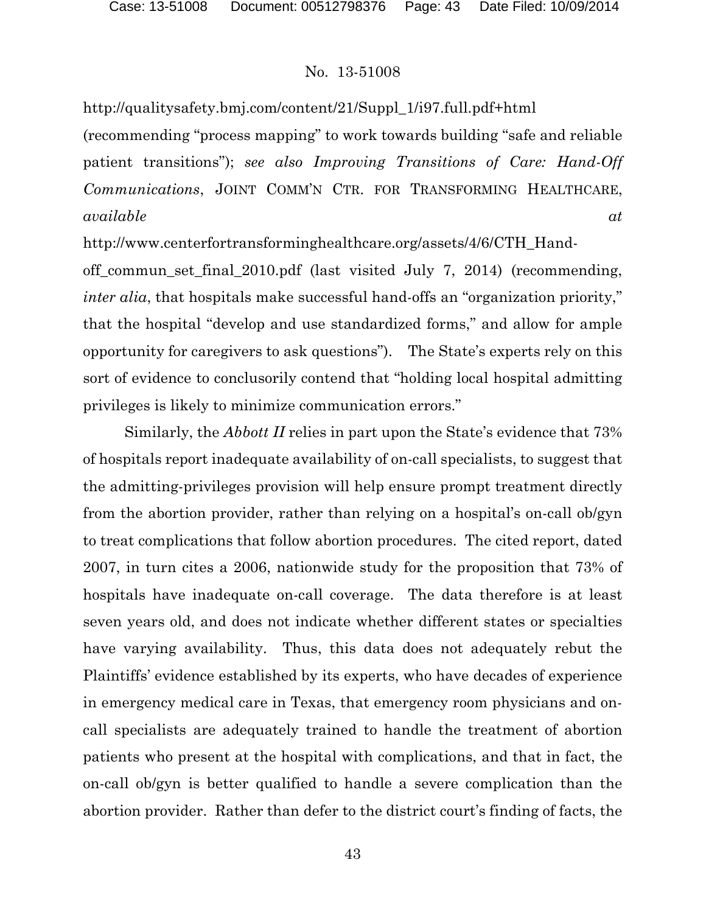http://qualitysafety.bmj.com/content/21/Suppl\_1/i97.full.pdf+html (recommending "process mapping" to work towards building "safe and reliable patient transitions"); *see also Improving Transitions of Care: Hand-Off Communications*, JOINT COMM'N CTR. FOR TRANSFORMING HEALTHCARE, *available at* 

http://www.centerfortransforminghealthcare.org/assets/4/6/CTH\_Hand-

off\_commun\_set\_final\_2010.pdf (last visited July 7, 2014) (recommending, *inter alia*, that hospitals make successful hand-offs an "organization priority," that the hospital "develop and use standardized forms," and allow for ample opportunity for caregivers to ask questions"). The State's experts rely on this sort of evidence to conclusorily contend that "holding local hospital admitting privileges is likely to minimize communication errors."

Similarly, the *Abbott II* relies in part upon the State's evidence that 73% of hospitals report inadequate availability of on-call specialists, to suggest that the admitting-privileges provision will help ensure prompt treatment directly from the abortion provider, rather than relying on a hospital's on-call ob/gyn to treat complications that follow abortion procedures. The cited report, dated 2007, in turn cites a 2006, nationwide study for the proposition that 73% of hospitals have inadequate on-call coverage. The data therefore is at least seven years old, and does not indicate whether different states or specialties have varying availability. Thus, this data does not adequately rebut the Plaintiffs' evidence established by its experts, who have decades of experience in emergency medical care in Texas, that emergency room physicians and oncall specialists are adequately trained to handle the treatment of abortion patients who present at the hospital with complications, and that in fact, the on-call ob/gyn is better qualified to handle a severe complication than the abortion provider. Rather than defer to the district court's finding of facts, the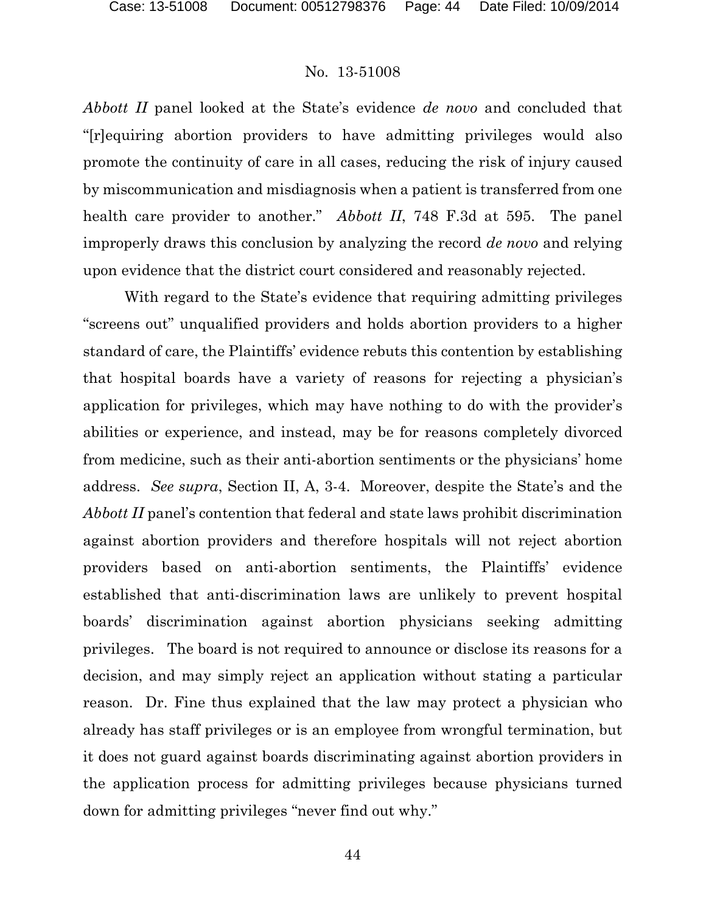*Abbott II* panel looked at the State's evidence *de novo* and concluded that "[r]equiring abortion providers to have admitting privileges would also promote the continuity of care in all cases, reducing the risk of injury caused by miscommunication and misdiagnosis when a patient is transferred from one health care provider to another." *Abbott II*, 748 F.3d at 595. The panel improperly draws this conclusion by analyzing the record *de novo* and relying upon evidence that the district court considered and reasonably rejected.

With regard to the State's evidence that requiring admitting privileges "screens out" unqualified providers and holds abortion providers to a higher standard of care, the Plaintiffs' evidence rebuts this contention by establishing that hospital boards have a variety of reasons for rejecting a physician's application for privileges, which may have nothing to do with the provider's abilities or experience, and instead, may be for reasons completely divorced from medicine, such as their anti-abortion sentiments or the physicians' home address. *See supra*, Section II, A, 3-4. Moreover, despite the State's and the *Abbott II* panel's contention that federal and state laws prohibit discrimination against abortion providers and therefore hospitals will not reject abortion providers based on anti-abortion sentiments, the Plaintiffs' evidence established that anti-discrimination laws are unlikely to prevent hospital boards' discrimination against abortion physicians seeking admitting privileges. The board is not required to announce or disclose its reasons for a decision, and may simply reject an application without stating a particular reason. Dr. Fine thus explained that the law may protect a physician who already has staff privileges or is an employee from wrongful termination, but it does not guard against boards discriminating against abortion providers in the application process for admitting privileges because physicians turned down for admitting privileges "never find out why."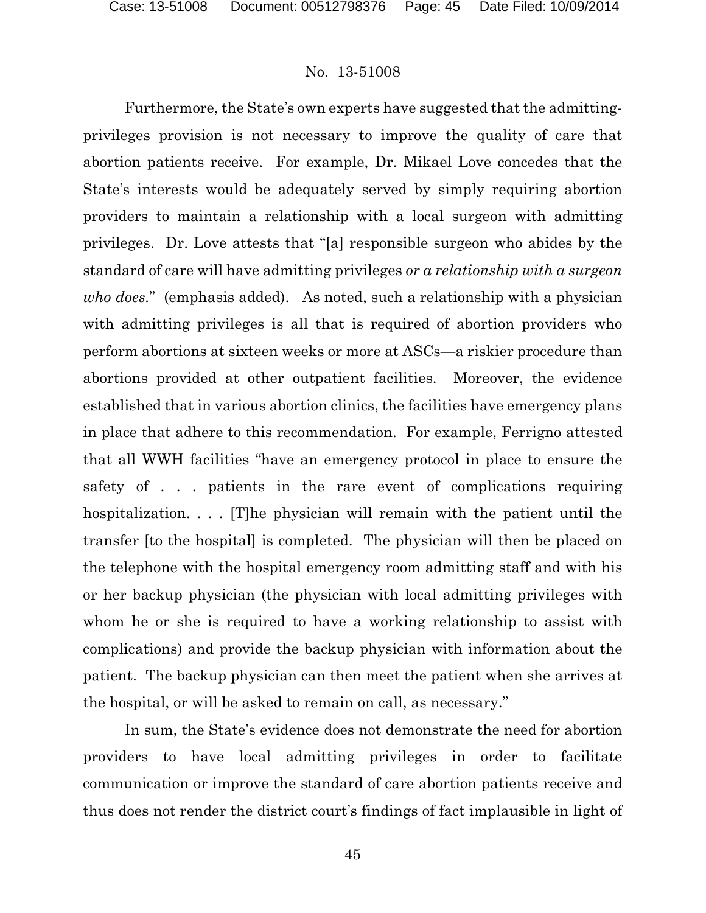Furthermore, the State's own experts have suggested that the admittingprivileges provision is not necessary to improve the quality of care that abortion patients receive. For example, Dr. Mikael Love concedes that the State's interests would be adequately served by simply requiring abortion providers to maintain a relationship with a local surgeon with admitting privileges. Dr. Love attests that "[a] responsible surgeon who abides by the standard of care will have admitting privileges *or a relationship with a surgeon who does.*" (emphasis added). As noted, such a relationship with a physician with admitting privileges is all that is required of abortion providers who perform abortions at sixteen weeks or more at ASCs—a riskier procedure than abortions provided at other outpatient facilities. Moreover, the evidence established that in various abortion clinics, the facilities have emergency plans in place that adhere to this recommendation. For example, Ferrigno attested that all WWH facilities "have an emergency protocol in place to ensure the safety of . . . patients in the rare event of complications requiring hospitalization. . . . [T]he physician will remain with the patient until the transfer [to the hospital] is completed. The physician will then be placed on the telephone with the hospital emergency room admitting staff and with his or her backup physician (the physician with local admitting privileges with whom he or she is required to have a working relationship to assist with complications) and provide the backup physician with information about the patient. The backup physician can then meet the patient when she arrives at the hospital, or will be asked to remain on call, as necessary."

In sum, the State's evidence does not demonstrate the need for abortion providers to have local admitting privileges in order to facilitate communication or improve the standard of care abortion patients receive and thus does not render the district court's findings of fact implausible in light of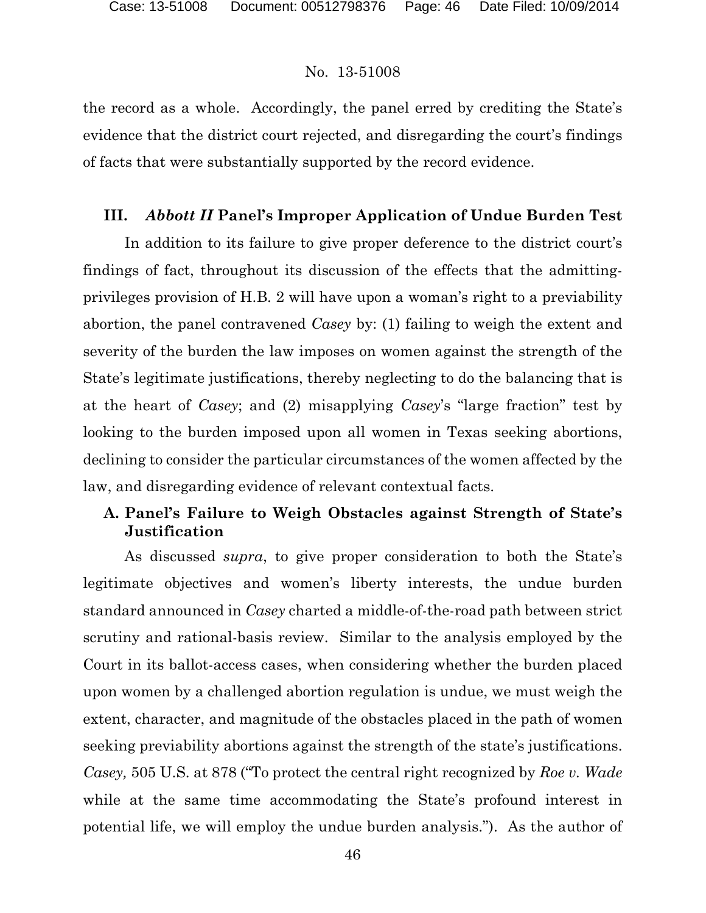the record as a whole. Accordingly, the panel erred by crediting the State's evidence that the district court rejected, and disregarding the court's findings of facts that were substantially supported by the record evidence.

### **III.** *Abbott II* **Panel's Improper Application of Undue Burden Test**

In addition to its failure to give proper deference to the district court's findings of fact, throughout its discussion of the effects that the admittingprivileges provision of H.B. 2 will have upon a woman's right to a previability abortion, the panel contravened *Casey* by: (1) failing to weigh the extent and severity of the burden the law imposes on women against the strength of the State's legitimate justifications, thereby neglecting to do the balancing that is at the heart of *Casey*; and (2) misapplying *Casey*'s "large fraction" test by looking to the burden imposed upon all women in Texas seeking abortions, declining to consider the particular circumstances of the women affected by the law, and disregarding evidence of relevant contextual facts.

# **A. Panel's Failure to Weigh Obstacles against Strength of State's Justification**

As discussed *supra*, to give proper consideration to both the State's legitimate objectives and women's liberty interests, the undue burden standard announced in *Casey* charted a middle-of-the-road path between strict scrutiny and rational-basis review. Similar to the analysis employed by the Court in its ballot-access cases, when considering whether the burden placed upon women by a challenged abortion regulation is undue, we must weigh the extent, character, and magnitude of the obstacles placed in the path of women seeking previability abortions against the strength of the state's justifications. *Casey,* 505 U.S. at 878 ("To protect the central right recognized by *Roe v. Wade*  while at the same time accommodating the State's profound interest in potential life, we will employ the undue burden analysis."). As the author of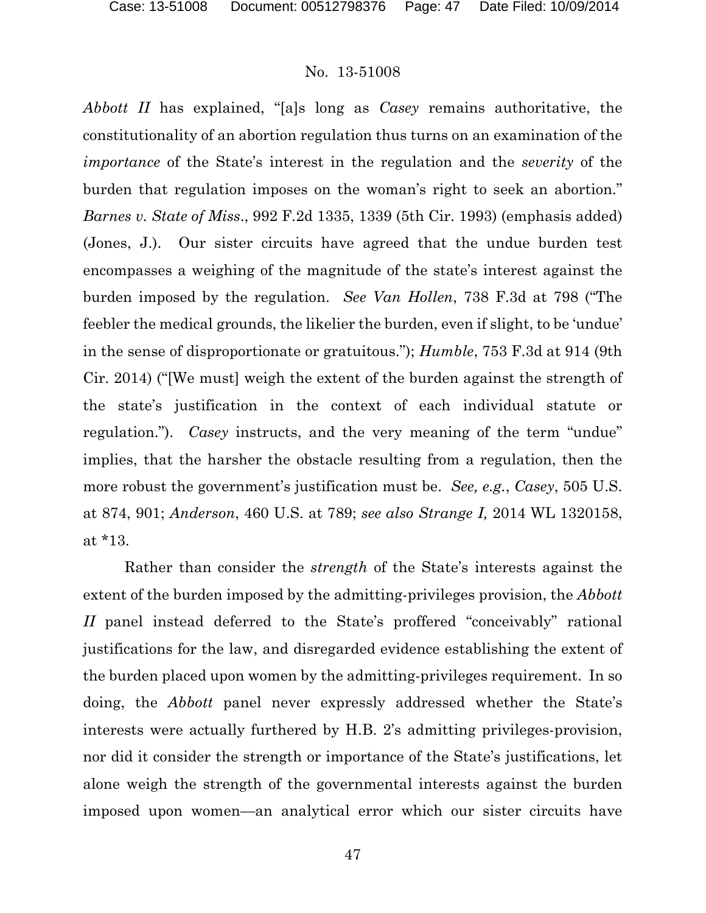*Abbott II* has explained, "[a]s long as *Casey* remains authoritative, the constitutionality of an abortion regulation thus turns on an examination of the *importance* of the State's interest in the regulation and the *severity* of the burden that regulation imposes on the woman's right to seek an abortion." *Barnes v. State of Miss*., 992 F.2d 1335, 1339 (5th Cir. 1993) (emphasis added) (Jones, J.). Our sister circuits have agreed that the undue burden test encompasses a weighing of the magnitude of the state's interest against the burden imposed by the regulation. *See Van Hollen*, 738 F.3d at 798 ("The feebler the medical grounds, the likelier the burden, even if slight, to be 'undue' in the sense of disproportionate or gratuitous."); *Humble*, 753 F.3d at 914 (9th Cir. 2014) ("[We must] weigh the extent of the burden against the strength of the state's justification in the context of each individual statute or regulation."). *Casey* instructs, and the very meaning of the term "undue" implies, that the harsher the obstacle resulting from a regulation, then the more robust the government's justification must be. *See, e.g.*, *Casey*, 505 U.S. at 874, 901; *Anderson*, 460 U.S. at 789; *see also Strange I,* 2014 WL 1320158, at \*13.

Rather than consider the *strength* of the State's interests against the extent of the burden imposed by the admitting-privileges provision, the *Abbott II* panel instead deferred to the State's proffered "conceivably" rational justifications for the law, and disregarded evidence establishing the extent of the burden placed upon women by the admitting-privileges requirement. In so doing, the *Abbott* panel never expressly addressed whether the State's interests were actually furthered by H.B. 2's admitting privileges-provision, nor did it consider the strength or importance of the State's justifications, let alone weigh the strength of the governmental interests against the burden imposed upon women—an analytical error which our sister circuits have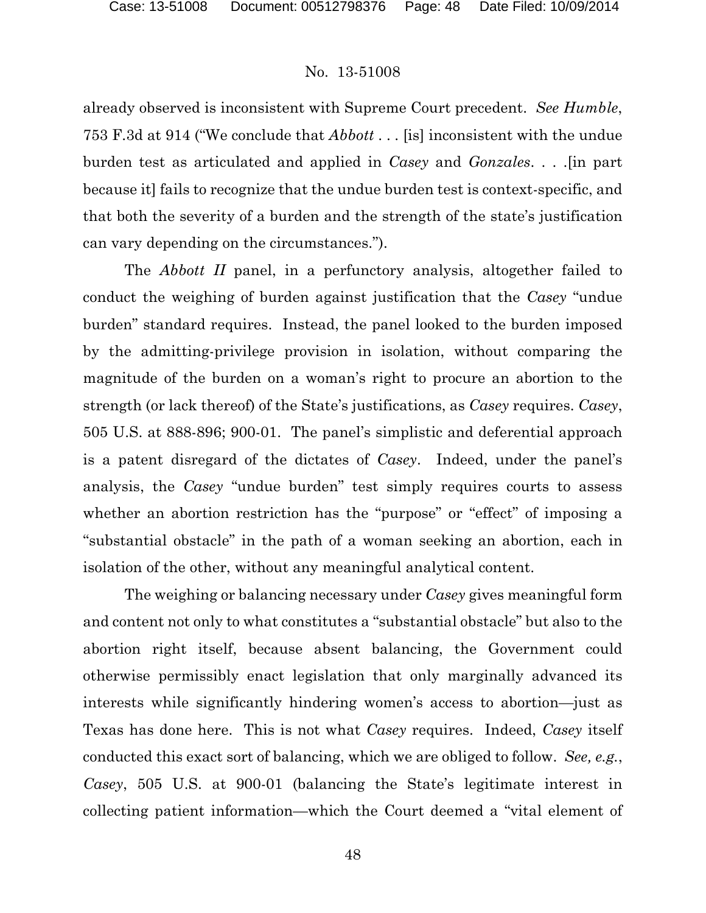already observed is inconsistent with Supreme Court precedent. *See Humble*, 753 F.3d at 914 ("We conclude that *Abbott* . . . [is] inconsistent with the undue burden test as articulated and applied in *Casey* and *Gonzales*. . . .[in part because it] fails to recognize that the undue burden test is context-specific, and that both the severity of a burden and the strength of the state's justification can vary depending on the circumstances.").

The *Abbott II* panel, in a perfunctory analysis, altogether failed to conduct the weighing of burden against justification that the *Casey* "undue burden" standard requires. Instead, the panel looked to the burden imposed by the admitting-privilege provision in isolation, without comparing the magnitude of the burden on a woman's right to procure an abortion to the strength (or lack thereof) of the State's justifications, as *Casey* requires. *Casey*, 505 U.S. at 888-896; 900-01. The panel's simplistic and deferential approach is a patent disregard of the dictates of *Casey*. Indeed, under the panel's analysis, the *Casey* "undue burden" test simply requires courts to assess whether an abortion restriction has the "purpose" or "effect" of imposing a "substantial obstacle" in the path of a woman seeking an abortion, each in isolation of the other, without any meaningful analytical content.

The weighing or balancing necessary under *Casey* gives meaningful form and content not only to what constitutes a "substantial obstacle" but also to the abortion right itself, because absent balancing, the Government could otherwise permissibly enact legislation that only marginally advanced its interests while significantly hindering women's access to abortion—just as Texas has done here. This is not what *Casey* requires. Indeed, *Casey* itself conducted this exact sort of balancing, which we are obliged to follow. *See, e.g.*, *Casey*, 505 U.S. at 900-01 (balancing the State's legitimate interest in collecting patient information—which the Court deemed a "vital element of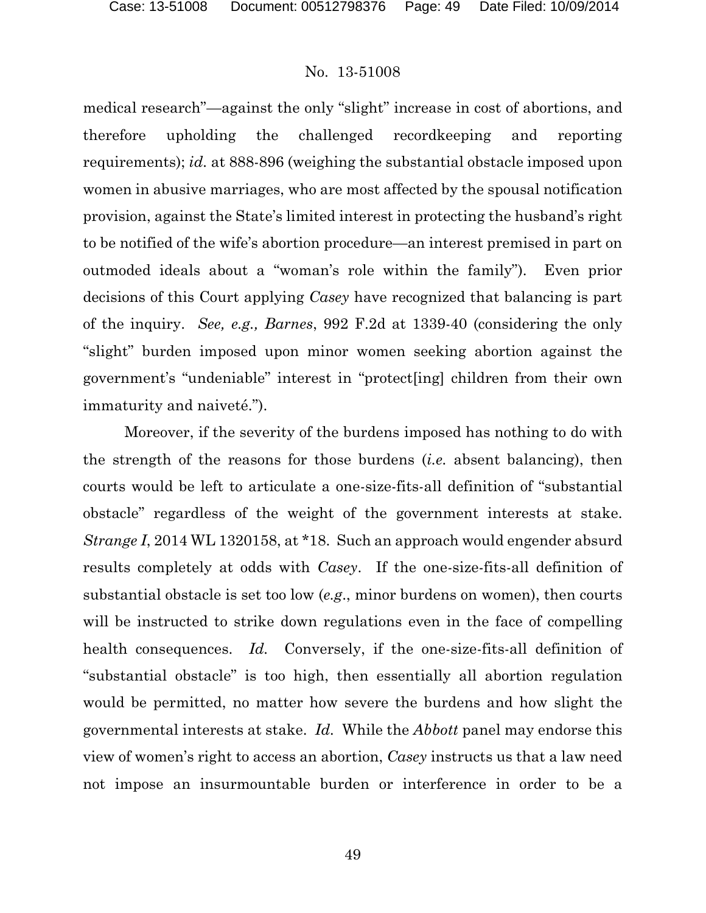medical research"—against the only "slight" increase in cost of abortions, and therefore upholding the challenged recordkeeping and reporting requirements); *id.* at 888-896 (weighing the substantial obstacle imposed upon women in abusive marriages, who are most affected by the spousal notification provision, against the State's limited interest in protecting the husband's right to be notified of the wife's abortion procedure—an interest premised in part on outmoded ideals about a "woman's role within the family"). Even prior decisions of this Court applying *Casey* have recognized that balancing is part of the inquiry. *See, e.g., Barnes*, 992 F.2d at 1339-40 (considering the only "slight" burden imposed upon minor women seeking abortion against the government's "undeniable" interest in "protect[ing] children from their own immaturity and naiveté.").

Moreover, if the severity of the burdens imposed has nothing to do with the strength of the reasons for those burdens (*i.e.* absent balancing), then courts would be left to articulate a one-size-fits-all definition of "substantial obstacle" regardless of the weight of the government interests at stake. *Strange I*, 2014 WL 1320158, at \*18. Such an approach would engender absurd results completely at odds with *Casey*. If the one-size-fits-all definition of substantial obstacle is set too low (*e.g*., minor burdens on women), then courts will be instructed to strike down regulations even in the face of compelling health consequences. *Id.* Conversely, if the one-size-fits-all definition of "substantial obstacle" is too high, then essentially all abortion regulation would be permitted, no matter how severe the burdens and how slight the governmental interests at stake. *Id.* While the *Abbott* panel may endorse this view of women's right to access an abortion, *Casey* instructs us that a law need not impose an insurmountable burden or interference in order to be a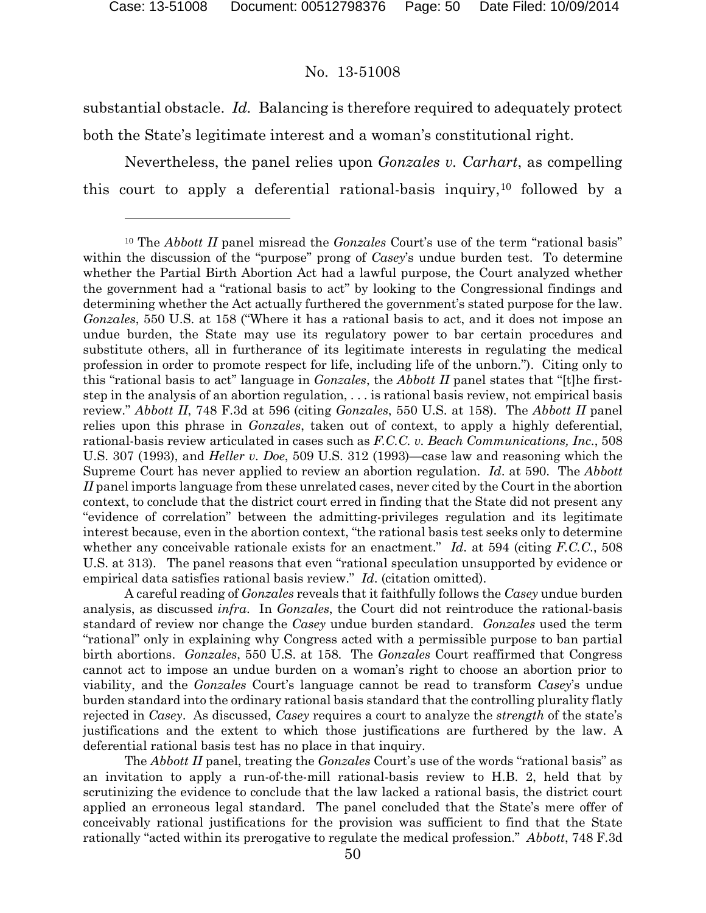### No. 13-51008

substantial obstacle. *Id.* Balancing is therefore required to adequately protect both the State's legitimate interest and a woman's constitutional right.

Nevertheless, the panel relies upon *Gonzales v. Carhart*, as compelling this court to apply a deferential rational-basis inquiry,[10](#page-49-0) followed by a

The *Abbott II* panel, treating the *Gonzales* Court's use of the words "rational basis" as an invitation to apply a run-of-the-mill rational-basis review to H.B. 2, held that by scrutinizing the evidence to conclude that the law lacked a rational basis, the district court applied an erroneous legal standard. The panel concluded that the State's mere offer of conceivably rational justifications for the provision was sufficient to find that the State rationally "acted within its prerogative to regulate the medical profession." *Abbott*, 748 F.3d

<span id="page-49-0"></span><sup>10</sup> The *Abbott II* panel misread the *Gonzales* Court's use of the term "rational basis" within the discussion of the "purpose" prong of *Casey*'s undue burden test. To determine whether the Partial Birth Abortion Act had a lawful purpose, the Court analyzed whether the government had a "rational basis to act" by looking to the Congressional findings and determining whether the Act actually furthered the government's stated purpose for the law. *Gonzales*, 550 U.S. at 158 ("Where it has a rational basis to act, and it does not impose an undue burden, the State may use its regulatory power to bar certain procedures and substitute others, all in furtherance of its legitimate interests in regulating the medical profession in order to promote respect for life, including life of the unborn."). Citing only to this "rational basis to act" language in *Gonzales*, the *Abbott II* panel states that "[t]he firststep in the analysis of an abortion regulation, . . . is rational basis review, not empirical basis review." *Abbott II*, 748 F.3d at 596 (citing *Gonzales*, 550 U.S. at 158). The *Abbott II* panel relies upon this phrase in *Gonzales*, taken out of context, to apply a highly deferential, rational-basis review articulated in cases such as *F.C.C. v. Beach Communications, Inc*., 508 U.S. 307 (1993), and *Heller v. Doe*, 509 U.S. 312 (1993)—case law and reasoning which the Supreme Court has never applied to review an abortion regulation. *Id*. at 590. The *Abbott II* panel imports language from these unrelated cases, never cited by the Court in the abortion context, to conclude that the district court erred in finding that the State did not present any "evidence of correlation" between the admitting-privileges regulation and its legitimate interest because, even in the abortion context, "the rational basis test seeks only to determine whether any conceivable rationale exists for an enactment." *Id*. at 594 (citing *F.C.C*., 508 U.S. at 313). The panel reasons that even "rational speculation unsupported by evidence or empirical data satisfies rational basis review." *Id*. (citation omitted).

A careful reading of *Gonzales* reveals that it faithfully follows the *Casey* undue burden analysis, as discussed *infra*. In *Gonzales*, the Court did not reintroduce the rational-basis standard of review nor change the *Casey* undue burden standard. *Gonzales* used the term "rational" only in explaining why Congress acted with a permissible purpose to ban partial birth abortions. *Gonzales*, 550 U.S. at 158. The *Gonzales* Court reaffirmed that Congress cannot act to impose an undue burden on a woman's right to choose an abortion prior to viability, and the *Gonzales* Court's language cannot be read to transform *Casey*'s undue burden standard into the ordinary rational basis standard that the controlling plurality flatly rejected in *Casey*. As discussed, *Casey* requires a court to analyze the *strength* of the state's justifications and the extent to which those justifications are furthered by the law. A deferential rational basis test has no place in that inquiry.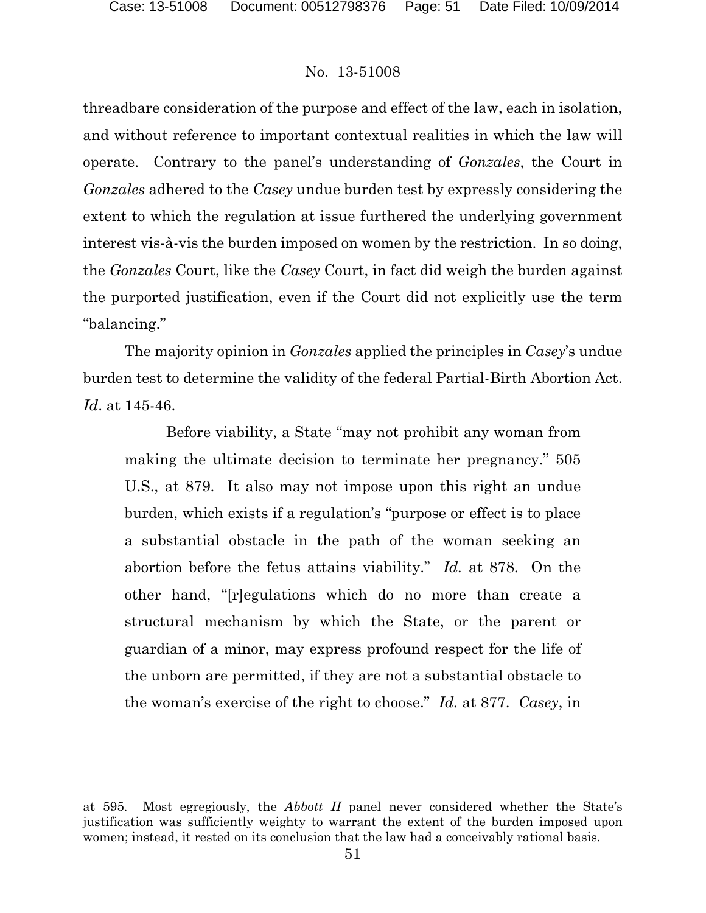### No. 13-51008

threadbare consideration of the purpose and effect of the law, each in isolation, and without reference to important contextual realities in which the law will operate. Contrary to the panel's understanding of *Gonzales*, the Court in *Gonzales* adhered to the *Casey* undue burden test by expressly considering the extent to which the regulation at issue furthered the underlying government interest vis-à-vis the burden imposed on women by the restriction. In so doing, the *Gonzales* Court, like the *Casey* Court, in fact did weigh the burden against the purported justification, even if the Court did not explicitly use the term "balancing."

The majority opinion in *Gonzales* applied the principles in *Casey*'s undue burden test to determine the validity of the federal Partial-Birth Abortion Act. *Id*. at 145-46.

Before viability, a State "may not prohibit any woman from making the ultimate decision to terminate her pregnancy." 505 U.S., at 879. It also may not impose upon this right an undue burden, which exists if a regulation's "purpose or effect is to place a substantial obstacle in the path of the woman seeking an abortion before the fetus attains viability." *Id.* at 878. On the other hand, "[r]egulations which do no more than create a structural mechanism by which the State, or the parent or guardian of a minor, may express profound respect for the life of the unborn are permitted, if they are not a substantial obstacle to the woman's exercise of the right to choose." *Id.* at 877. *Casey*, in

at 595. Most egregiously, the *Abbott II* panel never considered whether the State's justification was sufficiently weighty to warrant the extent of the burden imposed upon women; instead, it rested on its conclusion that the law had a conceivably rational basis.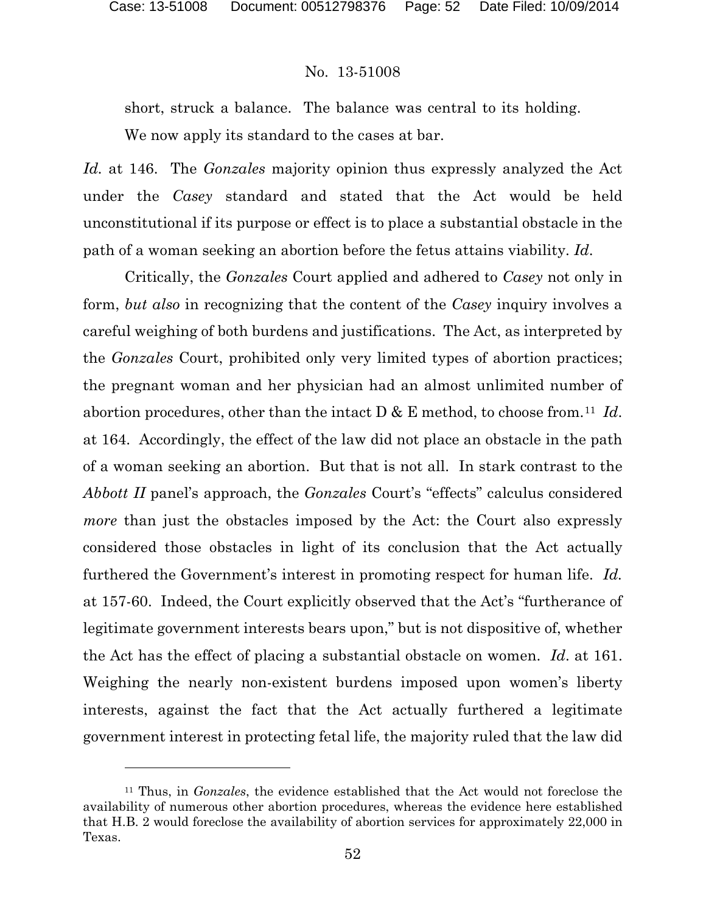### No. 13-51008

short, struck a balance. The balance was central to its holding.

We now apply its standard to the cases at bar.

*Id.* at 146. The *Gonzales* majority opinion thus expressly analyzed the Act under the *Casey* standard and stated that the Act would be held unconstitutional if its purpose or effect is to place a substantial obstacle in the path of a woman seeking an abortion before the fetus attains viability. *Id*.

Critically, the *Gonzales* Court applied and adhered to *Casey* not only in form, *but also* in recognizing that the content of the *Casey* inquiry involves a careful weighing of both burdens and justifications. The Act, as interpreted by the *Gonzales* Court, prohibited only very limited types of abortion practices; the pregnant woman and her physician had an almost unlimited number of abortion procedures, other than the intact D & E method, to choose from.[11](#page-51-0) *Id*. at 164. Accordingly, the effect of the law did not place an obstacle in the path of a woman seeking an abortion. But that is not all. In stark contrast to the *Abbott II* panel's approach, the *Gonzales* Court's "effects" calculus considered *more* than just the obstacles imposed by the Act: the Court also expressly considered those obstacles in light of its conclusion that the Act actually furthered the Government's interest in promoting respect for human life. *Id.*  at 157-60. Indeed, the Court explicitly observed that the Act's "furtherance of legitimate government interests bears upon," but is not dispositive of, whether the Act has the effect of placing a substantial obstacle on women. *Id*. at 161. Weighing the nearly non-existent burdens imposed upon women's liberty interests, against the fact that the Act actually furthered a legitimate government interest in protecting fetal life, the majority ruled that the law did

<span id="page-51-0"></span><sup>11</sup> Thus, in *Gonzales*, the evidence established that the Act would not foreclose the availability of numerous other abortion procedures, whereas the evidence here established that H.B. 2 would foreclose the availability of abortion services for approximately 22,000 in Texas.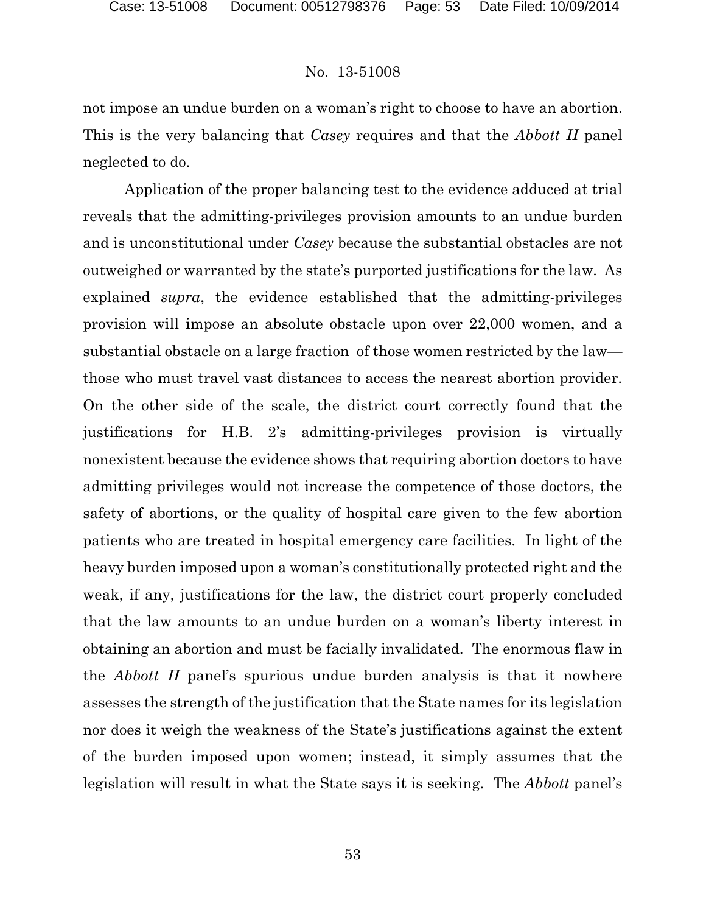not impose an undue burden on a woman's right to choose to have an abortion. This is the very balancing that *Casey* requires and that the *Abbott II* panel neglected to do.

Application of the proper balancing test to the evidence adduced at trial reveals that the admitting-privileges provision amounts to an undue burden and is unconstitutional under *Casey* because the substantial obstacles are not outweighed or warranted by the state's purported justifications for the law*.* As explained *supra*, the evidence established that the admitting-privileges provision will impose an absolute obstacle upon over 22,000 women, and a substantial obstacle on a large fraction of those women restricted by the law those who must travel vast distances to access the nearest abortion provider. On the other side of the scale, the district court correctly found that the justifications for H.B. 2's admitting-privileges provision is virtually nonexistent because the evidence shows that requiring abortion doctors to have admitting privileges would not increase the competence of those doctors, the safety of abortions, or the quality of hospital care given to the few abortion patients who are treated in hospital emergency care facilities. In light of the heavy burden imposed upon a woman's constitutionally protected right and the weak, if any, justifications for the law, the district court properly concluded that the law amounts to an undue burden on a woman's liberty interest in obtaining an abortion and must be facially invalidated. The enormous flaw in the *Abbott II* panel's spurious undue burden analysis is that it nowhere assesses the strength of the justification that the State names for its legislation nor does it weigh the weakness of the State's justifications against the extent of the burden imposed upon women; instead, it simply assumes that the legislation will result in what the State says it is seeking. The *Abbott* panel's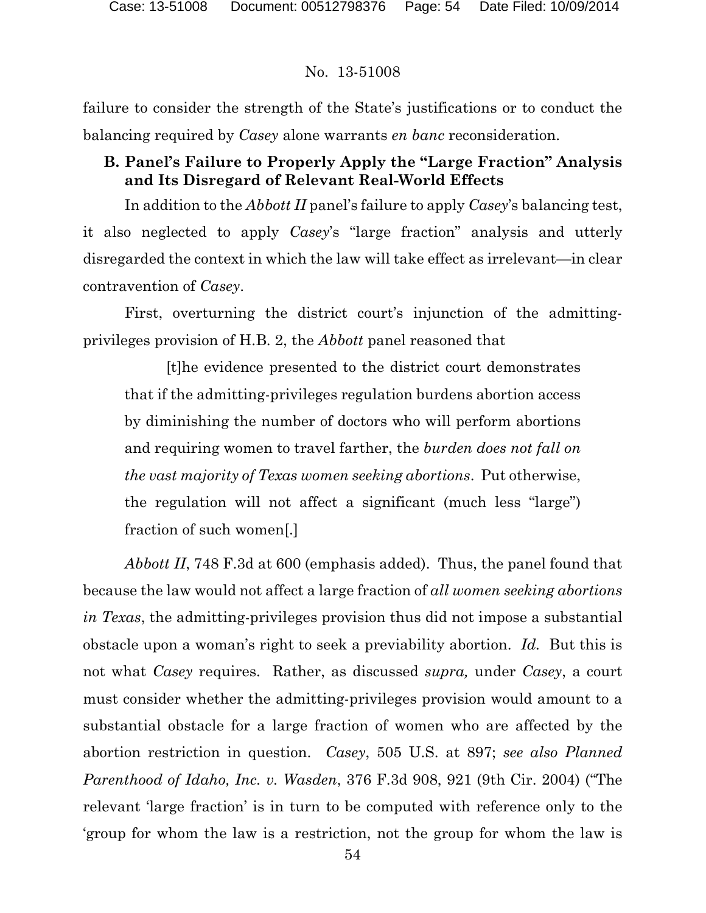failure to consider the strength of the State's justifications or to conduct the balancing required by *Casey* alone warrants *en banc* reconsideration.

# **B. Panel's Failure to Properly Apply the "Large Fraction" Analysis and Its Disregard of Relevant Real-World Effects**

In addition to the *Abbott II* panel's failure to apply *Casey*'s balancing test, it also neglected to apply *Casey*'s "large fraction" analysis and utterly disregarded the context in which the law will take effect as irrelevant—in clear contravention of *Casey*.

First, overturning the district court's injunction of the admittingprivileges provision of H.B. 2, the *Abbott* panel reasoned that

[t]he evidence presented to the district court demonstrates that if the admitting-privileges regulation burdens abortion access by diminishing the number of doctors who will perform abortions and requiring women to travel farther, the *burden does not fall on the vast majority of Texas women seeking abortions*. Put otherwise, the regulation will not affect a significant (much less "large") fraction of such women[.]

*Abbott II*, 748 F.3d at 600 (emphasis added). Thus, the panel found that because the law would not affect a large fraction of *all women seeking abortions in Texas*, the admitting-privileges provision thus did not impose a substantial obstacle upon a woman's right to seek a previability abortion. *Id.* But this is not what *Casey* requires. Rather, as discussed *supra,* under *Casey*, a court must consider whether the admitting-privileges provision would amount to a substantial obstacle for a large fraction of women who are affected by the abortion restriction in question. *Casey*, 505 U.S. at 897; *see also Planned Parenthood of Idaho, Inc. v. Wasden*, 376 F.3d 908, 921 (9th Cir. 2004) ("The relevant 'large fraction' is in turn to be computed with reference only to the 'group for whom the law is a restriction, not the group for whom the law is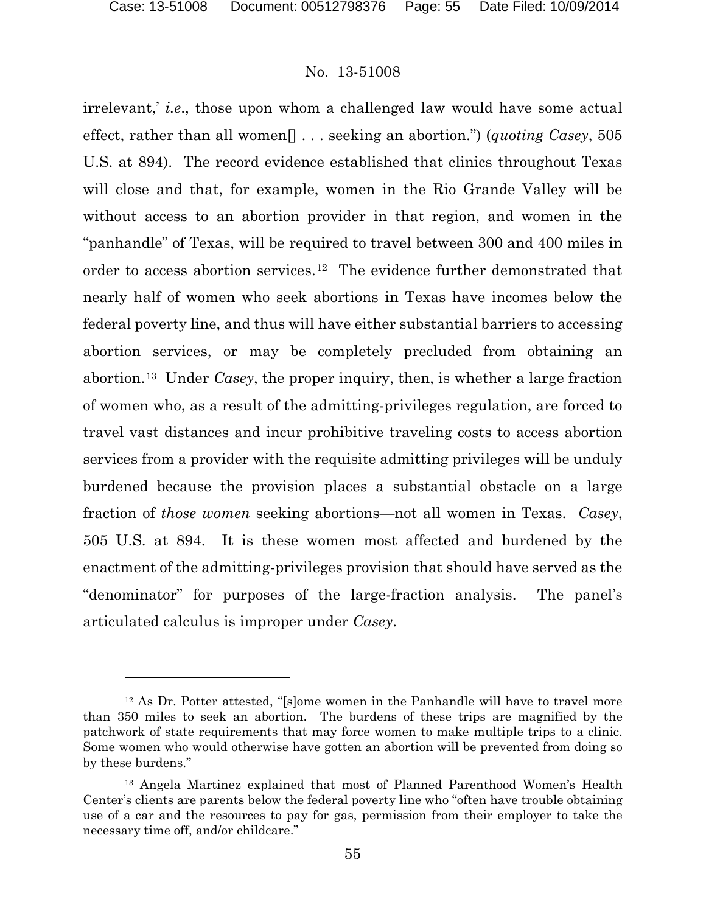### No. 13-51008

irrelevant,' *i.e*., those upon whom a challenged law would have some actual effect, rather than all women[] . . . seeking an abortion.") (*quoting Casey*, 505 U.S. at 894). The record evidence established that clinics throughout Texas will close and that, for example, women in the Rio Grande Valley will be without access to an abortion provider in that region, and women in the "panhandle" of Texas, will be required to travel between 300 and 400 miles in order to access abortion services.<sup>12</sup> The evidence further demonstrated that nearly half of women who seek abortions in Texas have incomes below the federal poverty line, and thus will have either substantial barriers to accessing abortion services, or may be completely precluded from obtaining an abortion.[13](#page-54-1) Under *Casey*, the proper inquiry, then, is whether a large fraction of women who, as a result of the admitting-privileges regulation, are forced to travel vast distances and incur prohibitive traveling costs to access abortion services from a provider with the requisite admitting privileges will be unduly burdened because the provision places a substantial obstacle on a large fraction of *those women* seeking abortions—not all women in Texas. *Casey*, 505 U.S. at 894. It is these women most affected and burdened by the enactment of the admitting-privileges provision that should have served as the "denominator" for purposes of the large-fraction analysis. The panel's articulated calculus is improper under *Casey*.

<span id="page-54-0"></span><sup>12</sup> As Dr. Potter attested, "[s]ome women in the Panhandle will have to travel more than 350 miles to seek an abortion. The burdens of these trips are magnified by the patchwork of state requirements that may force women to make multiple trips to a clinic. Some women who would otherwise have gotten an abortion will be prevented from doing so by these burdens."

<span id="page-54-1"></span><sup>13</sup> Angela Martinez explained that most of Planned Parenthood Women's Health Center's clients are parents below the federal poverty line who "often have trouble obtaining use of a car and the resources to pay for gas, permission from their employer to take the necessary time off, and/or childcare."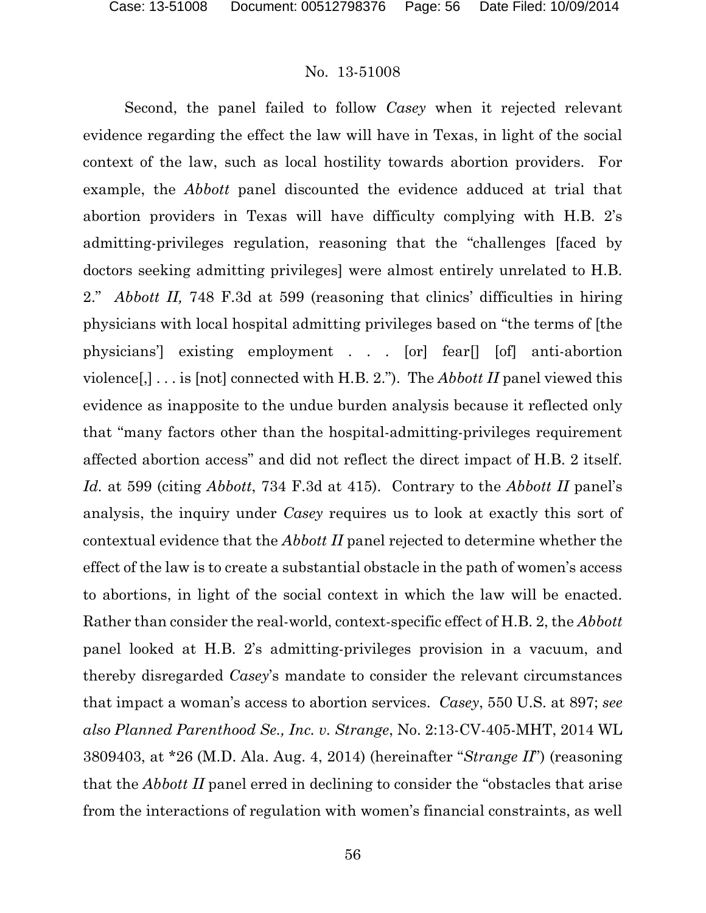Second, the panel failed to follow *Casey* when it rejected relevant evidence regarding the effect the law will have in Texas, in light of the social context of the law, such as local hostility towards abortion providers. For example, the *Abbott* panel discounted the evidence adduced at trial that abortion providers in Texas will have difficulty complying with H.B. 2's admitting-privileges regulation, reasoning that the "challenges [faced by doctors seeking admitting privileges] were almost entirely unrelated to H.B. 2." *Abbott II,* 748 F.3d at 599 (reasoning that clinics' difficulties in hiring physicians with local hospital admitting privileges based on "the terms of [the physicians'] existing employment . . . [or] fear[] [of] anti-abortion violence[,] . . . is [not] connected with H.B. 2."). The *Abbott II* panel viewed this evidence as inapposite to the undue burden analysis because it reflected only that "many factors other than the hospital-admitting-privileges requirement affected abortion access" and did not reflect the direct impact of H.B. 2 itself. *Id.* at 599 (citing *Abbott*, 734 F.3d at 415). Contrary to the *Abbott II* panel's analysis, the inquiry under *Casey* requires us to look at exactly this sort of contextual evidence that the *Abbott II* panel rejected to determine whether the effect of the law is to create a substantial obstacle in the path of women's access to abortions, in light of the social context in which the law will be enacted. Rather than consider the real-world, context-specific effect of H.B. 2, the *Abbott*  panel looked at H.B. 2's admitting-privileges provision in a vacuum, and thereby disregarded *Casey*'s mandate to consider the relevant circumstances that impact a woman's access to abortion services. *Casey*, 550 U.S. at 897; *see also Planned Parenthood Se., Inc. v. Strange*, No. 2:13-CV-405-MHT, 2014 WL 3809403, at \*26 (M.D. Ala. Aug. 4, 2014) (hereinafter "*Strange II*") (reasoning that the *Abbott II* panel erred in declining to consider the "obstacles that arise from the interactions of regulation with women's financial constraints, as well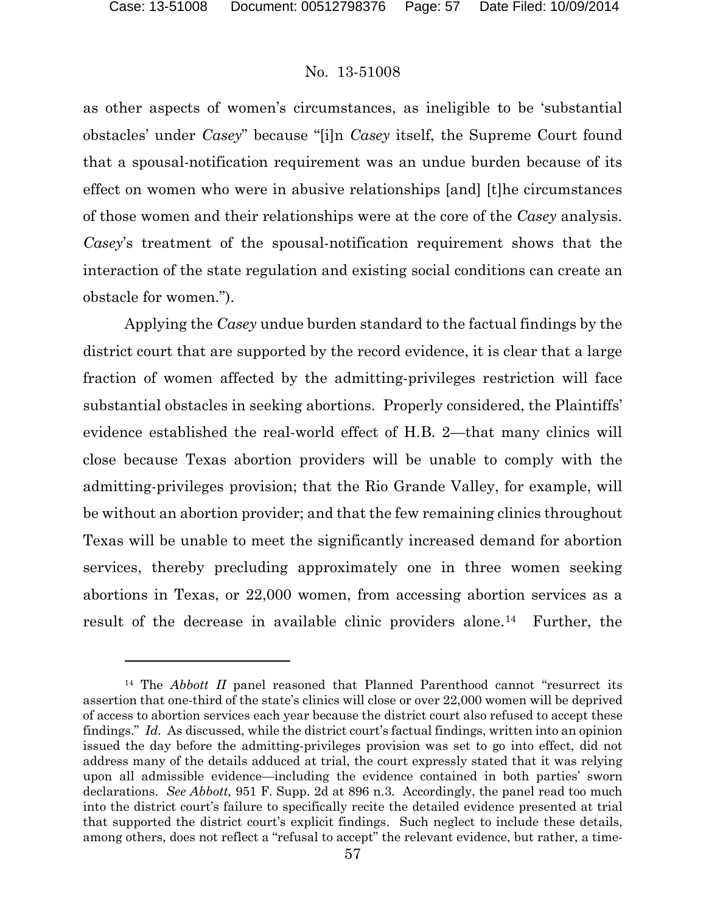### No. 13-51008

as other aspects of women's circumstances, as ineligible to be 'substantial obstacles' under *Casey*" because "[i]n *Casey* itself, the Supreme Court found that a spousal-notification requirement was an undue burden because of its effect on women who were in abusive relationships [and] [t]he circumstances of those women and their relationships were at the core of the *Casey* analysis. *Casey*'s treatment of the spousal-notification requirement shows that the interaction of the state regulation and existing social conditions can create an obstacle for women.").

Applying the *Casey* undue burden standard to the factual findings by the district court that are supported by the record evidence, it is clear that a large fraction of women affected by the admitting-privileges restriction will face substantial obstacles in seeking abortions. Properly considered, the Plaintiffs' evidence established the real-world effect of H.B. 2—that many clinics will close because Texas abortion providers will be unable to comply with the admitting-privileges provision; that the Rio Grande Valley, for example, will be without an abortion provider; and that the few remaining clinics throughout Texas will be unable to meet the significantly increased demand for abortion services, thereby precluding approximately one in three women seeking abortions in Texas, or 22,000 women, from accessing abortion services as a result of the decrease in available clinic providers alone.<sup>14</sup> Further, the

<span id="page-56-0"></span><sup>&</sup>lt;sup>14</sup> The *Abbott II* panel reasoned that Planned Parenthood cannot "resurrect its assertion that one-third of the state's clinics will close or over 22,000 women will be deprived of access to abortion services each year because the district court also refused to accept these findings." *Id.* As discussed, while the district court's factual findings, written into an opinion issued the day before the admitting-privileges provision was set to go into effect, did not address many of the details adduced at trial, the court expressly stated that it was relying upon all admissible evidence—including the evidence contained in both parties' sworn declarations. *See Abbott,* 951 F. Supp. 2d at 896 n.3.Accordingly, the panel read too much into the district court's failure to specifically recite the detailed evidence presented at trial that supported the district court's explicit findings. Such neglect to include these details, among others, does not reflect a "refusal to accept" the relevant evidence, but rather, a time-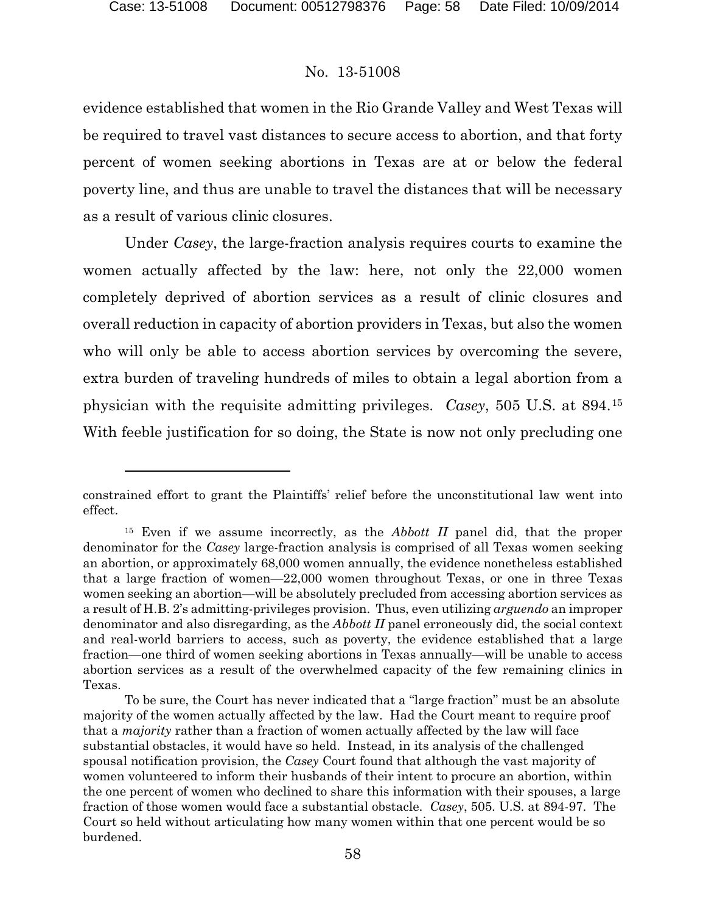l

### No. 13-51008

evidence established that women in the Rio Grande Valley and West Texas will be required to travel vast distances to secure access to abortion, and that forty percent of women seeking abortions in Texas are at or below the federal poverty line, and thus are unable to travel the distances that will be necessary as a result of various clinic closures.

Under *Casey*, the large-fraction analysis requires courts to examine the women actually affected by the law: here, not only the 22,000 women completely deprived of abortion services as a result of clinic closures and overall reduction in capacity of abortion providers in Texas, but also the women who will only be able to access abortion services by overcoming the severe, extra burden of traveling hundreds of miles to obtain a legal abortion from a physician with the requisite admitting privileges. *Casey*, 505 U.S. at 894.[15](#page-57-0) With feeble justification for so doing, the State is now not only precluding one

constrained effort to grant the Plaintiffs' relief before the unconstitutional law went into effect.

<span id="page-57-0"></span><sup>15</sup> Even if we assume incorrectly, as the *Abbott II* panel did, that the proper denominator for the *Casey* large-fraction analysis is comprised of all Texas women seeking an abortion, or approximately 68,000 women annually, the evidence nonetheless established that a large fraction of women—22,000 women throughout Texas, or one in three Texas women seeking an abortion—will be absolutely precluded from accessing abortion services as a result of H.B. 2's admitting-privileges provision. Thus, even utilizing *arguendo* an improper denominator and also disregarding, as the *Abbott II* panel erroneously did, the social context and real-world barriers to access, such as poverty, the evidence established that a large fraction—one third of women seeking abortions in Texas annually—will be unable to access abortion services as a result of the overwhelmed capacity of the few remaining clinics in Texas.

To be sure, the Court has never indicated that a "large fraction" must be an absolute majority of the women actually affected by the law. Had the Court meant to require proof that a *majority* rather than a fraction of women actually affected by the law will face substantial obstacles, it would have so held. Instead, in its analysis of the challenged spousal notification provision, the *Casey* Court found that although the vast majority of women volunteered to inform their husbands of their intent to procure an abortion, within the one percent of women who declined to share this information with their spouses, a large fraction of those women would face a substantial obstacle. *Casey*, 505. U.S. at 894-97. The Court so held without articulating how many women within that one percent would be so burdened.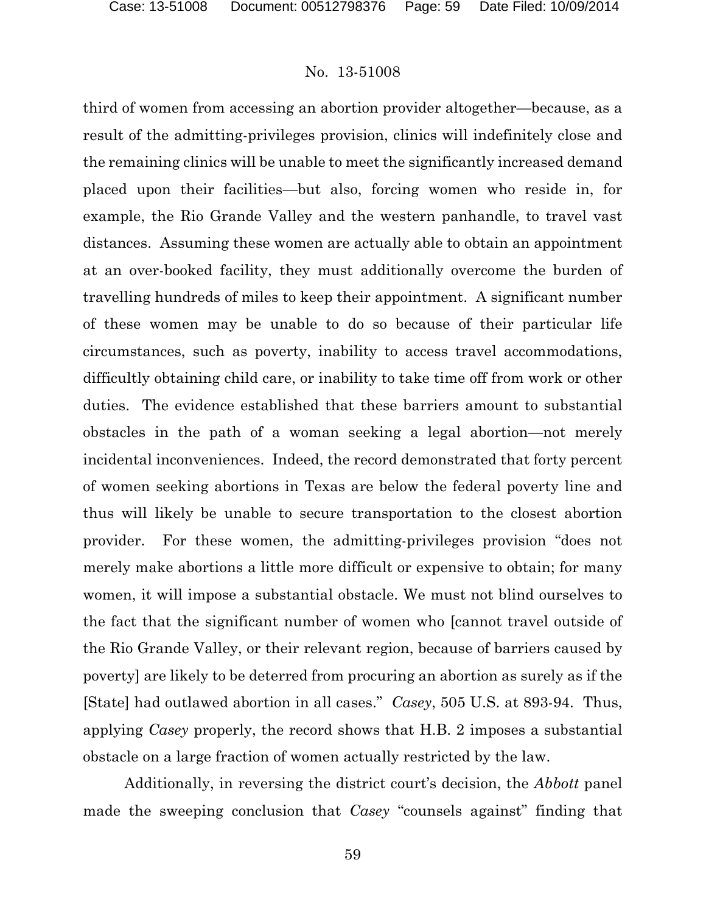third of women from accessing an abortion provider altogether—because, as a result of the admitting-privileges provision, clinics will indefinitely close and the remaining clinics will be unable to meet the significantly increased demand placed upon their facilities—but also, forcing women who reside in, for example, the Rio Grande Valley and the western panhandle, to travel vast distances. Assuming these women are actually able to obtain an appointment at an over-booked facility, they must additionally overcome the burden of travelling hundreds of miles to keep their appointment. A significant number of these women may be unable to do so because of their particular life circumstances, such as poverty, inability to access travel accommodations, difficultly obtaining child care, or inability to take time off from work or other duties. The evidence established that these barriers amount to substantial obstacles in the path of a woman seeking a legal abortion—not merely incidental inconveniences. Indeed, the record demonstrated that forty percent of women seeking abortions in Texas are below the federal poverty line and thus will likely be unable to secure transportation to the closest abortion provider. For these women, the admitting-privileges provision "does not merely make abortions a little more difficult or expensive to obtain; for many women, it will impose a substantial obstacle. We must not blind ourselves to the fact that the significant number of women who [cannot travel outside of the Rio Grande Valley, or their relevant region, because of barriers caused by poverty] are likely to be deterred from procuring an abortion as surely as if the [State] had outlawed abortion in all cases." *Casey*, 505 U.S. at 893-94. Thus, applying *Casey* properly, the record shows that H.B. 2 imposes a substantial obstacle on a large fraction of women actually restricted by the law.

Additionally, in reversing the district court's decision, the *Abbott* panel made the sweeping conclusion that *Casey* "counsels against" finding that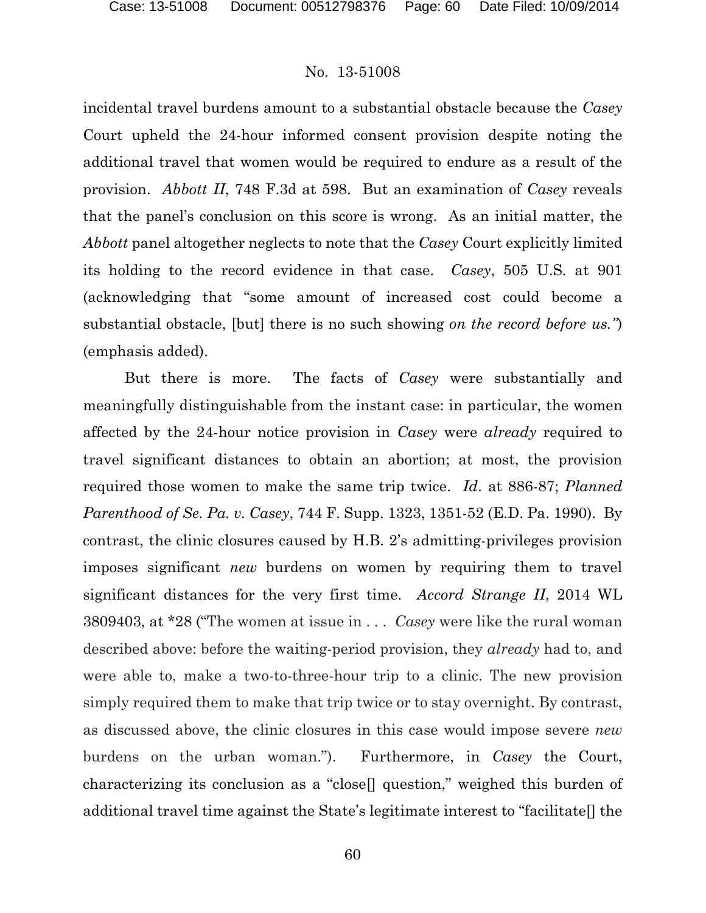incidental travel burdens amount to a substantial obstacle because the *Casey*  Court upheld the 24-hour informed consent provision despite noting the additional travel that women would be required to endure as a result of the provision. *Abbott II*, 748 F.3d at 598. But an examination of *Casey* reveals that the panel's conclusion on this score is wrong. As an initial matter, the *Abbott* panel altogether neglects to note that the *Casey* Court explicitly limited its holding to the record evidence in that case. *Casey*, 505 U.S*.* at 901 (acknowledging that "some amount of increased cost could become a substantial obstacle, [but] there is no such showing *on the record before us."*) (emphasis added).

But there is more. The facts of *Casey* were substantially and meaningfully distinguishable from the instant case: in particular, the women affected by the 24-hour notice provision in *Casey* were *already* required to travel significant distances to obtain an abortion; at most, the provision required those women to make the same trip twice. *Id*. at 886-87; *Planned Parenthood of Se. Pa. v. Casey*, 744 F. Supp. 1323, 1351-52 (E.D. Pa. 1990). By contrast, the clinic closures caused by H.B. 2's admitting-privileges provision imposes significant *new* burdens on women by requiring them to travel significant distances for the very first time. *Accord Strange II*, 2014 WL 3809403, at \*28 ("The women at issue in . . . *Casey* were like the rural woman described above: before the waiting-period provision, they *already* had to, and were able to, make a two-to-three-hour trip to a clinic. The new provision simply required them to make that trip twice or to stay overnight. By contrast, as discussed above, the clinic closures in this case would impose severe *new* burdens on the urban woman."). Furthermore, in *Casey* the Court, characterizing its conclusion as a "close[] question," weighed this burden of additional travel time against the State's legitimate interest to "facilitate[] the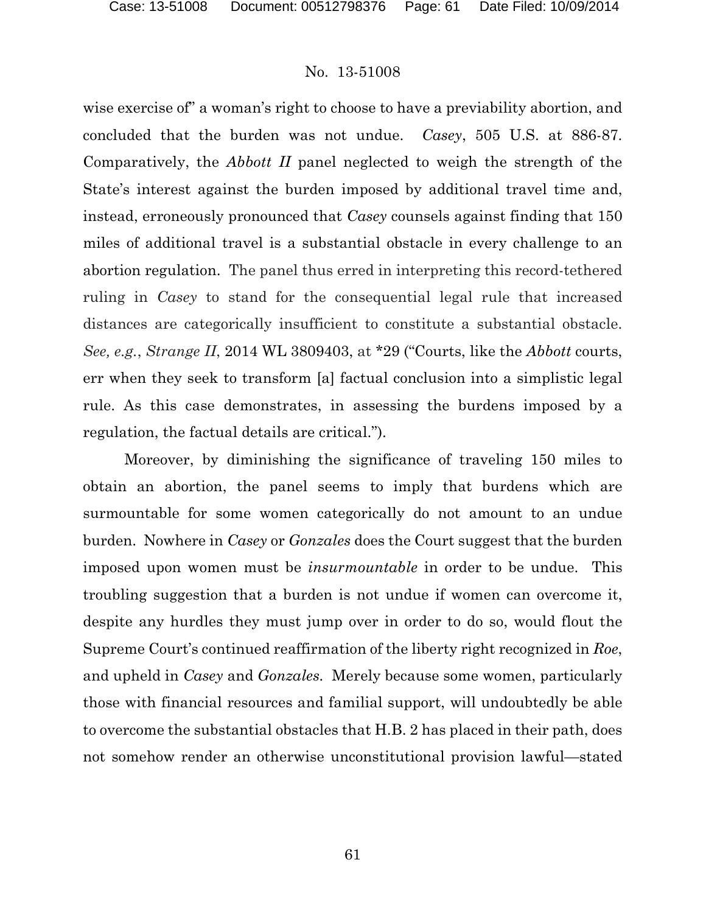wise exercise of" a woman's right to choose to have a previability abortion, and concluded that the burden was not undue. *Casey*, 505 U.S. at 886-87. Comparatively, the *Abbott II* panel neglected to weigh the strength of the State's interest against the burden imposed by additional travel time and, instead, erroneously pronounced that *Casey* counsels against finding that 150 miles of additional travel is a substantial obstacle in every challenge to an abortion regulation. The panel thus erred in interpreting this record-tethered ruling in *Casey* to stand for the consequential legal rule that increased distances are categorically insufficient to constitute a substantial obstacle. *See, e.g.*, *Strange II*, 2014 WL 3809403, at \*29 ("Courts, like the *Abbott* courts, err when they seek to transform [a] factual conclusion into a simplistic legal rule. As this case demonstrates, in assessing the burdens imposed by a regulation, the factual details are critical.").

Moreover, by diminishing the significance of traveling 150 miles to obtain an abortion, the panel seems to imply that burdens which are surmountable for some women categorically do not amount to an undue burden. Nowhere in *Casey* or *Gonzales* does the Court suggest that the burden imposed upon women must be *insurmountable* in order to be undue. This troubling suggestion that a burden is not undue if women can overcome it, despite any hurdles they must jump over in order to do so, would flout the Supreme Court's continued reaffirmation of the liberty right recognized in *Roe*, and upheld in *Casey* and *Gonzales.* Merely because some women, particularly those with financial resources and familial support, will undoubtedly be able to overcome the substantial obstacles that H.B. 2 has placed in their path, does not somehow render an otherwise unconstitutional provision lawful—stated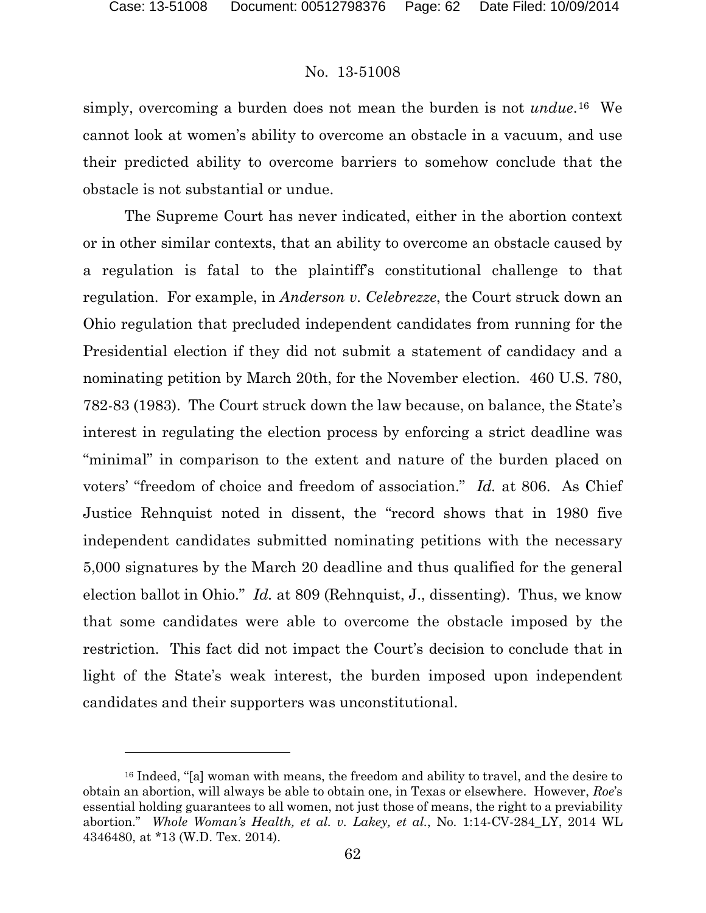l

### No. 13-51008

simply, overcoming a burden does not mean the burden is not *undue*.[16](#page-61-0) We cannot look at women's ability to overcome an obstacle in a vacuum, and use their predicted ability to overcome barriers to somehow conclude that the obstacle is not substantial or undue.

The Supreme Court has never indicated, either in the abortion context or in other similar contexts, that an ability to overcome an obstacle caused by a regulation is fatal to the plaintiff's constitutional challenge to that regulation. For example, in *Anderson v. Celebrezze*, the Court struck down an Ohio regulation that precluded independent candidates from running for the Presidential election if they did not submit a statement of candidacy and a nominating petition by March 20th, for the November election. 460 U.S. 780, 782-83 (1983). The Court struck down the law because, on balance, the State's interest in regulating the election process by enforcing a strict deadline was "minimal" in comparison to the extent and nature of the burden placed on voters' "freedom of choice and freedom of association." *Id.* at 806. As Chief Justice Rehnquist noted in dissent, the "record shows that in 1980 five independent candidates submitted nominating petitions with the necessary 5,000 signatures by the March 20 deadline and thus qualified for the general election ballot in Ohio." *Id.* at 809 (Rehnquist, J., dissenting). Thus, we know that some candidates were able to overcome the obstacle imposed by the restriction. This fact did not impact the Court's decision to conclude that in light of the State's weak interest, the burden imposed upon independent candidates and their supporters was unconstitutional.

<span id="page-61-0"></span><sup>16</sup> Indeed, "[a] woman with means, the freedom and ability to travel, and the desire to obtain an abortion, will always be able to obtain one, in Texas or elsewhere. However, *Roe*'s essential holding guarantees to all women, not just those of means, the right to a previability abortion." *Whole Woman's Health, et al. v. Lakey, et al.*, No. 1:14-CV-284\_LY, 2014 WL 4346480, at \*13 (W.D. Tex. 2014).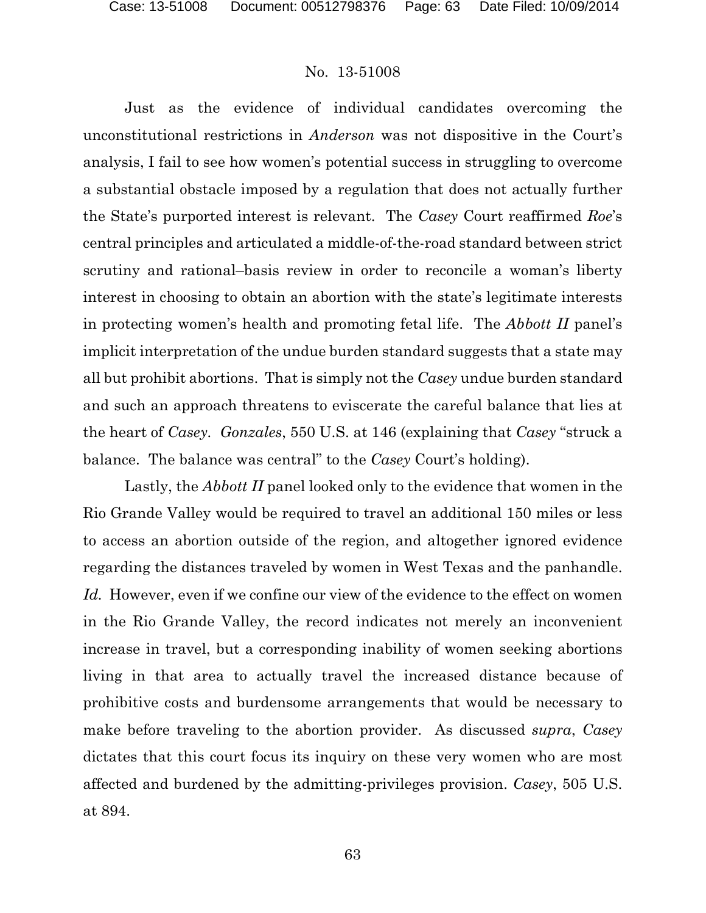Just as the evidence of individual candidates overcoming the unconstitutional restrictions in *Anderson* was not dispositive in the Court's analysis, I fail to see how women's potential success in struggling to overcome a substantial obstacle imposed by a regulation that does not actually further the State's purported interest is relevant. The *Casey* Court reaffirmed *Roe*'s central principles and articulated a middle-of-the-road standard between strict scrutiny and rational–basis review in order to reconcile a woman's liberty interest in choosing to obtain an abortion with the state's legitimate interests in protecting women's health and promoting fetal life. The *Abbott II* panel's implicit interpretation of the undue burden standard suggests that a state may all but prohibit abortions. That is simply not the *Casey* undue burden standard and such an approach threatens to eviscerate the careful balance that lies at the heart of *Casey. Gonzales*, 550 U.S. at 146 (explaining that *Casey* "struck a balance. The balance was central" to the *Casey* Court's holding).

Lastly, the *Abbott II* panel looked only to the evidence that women in the Rio Grande Valley would be required to travel an additional 150 miles or less to access an abortion outside of the region, and altogether ignored evidence regarding the distances traveled by women in West Texas and the panhandle. *Id.* However, even if we confine our view of the evidence to the effect on women in the Rio Grande Valley, the record indicates not merely an inconvenient increase in travel, but a corresponding inability of women seeking abortions living in that area to actually travel the increased distance because of prohibitive costs and burdensome arrangements that would be necessary to make before traveling to the abortion provider. As discussed *supra*, *Casey*  dictates that this court focus its inquiry on these very women who are most affected and burdened by the admitting-privileges provision. *Casey*, 505 U.S. at 894.